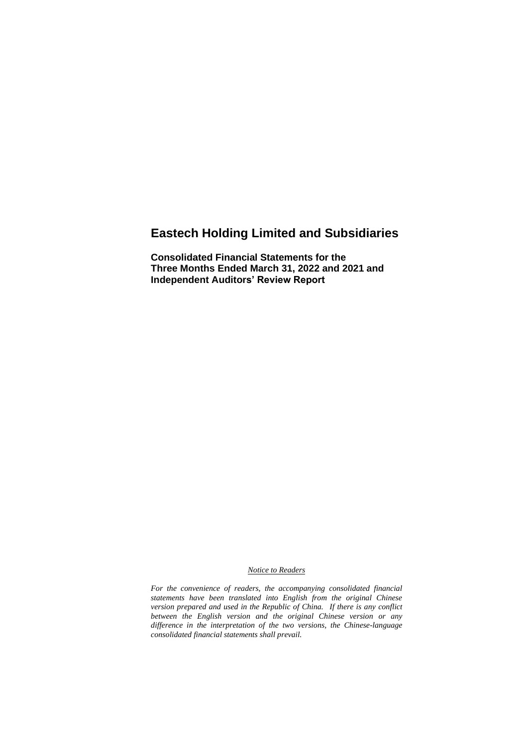# **Eastech Holding Limited and Subsidiaries**

**Consolidated Financial Statements for the Three Months Ended March 31, 2022 and 2021 and Independent Auditors' Review Report**

#### *Notice to Readers*

*For the convenience of readers, the accompanying consolidated financial statements have been translated into English from the original Chinese version prepared and used in the Republic of China. If there is any conflict between the English version and the original Chinese version or any difference in the interpretation of the two versions, the Chinese-language consolidated financial statements shall prevail.*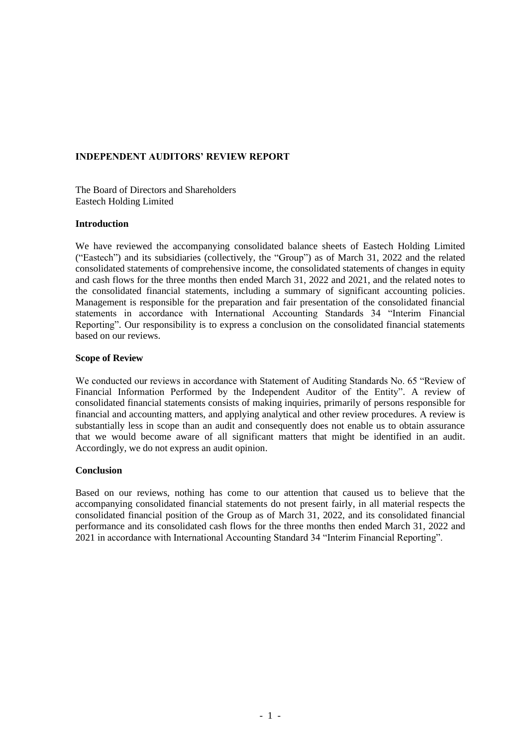#### **INDEPENDENT AUDITORS' REVIEW REPORT**

The Board of Directors and Shareholders Eastech Holding Limited

#### **Introduction**

We have reviewed the accompanying consolidated balance sheets of Eastech Holding Limited ("Eastech") and its subsidiaries (collectively, the "Group") as of March 31, 2022 and the related consolidated statements of comprehensive income, the consolidated statements of changes in equity and cash flows for the three months then ended March 31, 2022 and 2021, and the related notes to the consolidated financial statements, including a summary of significant accounting policies. Management is responsible for the preparation and fair presentation of the consolidated financial statements in accordance with International Accounting Standards 34 "Interim Financial Reporting". Our responsibility is to express a conclusion on the consolidated financial statements based on our reviews.

#### **Scope of Review**

We conducted our reviews in accordance with Statement of Auditing Standards No. 65 "Review of Financial Information Performed by the Independent Auditor of the Entity". A review of consolidated financial statements consists of making inquiries, primarily of persons responsible for financial and accounting matters, and applying analytical and other review procedures. A review is substantially less in scope than an audit and consequently does not enable us to obtain assurance that we would become aware of all significant matters that might be identified in an audit. Accordingly, we do not express an audit opinion.

#### **Conclusion**

Based on our reviews, nothing has come to our attention that caused us to believe that the accompanying consolidated financial statements do not present fairly, in all material respects the consolidated financial position of the Group as of March 31, 2022, and its consolidated financial performance and its consolidated cash flows for the three months then ended March 31, 2022 and 2021 in accordance with International Accounting Standard 34 "Interim Financial Reporting".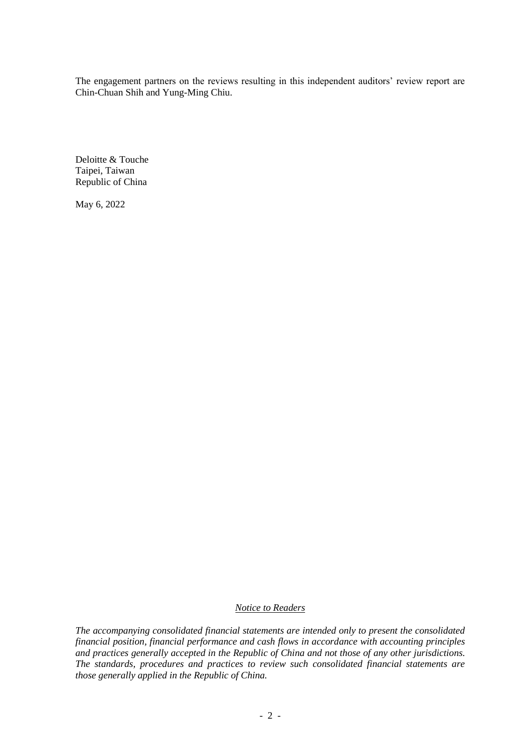The engagement partners on the reviews resulting in this independent auditors' review report are Chin-Chuan Shih and Yung-Ming Chiu.

Deloitte & Touche Taipei, Taiwan Republic of China

May 6, 2022

### *Notice to Readers*

*The accompanying consolidated financial statements are intended only to present the consolidated financial position, financial performance and cash flows in accordance with accounting principles and practices generally accepted in the Republic of China and not those of any other jurisdictions. The standards, procedures and practices to review such consolidated financial statements are those generally applied in the Republic of China.*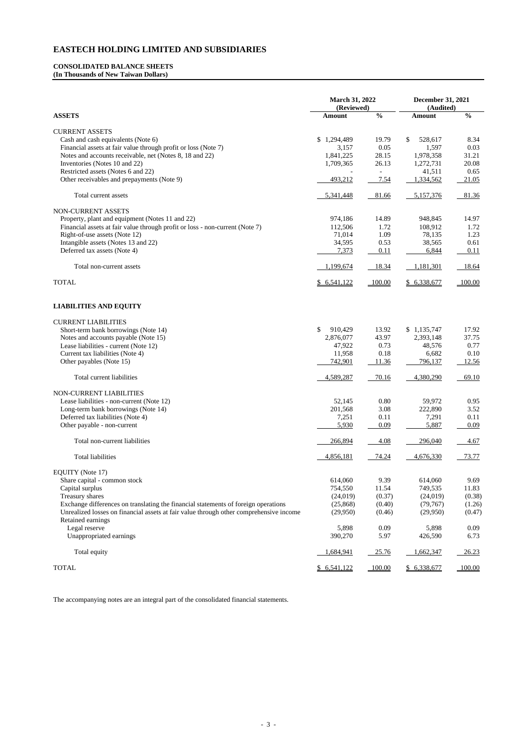#### **CONSOLIDATED BALANCE SHEETS (In Thousands of New Taiwan Dollars)**

| (Audited)<br>$\frac{0}{0}$<br>$\frac{6}{6}$<br><b>ASSETS</b><br><b>Amount</b><br><b>Amount</b><br><b>CURRENT ASSETS</b><br>Cash and cash equivalents (Note 6)<br>\$1,294,489<br>\$<br>528,617<br>8.34<br>19.79<br>Financial assets at fair value through profit or loss (Note 7)<br>0.05<br>1,597<br>0.03<br>3,157<br>Notes and accounts receivable, net (Notes 8, 18 and 22)<br>28.15<br>1,978,358<br>31.21<br>1,841,225<br>Inventories (Notes 10 and 22)<br>1,709,365<br>26.13<br>1,272,731<br>20.08<br>Restricted assets (Notes 6 and 22)<br>41,511<br>0.65<br>Other receivables and prepayments (Note 9)<br>493,212<br>7.54<br>1,334,562<br>21.05<br>81.36<br>Total current assets<br>5,341,448<br>81.66<br>5,157,376<br>NON-CURRENT ASSETS<br>974,186<br>Property, plant and equipment (Notes 11 and 22)<br>14.89<br>948,845<br>14.97<br>Financial assets at fair value through profit or loss - non-current (Note 7)<br>112,506<br>1.72<br>108,912<br>1.72<br>Right-of-use assets (Note 12)<br>71,014<br>1.09<br>78,135<br>1.23<br>Intangible assets (Notes 13 and 22)<br>34,595<br>38,565<br>0.53<br>0.61<br>Deferred tax assets (Note 4)<br>7,373<br>0.11<br>6,844<br>0.11<br>1,199,674<br>18.34<br>1,181,301<br>18.64<br>Total non-current assets<br><b>TOTAL</b><br>\$6,541,122<br>$-100.00$<br>\$6,338,677<br>100.00<br><b>LIABILITIES AND EQUITY</b><br><b>CURRENT LIABILITIES</b><br>\$<br>\$1,135,747<br>Short-term bank borrowings (Note 14)<br>910,429<br>13.92<br>17.92<br>Notes and accounts payable (Note 15)<br>43.97<br>2,876,077<br>2,393,148<br>37.75<br>Lease liabilities - current (Note 12)<br>0.73<br>47,922<br>48,576<br>0.77<br>0.18<br>11,958<br>6,682<br>0.10<br>Current tax liabilities (Note 4)<br>Other payables (Note 15)<br>742,901<br>11.36<br>796,137<br>12.56<br>70.16<br>4,380,290<br>69.10<br>Total current liabilities<br>4,589,287<br>NON-CURRENT LIABILITIES<br>52,145<br>0.80<br>Lease liabilities - non-current (Note 12)<br>59,972<br>0.95<br>Long-term bank borrowings (Note 14)<br>201,568<br>3.08<br>222,890<br>3.52<br>0.11<br>Deferred tax liabilities (Note 4)<br>7,251<br>7,291<br>0.11<br>0.09<br>Other payable - non-current<br>5,930<br>5,887<br>0.09<br>Total non-current liabilities<br>266,894<br>4.08<br>296,040<br>4.67<br><b>Total liabilities</b><br>73.77<br>4,856,181<br>74.24<br>4,676,330<br>EQUITY (Note 17) |
|-----------------------------------------------------------------------------------------------------------------------------------------------------------------------------------------------------------------------------------------------------------------------------------------------------------------------------------------------------------------------------------------------------------------------------------------------------------------------------------------------------------------------------------------------------------------------------------------------------------------------------------------------------------------------------------------------------------------------------------------------------------------------------------------------------------------------------------------------------------------------------------------------------------------------------------------------------------------------------------------------------------------------------------------------------------------------------------------------------------------------------------------------------------------------------------------------------------------------------------------------------------------------------------------------------------------------------------------------------------------------------------------------------------------------------------------------------------------------------------------------------------------------------------------------------------------------------------------------------------------------------------------------------------------------------------------------------------------------------------------------------------------------------------------------------------------------------------------------------------------------------------------------------------------------------------------------------------------------------------------------------------------------------------------------------------------------------------------------------------------------------------------------------------------------------------------------------------------------------------------------------------------------------------------------------------------------------------------------------------------------------------|
|                                                                                                                                                                                                                                                                                                                                                                                                                                                                                                                                                                                                                                                                                                                                                                                                                                                                                                                                                                                                                                                                                                                                                                                                                                                                                                                                                                                                                                                                                                                                                                                                                                                                                                                                                                                                                                                                                                                                                                                                                                                                                                                                                                                                                                                                                                                                                                                   |
|                                                                                                                                                                                                                                                                                                                                                                                                                                                                                                                                                                                                                                                                                                                                                                                                                                                                                                                                                                                                                                                                                                                                                                                                                                                                                                                                                                                                                                                                                                                                                                                                                                                                                                                                                                                                                                                                                                                                                                                                                                                                                                                                                                                                                                                                                                                                                                                   |
|                                                                                                                                                                                                                                                                                                                                                                                                                                                                                                                                                                                                                                                                                                                                                                                                                                                                                                                                                                                                                                                                                                                                                                                                                                                                                                                                                                                                                                                                                                                                                                                                                                                                                                                                                                                                                                                                                                                                                                                                                                                                                                                                                                                                                                                                                                                                                                                   |
|                                                                                                                                                                                                                                                                                                                                                                                                                                                                                                                                                                                                                                                                                                                                                                                                                                                                                                                                                                                                                                                                                                                                                                                                                                                                                                                                                                                                                                                                                                                                                                                                                                                                                                                                                                                                                                                                                                                                                                                                                                                                                                                                                                                                                                                                                                                                                                                   |
|                                                                                                                                                                                                                                                                                                                                                                                                                                                                                                                                                                                                                                                                                                                                                                                                                                                                                                                                                                                                                                                                                                                                                                                                                                                                                                                                                                                                                                                                                                                                                                                                                                                                                                                                                                                                                                                                                                                                                                                                                                                                                                                                                                                                                                                                                                                                                                                   |
|                                                                                                                                                                                                                                                                                                                                                                                                                                                                                                                                                                                                                                                                                                                                                                                                                                                                                                                                                                                                                                                                                                                                                                                                                                                                                                                                                                                                                                                                                                                                                                                                                                                                                                                                                                                                                                                                                                                                                                                                                                                                                                                                                                                                                                                                                                                                                                                   |
|                                                                                                                                                                                                                                                                                                                                                                                                                                                                                                                                                                                                                                                                                                                                                                                                                                                                                                                                                                                                                                                                                                                                                                                                                                                                                                                                                                                                                                                                                                                                                                                                                                                                                                                                                                                                                                                                                                                                                                                                                                                                                                                                                                                                                                                                                                                                                                                   |
|                                                                                                                                                                                                                                                                                                                                                                                                                                                                                                                                                                                                                                                                                                                                                                                                                                                                                                                                                                                                                                                                                                                                                                                                                                                                                                                                                                                                                                                                                                                                                                                                                                                                                                                                                                                                                                                                                                                                                                                                                                                                                                                                                                                                                                                                                                                                                                                   |
|                                                                                                                                                                                                                                                                                                                                                                                                                                                                                                                                                                                                                                                                                                                                                                                                                                                                                                                                                                                                                                                                                                                                                                                                                                                                                                                                                                                                                                                                                                                                                                                                                                                                                                                                                                                                                                                                                                                                                                                                                                                                                                                                                                                                                                                                                                                                                                                   |
|                                                                                                                                                                                                                                                                                                                                                                                                                                                                                                                                                                                                                                                                                                                                                                                                                                                                                                                                                                                                                                                                                                                                                                                                                                                                                                                                                                                                                                                                                                                                                                                                                                                                                                                                                                                                                                                                                                                                                                                                                                                                                                                                                                                                                                                                                                                                                                                   |
|                                                                                                                                                                                                                                                                                                                                                                                                                                                                                                                                                                                                                                                                                                                                                                                                                                                                                                                                                                                                                                                                                                                                                                                                                                                                                                                                                                                                                                                                                                                                                                                                                                                                                                                                                                                                                                                                                                                                                                                                                                                                                                                                                                                                                                                                                                                                                                                   |
|                                                                                                                                                                                                                                                                                                                                                                                                                                                                                                                                                                                                                                                                                                                                                                                                                                                                                                                                                                                                                                                                                                                                                                                                                                                                                                                                                                                                                                                                                                                                                                                                                                                                                                                                                                                                                                                                                                                                                                                                                                                                                                                                                                                                                                                                                                                                                                                   |
|                                                                                                                                                                                                                                                                                                                                                                                                                                                                                                                                                                                                                                                                                                                                                                                                                                                                                                                                                                                                                                                                                                                                                                                                                                                                                                                                                                                                                                                                                                                                                                                                                                                                                                                                                                                                                                                                                                                                                                                                                                                                                                                                                                                                                                                                                                                                                                                   |
|                                                                                                                                                                                                                                                                                                                                                                                                                                                                                                                                                                                                                                                                                                                                                                                                                                                                                                                                                                                                                                                                                                                                                                                                                                                                                                                                                                                                                                                                                                                                                                                                                                                                                                                                                                                                                                                                                                                                                                                                                                                                                                                                                                                                                                                                                                                                                                                   |
|                                                                                                                                                                                                                                                                                                                                                                                                                                                                                                                                                                                                                                                                                                                                                                                                                                                                                                                                                                                                                                                                                                                                                                                                                                                                                                                                                                                                                                                                                                                                                                                                                                                                                                                                                                                                                                                                                                                                                                                                                                                                                                                                                                                                                                                                                                                                                                                   |
|                                                                                                                                                                                                                                                                                                                                                                                                                                                                                                                                                                                                                                                                                                                                                                                                                                                                                                                                                                                                                                                                                                                                                                                                                                                                                                                                                                                                                                                                                                                                                                                                                                                                                                                                                                                                                                                                                                                                                                                                                                                                                                                                                                                                                                                                                                                                                                                   |
|                                                                                                                                                                                                                                                                                                                                                                                                                                                                                                                                                                                                                                                                                                                                                                                                                                                                                                                                                                                                                                                                                                                                                                                                                                                                                                                                                                                                                                                                                                                                                                                                                                                                                                                                                                                                                                                                                                                                                                                                                                                                                                                                                                                                                                                                                                                                                                                   |
|                                                                                                                                                                                                                                                                                                                                                                                                                                                                                                                                                                                                                                                                                                                                                                                                                                                                                                                                                                                                                                                                                                                                                                                                                                                                                                                                                                                                                                                                                                                                                                                                                                                                                                                                                                                                                                                                                                                                                                                                                                                                                                                                                                                                                                                                                                                                                                                   |
|                                                                                                                                                                                                                                                                                                                                                                                                                                                                                                                                                                                                                                                                                                                                                                                                                                                                                                                                                                                                                                                                                                                                                                                                                                                                                                                                                                                                                                                                                                                                                                                                                                                                                                                                                                                                                                                                                                                                                                                                                                                                                                                                                                                                                                                                                                                                                                                   |
|                                                                                                                                                                                                                                                                                                                                                                                                                                                                                                                                                                                                                                                                                                                                                                                                                                                                                                                                                                                                                                                                                                                                                                                                                                                                                                                                                                                                                                                                                                                                                                                                                                                                                                                                                                                                                                                                                                                                                                                                                                                                                                                                                                                                                                                                                                                                                                                   |
|                                                                                                                                                                                                                                                                                                                                                                                                                                                                                                                                                                                                                                                                                                                                                                                                                                                                                                                                                                                                                                                                                                                                                                                                                                                                                                                                                                                                                                                                                                                                                                                                                                                                                                                                                                                                                                                                                                                                                                                                                                                                                                                                                                                                                                                                                                                                                                                   |
|                                                                                                                                                                                                                                                                                                                                                                                                                                                                                                                                                                                                                                                                                                                                                                                                                                                                                                                                                                                                                                                                                                                                                                                                                                                                                                                                                                                                                                                                                                                                                                                                                                                                                                                                                                                                                                                                                                                                                                                                                                                                                                                                                                                                                                                                                                                                                                                   |
|                                                                                                                                                                                                                                                                                                                                                                                                                                                                                                                                                                                                                                                                                                                                                                                                                                                                                                                                                                                                                                                                                                                                                                                                                                                                                                                                                                                                                                                                                                                                                                                                                                                                                                                                                                                                                                                                                                                                                                                                                                                                                                                                                                                                                                                                                                                                                                                   |
|                                                                                                                                                                                                                                                                                                                                                                                                                                                                                                                                                                                                                                                                                                                                                                                                                                                                                                                                                                                                                                                                                                                                                                                                                                                                                                                                                                                                                                                                                                                                                                                                                                                                                                                                                                                                                                                                                                                                                                                                                                                                                                                                                                                                                                                                                                                                                                                   |
|                                                                                                                                                                                                                                                                                                                                                                                                                                                                                                                                                                                                                                                                                                                                                                                                                                                                                                                                                                                                                                                                                                                                                                                                                                                                                                                                                                                                                                                                                                                                                                                                                                                                                                                                                                                                                                                                                                                                                                                                                                                                                                                                                                                                                                                                                                                                                                                   |
|                                                                                                                                                                                                                                                                                                                                                                                                                                                                                                                                                                                                                                                                                                                                                                                                                                                                                                                                                                                                                                                                                                                                                                                                                                                                                                                                                                                                                                                                                                                                                                                                                                                                                                                                                                                                                                                                                                                                                                                                                                                                                                                                                                                                                                                                                                                                                                                   |
|                                                                                                                                                                                                                                                                                                                                                                                                                                                                                                                                                                                                                                                                                                                                                                                                                                                                                                                                                                                                                                                                                                                                                                                                                                                                                                                                                                                                                                                                                                                                                                                                                                                                                                                                                                                                                                                                                                                                                                                                                                                                                                                                                                                                                                                                                                                                                                                   |
|                                                                                                                                                                                                                                                                                                                                                                                                                                                                                                                                                                                                                                                                                                                                                                                                                                                                                                                                                                                                                                                                                                                                                                                                                                                                                                                                                                                                                                                                                                                                                                                                                                                                                                                                                                                                                                                                                                                                                                                                                                                                                                                                                                                                                                                                                                                                                                                   |
|                                                                                                                                                                                                                                                                                                                                                                                                                                                                                                                                                                                                                                                                                                                                                                                                                                                                                                                                                                                                                                                                                                                                                                                                                                                                                                                                                                                                                                                                                                                                                                                                                                                                                                                                                                                                                                                                                                                                                                                                                                                                                                                                                                                                                                                                                                                                                                                   |
|                                                                                                                                                                                                                                                                                                                                                                                                                                                                                                                                                                                                                                                                                                                                                                                                                                                                                                                                                                                                                                                                                                                                                                                                                                                                                                                                                                                                                                                                                                                                                                                                                                                                                                                                                                                                                                                                                                                                                                                                                                                                                                                                                                                                                                                                                                                                                                                   |
|                                                                                                                                                                                                                                                                                                                                                                                                                                                                                                                                                                                                                                                                                                                                                                                                                                                                                                                                                                                                                                                                                                                                                                                                                                                                                                                                                                                                                                                                                                                                                                                                                                                                                                                                                                                                                                                                                                                                                                                                                                                                                                                                                                                                                                                                                                                                                                                   |
|                                                                                                                                                                                                                                                                                                                                                                                                                                                                                                                                                                                                                                                                                                                                                                                                                                                                                                                                                                                                                                                                                                                                                                                                                                                                                                                                                                                                                                                                                                                                                                                                                                                                                                                                                                                                                                                                                                                                                                                                                                                                                                                                                                                                                                                                                                                                                                                   |
|                                                                                                                                                                                                                                                                                                                                                                                                                                                                                                                                                                                                                                                                                                                                                                                                                                                                                                                                                                                                                                                                                                                                                                                                                                                                                                                                                                                                                                                                                                                                                                                                                                                                                                                                                                                                                                                                                                                                                                                                                                                                                                                                                                                                                                                                                                                                                                                   |
|                                                                                                                                                                                                                                                                                                                                                                                                                                                                                                                                                                                                                                                                                                                                                                                                                                                                                                                                                                                                                                                                                                                                                                                                                                                                                                                                                                                                                                                                                                                                                                                                                                                                                                                                                                                                                                                                                                                                                                                                                                                                                                                                                                                                                                                                                                                                                                                   |
|                                                                                                                                                                                                                                                                                                                                                                                                                                                                                                                                                                                                                                                                                                                                                                                                                                                                                                                                                                                                                                                                                                                                                                                                                                                                                                                                                                                                                                                                                                                                                                                                                                                                                                                                                                                                                                                                                                                                                                                                                                                                                                                                                                                                                                                                                                                                                                                   |
|                                                                                                                                                                                                                                                                                                                                                                                                                                                                                                                                                                                                                                                                                                                                                                                                                                                                                                                                                                                                                                                                                                                                                                                                                                                                                                                                                                                                                                                                                                                                                                                                                                                                                                                                                                                                                                                                                                                                                                                                                                                                                                                                                                                                                                                                                                                                                                                   |
|                                                                                                                                                                                                                                                                                                                                                                                                                                                                                                                                                                                                                                                                                                                                                                                                                                                                                                                                                                                                                                                                                                                                                                                                                                                                                                                                                                                                                                                                                                                                                                                                                                                                                                                                                                                                                                                                                                                                                                                                                                                                                                                                                                                                                                                                                                                                                                                   |
| Share capital - common stock<br>614,060<br>9.39<br>614,060<br>9.69                                                                                                                                                                                                                                                                                                                                                                                                                                                                                                                                                                                                                                                                                                                                                                                                                                                                                                                                                                                                                                                                                                                                                                                                                                                                                                                                                                                                                                                                                                                                                                                                                                                                                                                                                                                                                                                                                                                                                                                                                                                                                                                                                                                                                                                                                                                |
| Capital surplus<br>11.54<br>11.83<br>754,550<br>749,535                                                                                                                                                                                                                                                                                                                                                                                                                                                                                                                                                                                                                                                                                                                                                                                                                                                                                                                                                                                                                                                                                                                                                                                                                                                                                                                                                                                                                                                                                                                                                                                                                                                                                                                                                                                                                                                                                                                                                                                                                                                                                                                                                                                                                                                                                                                           |
| (0.37)<br>Treasury shares<br>(24, 019)<br>(24,019)<br>(0.38)                                                                                                                                                                                                                                                                                                                                                                                                                                                                                                                                                                                                                                                                                                                                                                                                                                                                                                                                                                                                                                                                                                                                                                                                                                                                                                                                                                                                                                                                                                                                                                                                                                                                                                                                                                                                                                                                                                                                                                                                                                                                                                                                                                                                                                                                                                                      |
| Exchange differences on translating the financial statements of foreign operations<br>(25, 868)<br>(0.40)<br>(79, 767)<br>(1.26)                                                                                                                                                                                                                                                                                                                                                                                                                                                                                                                                                                                                                                                                                                                                                                                                                                                                                                                                                                                                                                                                                                                                                                                                                                                                                                                                                                                                                                                                                                                                                                                                                                                                                                                                                                                                                                                                                                                                                                                                                                                                                                                                                                                                                                                  |
| (29,950)<br>(0.46)<br>Unrealized losses on financial assets at fair value through other comprehensive income<br>(29,950)<br>(0.47)                                                                                                                                                                                                                                                                                                                                                                                                                                                                                                                                                                                                                                                                                                                                                                                                                                                                                                                                                                                                                                                                                                                                                                                                                                                                                                                                                                                                                                                                                                                                                                                                                                                                                                                                                                                                                                                                                                                                                                                                                                                                                                                                                                                                                                                |
| Retained earnings                                                                                                                                                                                                                                                                                                                                                                                                                                                                                                                                                                                                                                                                                                                                                                                                                                                                                                                                                                                                                                                                                                                                                                                                                                                                                                                                                                                                                                                                                                                                                                                                                                                                                                                                                                                                                                                                                                                                                                                                                                                                                                                                                                                                                                                                                                                                                                 |
| 5,898<br>0.09<br>Legal reserve<br>5,898<br>0.09                                                                                                                                                                                                                                                                                                                                                                                                                                                                                                                                                                                                                                                                                                                                                                                                                                                                                                                                                                                                                                                                                                                                                                                                                                                                                                                                                                                                                                                                                                                                                                                                                                                                                                                                                                                                                                                                                                                                                                                                                                                                                                                                                                                                                                                                                                                                   |
| Unappropriated earnings<br>390,270<br>5.97<br>426,590<br>6.73                                                                                                                                                                                                                                                                                                                                                                                                                                                                                                                                                                                                                                                                                                                                                                                                                                                                                                                                                                                                                                                                                                                                                                                                                                                                                                                                                                                                                                                                                                                                                                                                                                                                                                                                                                                                                                                                                                                                                                                                                                                                                                                                                                                                                                                                                                                     |
| Total equity<br>1,684,941<br>25.76<br>1,662,347<br>26.23                                                                                                                                                                                                                                                                                                                                                                                                                                                                                                                                                                                                                                                                                                                                                                                                                                                                                                                                                                                                                                                                                                                                                                                                                                                                                                                                                                                                                                                                                                                                                                                                                                                                                                                                                                                                                                                                                                                                                                                                                                                                                                                                                                                                                                                                                                                          |

#### TOTAL 100.00 5 6,541,122 100.00 5 6,338,677 100.00

The accompanying notes are an integral part of the consolidated financial statements.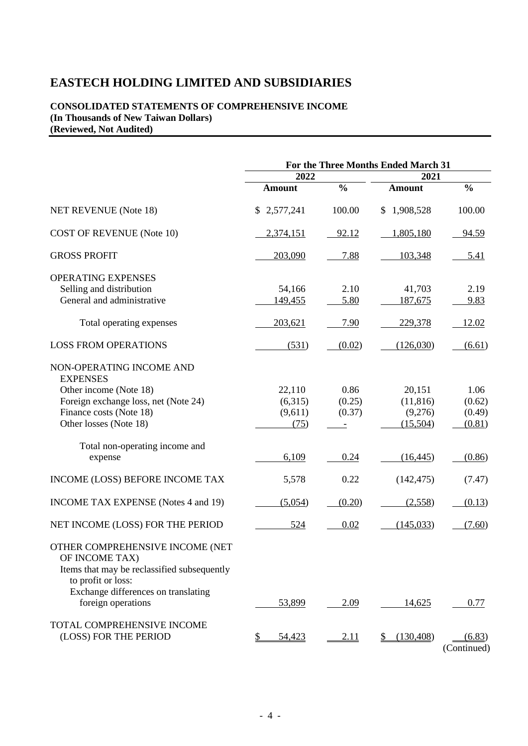#### **CONSOLIDATED STATEMENTS OF COMPREHENSIVE INCOME (In Thousands of New Taiwan Dollars) (Reviewed, Not Audited)**

|                                                                   | For the Three Months Ended March 31 |               |                             |                       |  |
|-------------------------------------------------------------------|-------------------------------------|---------------|-----------------------------|-----------------------|--|
|                                                                   | 2022                                |               | 2021                        |                       |  |
|                                                                   | <b>Amount</b>                       | $\frac{0}{0}$ | <b>Amount</b>               | $\frac{0}{0}$         |  |
| <b>NET REVENUE</b> (Note 18)                                      | \$2,577,241                         | 100.00        | 1,908,528<br>$\mathbb{S}$   | 100.00                |  |
| <b>COST OF REVENUE (Note 10)</b>                                  | 2,374,151                           | 92.12         | 1,805,180                   | 94.59                 |  |
| <b>GROSS PROFIT</b>                                               | 203,090                             | 7.88          | 103,348                     | 5.41                  |  |
| <b>OPERATING EXPENSES</b>                                         |                                     |               |                             |                       |  |
| Selling and distribution                                          | 54,166                              | 2.10          | 41,703                      | 2.19                  |  |
| General and administrative                                        | 149,455                             | 5.80          | 187,675                     | 9.83                  |  |
| Total operating expenses                                          | 203,621                             | 7.90          | 229,378                     | 12.02                 |  |
| <b>LOSS FROM OPERATIONS</b>                                       | (531)                               | (0.02)        | (126,030)                   | (6.61)                |  |
| NON-OPERATING INCOME AND<br><b>EXPENSES</b>                       |                                     |               |                             |                       |  |
| Other income (Note 18)                                            | 22,110                              | 0.86          | 20,151                      | 1.06                  |  |
| Foreign exchange loss, net (Note 24)                              | (6,315)                             | (0.25)        | (11, 816)                   | (0.62)                |  |
| Finance costs (Note 18)                                           | (9,611)                             | (0.37)        | (9,276)                     | (0.49)                |  |
| Other losses (Note 18)                                            | (75)                                | -             | (15,504)                    | (0.81)                |  |
|                                                                   |                                     |               |                             |                       |  |
| Total non-operating income and                                    |                                     |               |                             |                       |  |
| expense                                                           | 6,109                               | 0.24          | (16, 445)                   | (0.86)                |  |
| INCOME (LOSS) BEFORE INCOME TAX                                   | 5,578                               | 0.22          | (142, 475)                  | (7.47)                |  |
| <b>INCOME TAX EXPENSE</b> (Notes 4 and 19)                        | (5,054)                             | (0.20)        | (2,558)                     | (0.13)                |  |
| NET INCOME (LOSS) FOR THE PERIOD                                  | 524                                 | 0.02          | (145, 033)                  | (7.60)                |  |
| OTHER COMPREHENSIVE INCOME (NET<br>OF INCOME TAX)                 |                                     |               |                             |                       |  |
| Items that may be reclassified subsequently<br>to profit or loss: |                                     |               |                             |                       |  |
| Exchange differences on translating                               |                                     |               |                             |                       |  |
| foreign operations                                                | 53,899                              | 2.09          | 14,625                      | 0.77                  |  |
| TOTAL COMPREHENSIVE INCOME                                        |                                     |               |                             |                       |  |
| (LOSS) FOR THE PERIOD                                             | 54,423<br>$\frac{1}{2}$             | <u>2.11</u>   | (130, 408)<br>$\frac{1}{2}$ | (6.83)<br>(Continued) |  |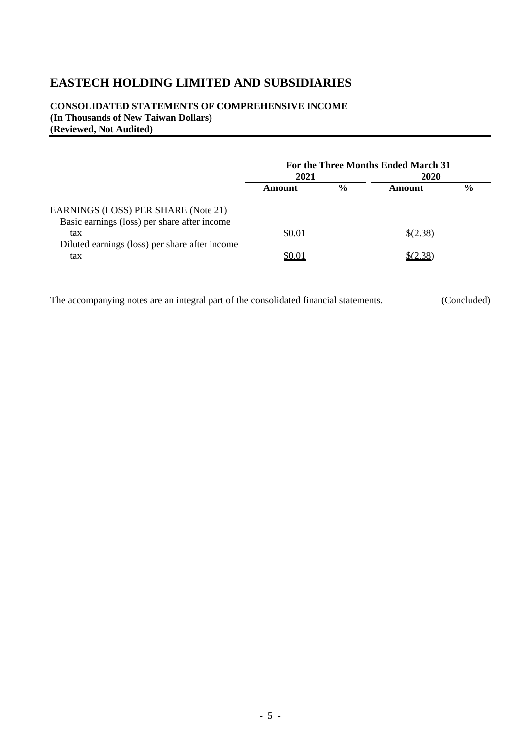#### **CONSOLIDATED STATEMENTS OF COMPREHENSIVE INCOME (In Thousands of New Taiwan Dollars) (Reviewed, Not Audited)**

|                                                                                     | For the Three Months Ended March 31 |               |              |               |  |
|-------------------------------------------------------------------------------------|-------------------------------------|---------------|--------------|---------------|--|
|                                                                                     | 2021                                |               |              | 2020          |  |
|                                                                                     | Amount                              | $\frac{6}{9}$ | Amount       | $\frac{6}{9}$ |  |
| EARNINGS (LOSS) PER SHARE (Note 21)<br>Basic earnings (loss) per share after income |                                     |               |              |               |  |
| tax                                                                                 | \$0.01                              |               | $$^{(2.38)}$ |               |  |
| Diluted earnings (loss) per share after income<br>tax                               | \$0.01                              |               |              |               |  |

The accompanying notes are an integral part of the consolidated financial statements. (Concluded)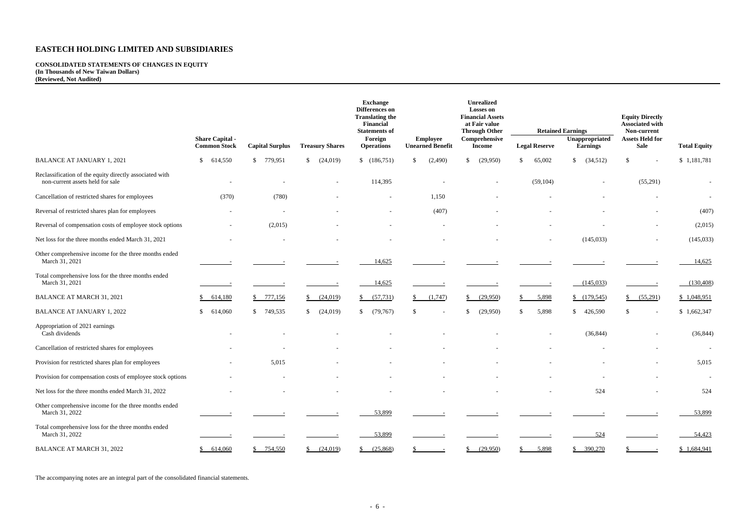#### **CONSOLIDATED STATEMENTS OF CHANGES IN EQUITY (In Thousands of New Taiwan Dollars) (Reviewed, Not Audited)**

|                                                                                             |                                               |                           |                             | <b>Exchange</b><br>Differences on<br><b>Translating the</b><br>Financial<br><b>Statements of</b> |                                            | Unrealized<br><b>Losses on</b><br><b>Financial Assets</b><br>at Fair value<br><b>Through Other</b> |                         | <b>Retained Earnings</b>          | <b>Equity Directly</b><br><b>Associated with</b><br>Non-current |                          |
|---------------------------------------------------------------------------------------------|-----------------------------------------------|---------------------------|-----------------------------|--------------------------------------------------------------------------------------------------|--------------------------------------------|----------------------------------------------------------------------------------------------------|-------------------------|-----------------------------------|-----------------------------------------------------------------|--------------------------|
|                                                                                             | <b>Share Capital -</b><br><b>Common Stock</b> | <b>Capital Surplus</b>    | <b>Treasury Shares</b>      | Foreign<br><b>Operations</b>                                                                     | <b>Employee</b><br><b>Unearned Benefit</b> | Comprehensive<br><b>Income</b>                                                                     | <b>Legal Reserve</b>    | Unappropriated<br><b>Earnings</b> | <b>Assets Held for</b><br><b>Sale</b>                           | <b>Total Equity</b>      |
| <b>BALANCE AT JANUARY 1, 2021</b>                                                           | 614,550<br><sup>\$</sup>                      | 779,951<br>$\mathbb{S}^-$ | $\mathbb{S}$<br>(24,019)    | \$(186,751)                                                                                      | (2,490)<br><sup>S</sup>                    | (29,950)<br>\$                                                                                     | 65,002<br><sup>\$</sup> | \$<br>(34,512)                    | -S                                                              | \$1,181,781              |
| Reclassification of the equity directly associated with<br>non-current assets held for sale |                                               |                           | $\overline{\phantom{a}}$    | 114,395                                                                                          |                                            |                                                                                                    | (59, 104)               |                                   | (55,291)                                                        | $\overline{\phantom{a}}$ |
| Cancellation of restricted shares for employees                                             | (370)                                         | (780)                     |                             |                                                                                                  | 1,150                                      |                                                                                                    |                         |                                   |                                                                 | $\sim$                   |
| Reversal of restricted shares plan for employees                                            | $\overline{\phantom{a}}$                      | $\overline{\phantom{a}}$  |                             | $\overline{\phantom{a}}$                                                                         | (407)                                      |                                                                                                    |                         |                                   |                                                                 | (407)                    |
| Reversal of compensation costs of employee stock options                                    | $\overline{\phantom{a}}$                      | (2,015)                   |                             |                                                                                                  |                                            |                                                                                                    |                         |                                   |                                                                 | (2,015)                  |
| Net loss for the three months ended March 31, 2021                                          |                                               |                           |                             |                                                                                                  |                                            |                                                                                                    |                         | (145, 033)                        |                                                                 | (145, 033)               |
| Other comprehensive income for the three months ended<br>March 31, 2021                     |                                               |                           |                             | 14,625                                                                                           |                                            |                                                                                                    |                         |                                   |                                                                 | 14,625                   |
| Total comprehensive loss for the three months ended<br>March 31, 2021                       |                                               |                           |                             | 14,625                                                                                           |                                            |                                                                                                    |                         | (145, 033)                        |                                                                 | (130, 408)               |
| <b>BALANCE AT MARCH 31, 2021</b>                                                            | 614,180                                       | \$777,156                 | (24,019)                    | (57, 731)<br>S.                                                                                  | (1,747)                                    | (29,950)                                                                                           | 5,898                   | (179,545)                         | (55,291)<br>\$                                                  | \$1,048,951              |
| <b>BALANCE AT JANUARY 1, 2022</b>                                                           | 614,060                                       | \$749,535                 | (24, 019)<br>$\mathbb{S}^-$ | (79, 767)<br>\$                                                                                  |                                            | (29,950)<br><sup>\$</sup>                                                                          | 5,898<br><sup>\$</sup>  | \$<br>426,590                     | £.                                                              | \$1,662,347              |
| Appropriation of 2021 earnings<br>Cash dividends                                            |                                               |                           |                             |                                                                                                  |                                            |                                                                                                    |                         | (36, 844)                         |                                                                 | (36, 844)                |
| Cancellation of restricted shares for employees                                             |                                               |                           |                             |                                                                                                  |                                            |                                                                                                    |                         |                                   |                                                                 |                          |
| Provision for restricted shares plan for employees                                          | $\sim$                                        | 5,015                     |                             |                                                                                                  |                                            |                                                                                                    |                         |                                   |                                                                 | 5,015                    |
| Provision for compensation costs of employee stock options                                  | $\sim$                                        |                           |                             |                                                                                                  |                                            |                                                                                                    |                         |                                   |                                                                 |                          |
| Net loss for the three months ended March 31, 2022                                          |                                               |                           |                             |                                                                                                  |                                            |                                                                                                    |                         | 524                               |                                                                 | 524                      |
| Other comprehensive income for the three months ended<br>March 31, 2022                     |                                               |                           |                             | 53,899                                                                                           |                                            |                                                                                                    |                         |                                   |                                                                 | 53,899                   |
| Total comprehensive loss for the three months ended<br>March 31, 2022                       |                                               |                           |                             | 53,899                                                                                           |                                            |                                                                                                    |                         | 524                               |                                                                 | 54,423                   |
| <b>BALANCE AT MARCH 31, 2022</b>                                                            | 614,060                                       | \$754,550                 | (24,019)                    | (25,868)                                                                                         |                                            | $\frac{(29,950)}{2}$                                                                               | 5,898                   | \$390,270                         |                                                                 | \$ 1,684,941             |

The accompanying notes are an integral part of the consolidated financial statements.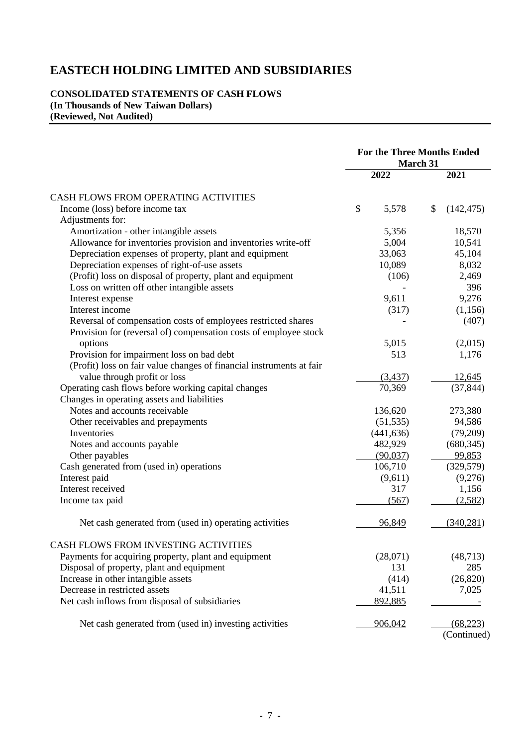#### **CONSOLIDATED STATEMENTS OF CASH FLOWS (In Thousands of New Taiwan Dollars) (Reviewed, Not Audited)**

|                                                                      | <b>For the Three Months Ended</b><br>March 31 |            |    |             |
|----------------------------------------------------------------------|-----------------------------------------------|------------|----|-------------|
|                                                                      |                                               | 2022       |    | 2021        |
| CASH FLOWS FROM OPERATING ACTIVITIES                                 |                                               |            |    |             |
| Income (loss) before income tax                                      | \$                                            | 5,578      | \$ | (142, 475)  |
| Adjustments for:                                                     |                                               |            |    |             |
| Amortization - other intangible assets                               |                                               | 5,356      |    | 18,570      |
| Allowance for inventories provision and inventories write-off        |                                               | 5,004      |    | 10,541      |
| Depreciation expenses of property, plant and equipment               |                                               | 33,063     |    | 45,104      |
| Depreciation expenses of right-of-use assets                         |                                               | 10,089     |    | 8,032       |
| (Profit) loss on disposal of property, plant and equipment           |                                               | (106)      |    | 2,469       |
| Loss on written off other intangible assets                          |                                               |            |    | 396         |
| Interest expense                                                     |                                               | 9,611      |    | 9,276       |
| Interest income                                                      |                                               | (317)      |    | (1,156)     |
| Reversal of compensation costs of employees restricted shares        |                                               |            |    | (407)       |
| Provision for (reversal of) compensation costs of employee stock     |                                               |            |    |             |
| options                                                              |                                               | 5,015      |    | (2,015)     |
| Provision for impairment loss on bad debt                            |                                               | 513        |    | 1,176       |
| (Profit) loss on fair value changes of financial instruments at fair |                                               |            |    |             |
| value through profit or loss                                         |                                               | (3,437)    |    | 12,645      |
| Operating cash flows before working capital changes                  |                                               | 70,369     |    | (37, 844)   |
| Changes in operating assets and liabilities                          |                                               |            |    |             |
| Notes and accounts receivable                                        |                                               | 136,620    |    | 273,380     |
| Other receivables and prepayments                                    |                                               | (51, 535)  |    | 94,586      |
| Inventories                                                          |                                               | (441, 636) |    | (79,209)    |
| Notes and accounts payable                                           |                                               | 482,929    |    | (680, 345)  |
| Other payables                                                       |                                               | (90,037)   |    | 99,853      |
| Cash generated from (used in) operations                             |                                               | 106,710    |    | (329, 579)  |
| Interest paid                                                        |                                               | (9,611)    |    | (9,276)     |
| Interest received                                                    |                                               | 317        |    | 1,156       |
| Income tax paid                                                      |                                               | (567)      |    | (2,582)     |
| Net cash generated from (used in) operating activities               |                                               | 96,849     |    | (340, 281)  |
| CASH FLOWS FROM INVESTING ACTIVITIES                                 |                                               |            |    |             |
| Payments for acquiring property, plant and equipment                 |                                               | (28,071)   |    | (48, 713)   |
| Disposal of property, plant and equipment                            |                                               | 131        |    | 285         |
| Increase in other intangible assets                                  |                                               | (414)      |    | (26, 820)   |
| Decrease in restricted assets                                        |                                               | 41,511     |    | 7,025       |
| Net cash inflows from disposal of subsidiaries                       |                                               | 892,885    |    |             |
| Net cash generated from (used in) investing activities               |                                               | 906,042    |    | (68, 223)   |
|                                                                      |                                               |            |    | (Continued) |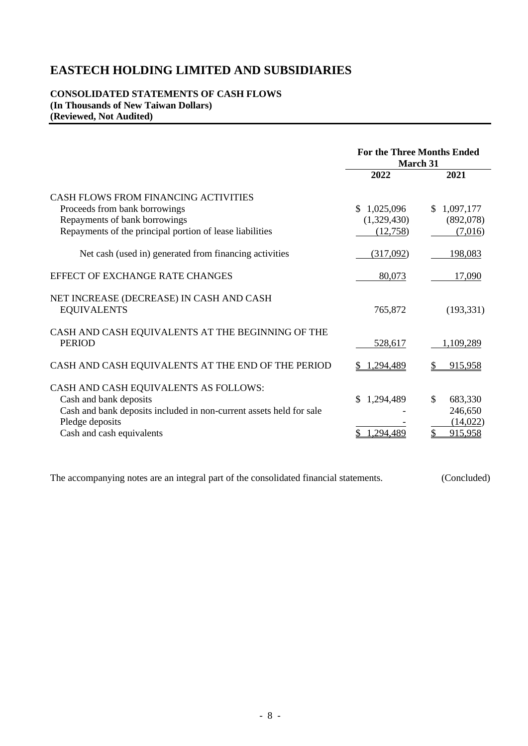#### **CONSOLIDATED STATEMENTS OF CASH FLOWS (In Thousands of New Taiwan Dollars) (Reviewed, Not Audited)**

|                                                                                                                                                                                        | <b>For the Three Months Ended</b><br><b>March 31</b> |                                                  |
|----------------------------------------------------------------------------------------------------------------------------------------------------------------------------------------|------------------------------------------------------|--------------------------------------------------|
|                                                                                                                                                                                        | 2022                                                 | 2021                                             |
| <b>CASH FLOWS FROM FINANCING ACTIVITIES</b><br>Proceeds from bank borrowings<br>Repayments of bank borrowings<br>Repayments of the principal portion of lease liabilities              | 1,025,096<br>S.<br>(1,329,430)<br>(12,758)           | \$1,097,177<br>(892,078)<br>(7,016)              |
| Net cash (used in) generated from financing activities                                                                                                                                 | (317,092)                                            | 198,083                                          |
| EFFECT OF EXCHANGE RATE CHANGES                                                                                                                                                        | 80,073                                               | 17,090                                           |
| NET INCREASE (DECREASE) IN CASH AND CASH<br><b>EQUIVALENTS</b>                                                                                                                         | 765,872                                              | (193, 331)                                       |
| CASH AND CASH EQUIVALENTS AT THE BEGINNING OF THE<br><b>PERIOD</b>                                                                                                                     | 528,617                                              | 1,109,289                                        |
| CASH AND CASH EQUIVALENTS AT THE END OF THE PERIOD                                                                                                                                     | .294,489                                             | 915,958                                          |
| CASH AND CASH EQUIVALENTS AS FOLLOWS:<br>Cash and bank deposits<br>Cash and bank deposits included in non-current assets held for sale<br>Pledge deposits<br>Cash and cash equivalents | 1,294,489<br>\$.<br>.294,48                          | \$<br>683,330<br>246,650<br>(14, 022)<br>915,958 |

The accompanying notes are an integral part of the consolidated financial statements. (Concluded)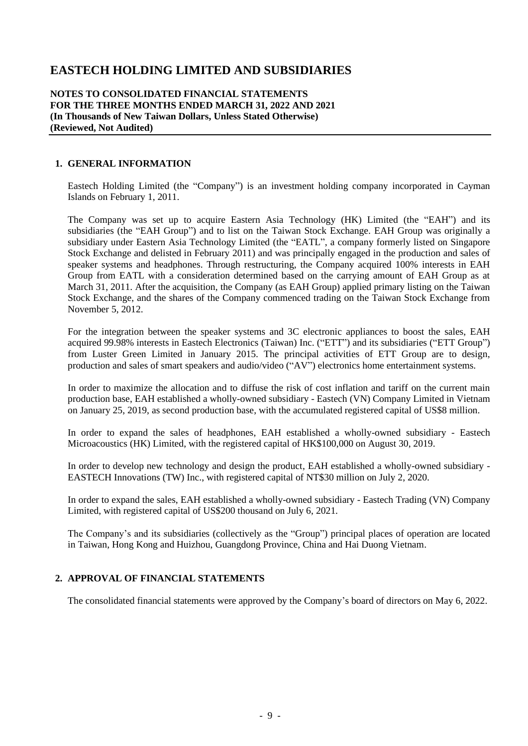**NOTES TO CONSOLIDATED FINANCIAL STATEMENTS FOR THE THREE MONTHS ENDED MARCH 31, 2022 AND 2021 (In Thousands of New Taiwan Dollars, Unless Stated Otherwise) (Reviewed, Not Audited)**

#### **1. GENERAL INFORMATION**

Eastech Holding Limited (the "Company") is an investment holding company incorporated in Cayman Islands on February 1, 2011.

The Company was set up to acquire Eastern Asia Technology (HK) Limited (the "EAH") and its subsidiaries (the "EAH Group") and to list on the Taiwan Stock Exchange. EAH Group was originally a subsidiary under Eastern Asia Technology Limited (the "EATL", a company formerly listed on Singapore Stock Exchange and delisted in February 2011) and was principally engaged in the production and sales of speaker systems and headphones. Through restructuring, the Company acquired 100% interests in EAH Group from EATL with a consideration determined based on the carrying amount of EAH Group as at March 31, 2011. After the acquisition, the Company (as EAH Group) applied primary listing on the Taiwan Stock Exchange, and the shares of the Company commenced trading on the Taiwan Stock Exchange from November 5, 2012.

For the integration between the speaker systems and 3C electronic appliances to boost the sales, EAH acquired 99.98% interests in Eastech Electronics (Taiwan) Inc. ("ETT") and its subsidiaries ("ETT Group") from Luster Green Limited in January 2015. The principal activities of ETT Group are to design, production and sales of smart speakers and audio/video ("AV") electronics home entertainment systems.

In order to maximize the allocation and to diffuse the risk of cost inflation and tariff on the current main production base, EAH established a wholly-owned subsidiary - Eastech (VN) Company Limited in Vietnam on January 25, 2019, as second production base, with the accumulated registered capital of US\$8 million.

In order to expand the sales of headphones, EAH established a wholly-owned subsidiary - Eastech Microacoustics (HK) Limited, with the registered capital of HK\$100,000 on August 30, 2019.

In order to develop new technology and design the product, EAH established a wholly-owned subsidiary - EASTECH Innovations (TW) Inc., with registered capital of NT\$30 million on July 2, 2020.

In order to expand the sales, EAH established a wholly-owned subsidiary - Eastech Trading (VN) Company Limited, with registered capital of US\$200 thousand on July 6, 2021.

The Company's and its subsidiaries (collectively as the "Group") principal places of operation are located in Taiwan, Hong Kong and Huizhou, Guangdong Province, China and Hai Duong Vietnam.

#### **2. APPROVAL OF FINANCIAL STATEMENTS**

The consolidated financial statements were approved by the Company's board of directors on May 6, 2022.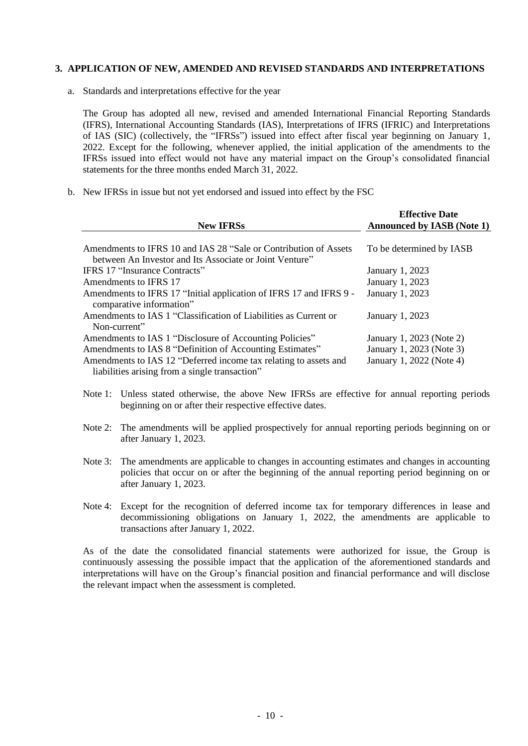#### **3. APPLICATION OF NEW, AMENDED AND REVISED STANDARDS AND INTERPRETATIONS**

a. Standards and interpretations effective for the year

The Group has adopted all new, revised and amended International Financial Reporting Standards (IFRS), International Accounting Standards (IAS), Interpretations of IFRS (IFRIC) and Interpretations of IAS (SIC) (collectively, the "IFRSs") issued into effect after fiscal year beginning on January 1, 2022. Except for the following, whenever applied, the initial application of the amendments to the IFRSs issued into effect would not have any material impact on the Group's consolidated financial statements for the three months ended March 31, 2022.

b. New IFRSs in issue but not yet endorsed and issued into effect by the FSC

|                                                                                                | <b>Effective Date</b>             |
|------------------------------------------------------------------------------------------------|-----------------------------------|
| <b>New IFRSs</b>                                                                               | <b>Announced by IASB (Note 1)</b> |
|                                                                                                |                                   |
| Amendments to IFRS 10 and IAS 28 "Sale or Contribution of Assets                               | To be determined by IASB          |
| between An Investor and Its Associate or Joint Venture"                                        |                                   |
| <b>IFRS 17 "Insurance Contracts"</b>                                                           | January 1, 2023                   |
| Amendments to IFRS 17                                                                          | January 1, 2023                   |
| Amendments to IFRS 17 "Initial application of IFRS 17 and IFRS 9 -<br>comparative information" | January 1, 2023                   |
| Amendments to IAS 1 "Classification of Liabilities as Current or<br>Non-current"               | January 1, 2023                   |
| Amendments to IAS 1 "Disclosure of Accounting Policies"                                        | January 1, 2023 (Note 2)          |
| Amendments to IAS 8 "Definition of Accounting Estimates"                                       | January 1, 2023 (Note 3)          |
| Amendments to IAS 12 "Deferred income tax relating to assets and                               | January 1, 2022 (Note 4)          |
| liabilities arising from a single transaction"                                                 |                                   |

- Note 1: Unless stated otherwise, the above New IFRSs are effective for annual reporting periods beginning on or after their respective effective dates.
- Note 2: The amendments will be applied prospectively for annual reporting periods beginning on or after January 1, 2023.
- Note 3: The amendments are applicable to changes in accounting estimates and changes in accounting policies that occur on or after the beginning of the annual reporting period beginning on or after January 1, 2023.
- Note 4: Except for the recognition of deferred income tax for temporary differences in lease and decommissioning obligations on January 1, 2022, the amendments are applicable to transactions after January 1, 2022.

As of the date the consolidated financial statements were authorized for issue, the Group is continuously assessing the possible impact that the application of the aforementioned standards and interpretations will have on the Group's financial position and financial performance and will disclose the relevant impact when the assessment is completed.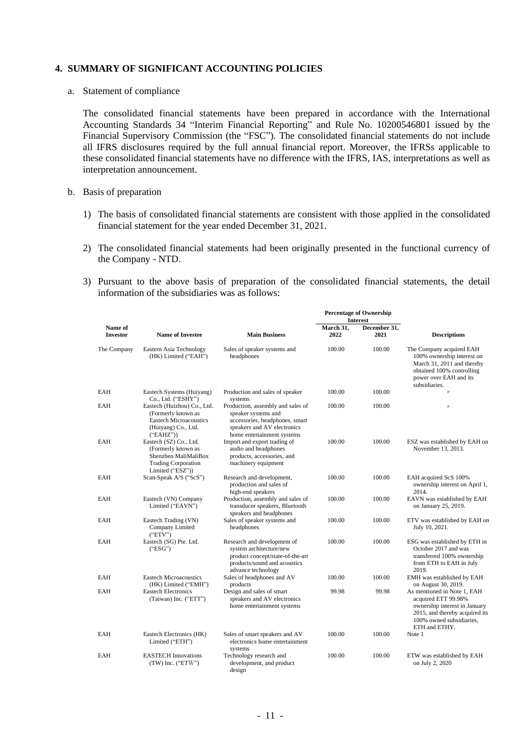#### **4. SUMMARY OF SIGNIFICANT ACCOUNTING POLICIES**

a. Statement of compliance

The consolidated financial statements have been prepared in accordance with the International Accounting Standards 34 "Interim Financial Reporting" and Rule No. 10200546801 issued by the Financial Supervisory Commission (the "FSC"). The consolidated financial statements do not include all IFRS disclosures required by the full annual financial report. Moreover, the IFRSs applicable to these consolidated financial statements have no difference with the IFRS, IAS, interpretations as well as interpretation announcement.

- b. Basis of preparation
	- 1) The basis of consolidated financial statements are consistent with those applied in the consolidated financial statement for the year ended December 31, 2021.
	- 2) The consolidated financial statements had been originally presented in the functional currency of the Company - NTD.
	- 3) Pursuant to the above basis of preparation of the consolidated financial statements, the detail information of the subsidiaries was as follows:

|                            |                                                                                                                        |                                                                                                                                                         |                   | <b>Percentage of Ownership</b><br><b>Interest</b> |                                                                                                                                                                    |  |
|----------------------------|------------------------------------------------------------------------------------------------------------------------|---------------------------------------------------------------------------------------------------------------------------------------------------------|-------------------|---------------------------------------------------|--------------------------------------------------------------------------------------------------------------------------------------------------------------------|--|
| Name of<br><b>Investor</b> | <b>Name of Investee</b>                                                                                                | <b>Main Business</b>                                                                                                                                    | March 31,<br>2022 | December 31,<br>2021                              | <b>Descriptions</b>                                                                                                                                                |  |
| The Company                | Eastern Asia Technology<br>(HK) Limited ("EAH")                                                                        | Sales of speaker systems and<br>headphones                                                                                                              | 100.00            | 100.00                                            | The Company acquired EAH<br>100% ownership interest on<br>March 31, 2011 and thereby<br>obtained 100% controlling<br>power over EAH and its<br>subsidiaries.       |  |
| EAH                        | Eastech Systems (Huiyang)<br>Co., Ltd. ("ESHY")                                                                        | Production and sales of speaker<br>systems                                                                                                              | 100.00            | 100.00                                            | $^{\prime\prime}$                                                                                                                                                  |  |
| EAH                        | Eastech (Huizhou) Co., Ltd.<br>(Formerly known as<br><b>Eastech Microacoustics</b><br>(Huiyang) Co., Ltd.<br>("EAHZ")  | Production, assembly and sales of<br>speaker systems and<br>accessories, headphones, smart<br>speakers and AV electronics<br>home entertainment systems | 100.00            | 100.00                                            | $\prime\prime$                                                                                                                                                     |  |
| EAH                        | Eastech (SZ) Co., Ltd.<br>(Formerly known as<br>Shenzhen MaliMaliBox<br><b>Trading Corporation</b><br>Limited ("ESZ")) | Import and export trading of<br>audio and headphones<br>products, accessories, and<br>machinery equipment                                               | 100.00            | 100.00                                            | ESZ was established by EAH on<br>November 13, 2013.                                                                                                                |  |
| EAH                        | Scan-Speak A/S ("ScS")                                                                                                 | Research and development,<br>production and sales of<br>high-end speakers                                                                               | 100.00            | 100.00                                            | EAH acquired ScS 100%<br>ownership interest on April 1,<br>2014.                                                                                                   |  |
| EAH                        | Eastech (VN) Company<br>Limited ("EAVN")                                                                               | Production, assembly and sales of<br>transducer speakers, Bluetooth<br>speakers and headphones                                                          | 100.00            | 100.00                                            | EAVN was established by EAH<br>on January 25, 2019.                                                                                                                |  |
| EAH                        | Eastech Trading (VN)<br>Company Limited<br>("ETV")                                                                     | Sales of speaker systems and<br>headphones                                                                                                              | 100.00            | 100.00                                            | ETV was established by EAH on<br>July 10, 2021.                                                                                                                    |  |
| EAH                        | Eastech (SG) Pte. Ltd.<br>("ESG")                                                                                      | Research and development of<br>system architecture/new<br>product concept/state-of-the-art<br>products/sound and acoustics<br>advance technology        | 100.00            | 100.00                                            | ESG was established by ETH in<br>October 2017 and was<br>transferred 100% ownership<br>from ETH to EAH in July<br>2019.                                            |  |
| EAH                        | <b>Eastech Microacoustics</b><br>(HK) Limited ("EMH")                                                                  | Sales of headphones and AV<br>products                                                                                                                  | 100.00            | 100.00                                            | EMH was established by EAH<br>on August 30, 2019.                                                                                                                  |  |
| EAH                        | <b>Eastech Electronics</b><br>(Taiwan) Inc. ("ETT")                                                                    | Design and sales of smart<br>speakers and AV electronics<br>home entertainment systems                                                                  | 99.98             | 99.98                                             | As mentioned in Note 1, EAH<br>acquired ETT 99.98%<br>ownership interest in January<br>2015, and thereby acquired its<br>100% owned subsidiaries,<br>ETH and ETHY. |  |
| EAH                        | Eastech Electronics (HK)<br>Limited ("ETH")                                                                            | Sales of smart speakers and AV<br>electronics home entertainment<br>systems                                                                             | 100.00            | 100.00                                            | Note 1                                                                                                                                                             |  |
| EAH                        | <b>EASTECH</b> Innovations<br>$(TW)$ Inc. ("ETW")                                                                      | Technology research and<br>development, and product<br>design                                                                                           | 100.00            | 100.00                                            | ETW was established by EAH<br>on July 2, 2020                                                                                                                      |  |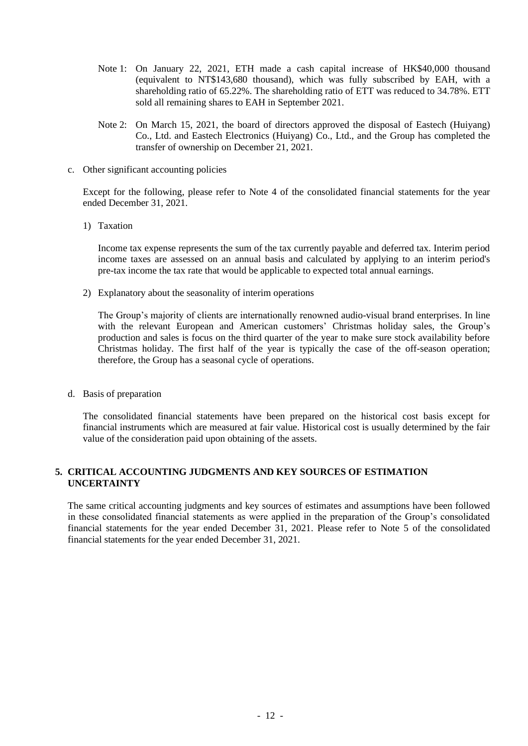- Note 1: On January 22, 2021, ETH made a cash capital increase of HK\$40,000 thousand (equivalent to NT\$143,680 thousand), which was fully subscribed by EAH, with a shareholding ratio of 65.22%. The shareholding ratio of ETT was reduced to 34.78%. ETT sold all remaining shares to EAH in September 2021.
- Note 2: On March 15, 2021, the board of directors approved the disposal of Eastech (Huiyang) Co., Ltd. and Eastech Electronics (Huiyang) Co., Ltd., and the Group has completed the transfer of ownership on December 21, 2021.
- c. Other significant accounting policies

Except for the following, please refer to Note 4 of the consolidated financial statements for the year ended December 31, 2021.

1) Taxation

Income tax expense represents the sum of the tax currently payable and deferred tax. Interim period income taxes are assessed on an annual basis and calculated by applying to an interim period's pre-tax income the tax rate that would be applicable to expected total annual earnings.

2) Explanatory about the seasonality of interim operations

The Group's majority of clients are internationally renowned audio-visual brand enterprises. In line with the relevant European and American customers' Christmas holiday sales, the Group's production and sales is focus on the third quarter of the year to make sure stock availability before Christmas holiday. The first half of the year is typically the case of the off-season operation; therefore, the Group has a seasonal cycle of operations.

d. Basis of preparation

The consolidated financial statements have been prepared on the historical cost basis except for financial instruments which are measured at fair value. Historical cost is usually determined by the fair value of the consideration paid upon obtaining of the assets.

#### **5. CRITICAL ACCOUNTING JUDGMENTS AND KEY SOURCES OF ESTIMATION UNCERTAINTY**

The same critical accounting judgments and key sources of estimates and assumptions have been followed in these consolidated financial statements as were applied in the preparation of the Group's consolidated financial statements for the year ended December 31, 2021. Please refer to Note 5 of the consolidated financial statements for the year ended December 31, 2021.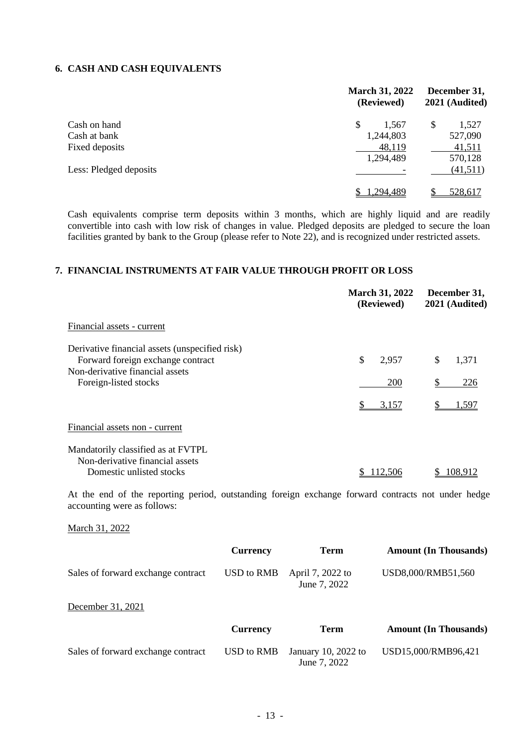### **6. CASH AND CASH EQUIVALENTS**

|                        | <b>March 31, 2022</b><br>(Reviewed) | December 31,<br>2021 (Audited) |  |
|------------------------|-------------------------------------|--------------------------------|--|
| Cash on hand           | \$<br>1,567                         | \$<br>1,527                    |  |
| Cash at bank           | 1,244,803                           | 527,090                        |  |
| Fixed deposits         | 48,119                              | 41,511                         |  |
|                        | 1,294,489                           | 570,128                        |  |
| Less: Pledged deposits |                                     | (41,511)                       |  |
|                        | 1,294,489                           | 528,617                        |  |

Cash equivalents comprise term deposits within 3 months, which are highly liquid and are readily convertible into cash with low risk of changes in value. Pledged deposits are pledged to secure the loan facilities granted by bank to the Group (please refer to Note 22), and is recognized under restricted assets.

### **7. FINANCIAL INSTRUMENTS AT FAIR VALUE THROUGH PROFIT OR LOSS**

|                                                                                                                                   | <b>March 31, 2022</b><br>(Reviewed) | December 31,<br>2021 (Audited) |
|-----------------------------------------------------------------------------------------------------------------------------------|-------------------------------------|--------------------------------|
| Financial assets - current                                                                                                        |                                     |                                |
| Derivative financial assets (unspecified risk)<br>Forward foreign exchange contract<br>Non-derivative financial assets            | \$<br>2,957                         | \$<br>1,371                    |
| Foreign-listed stocks                                                                                                             | 200                                 | 226<br>\$                      |
|                                                                                                                                   | 3,157                               | 1,597                          |
| Financial assets non - current                                                                                                    |                                     |                                |
| Mandatorily classified as at FVTPL<br>Non-derivative financial assets                                                             |                                     |                                |
| Domestic unlisted stocks                                                                                                          | 112,506                             | 108,912                        |
| At the end of the reporting period, outstanding foreign exchange forward contracts not under hedge<br>accounting were as follows: |                                     |                                |
| March 31, 2022                                                                                                                    |                                     |                                |

|                                    | <b>Currency</b>   | <b>Term</b>                         | <b>Amount (In Thousands)</b> |
|------------------------------------|-------------------|-------------------------------------|------------------------------|
| Sales of forward exchange contract | USD to RMB        | April 7, 2022 to<br>June 7, 2022    | USD8,000/RMB51,560           |
| December 31, 2021                  |                   |                                     |                              |
|                                    | <b>Currency</b>   | Term                                | <b>Amount (In Thousands)</b> |
| Sales of forward exchange contract | <b>USD</b> to RMB | January 10, 2022 to<br>June 7, 2022 | USD15,000/RMB96,421          |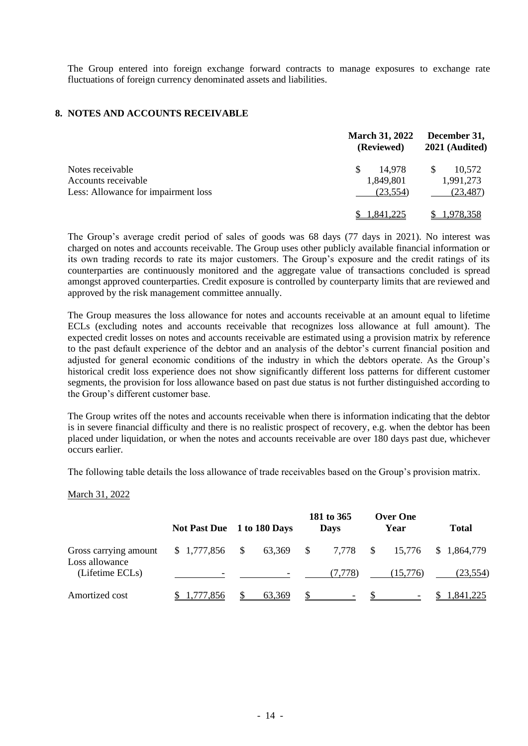The Group entered into foreign exchange forward contracts to manage exposures to exchange rate fluctuations of foreign currency denominated assets and liabilities.

#### **8. NOTES AND ACCOUNTS RECEIVABLE**

|                                     | <b>March 31, 2022</b><br>(Reviewed) | December 31,<br>2021 (Audited) |  |
|-------------------------------------|-------------------------------------|--------------------------------|--|
| Notes receivable                    | 14.978<br>\$.                       | 10.572<br>\$.                  |  |
| Accounts receivable                 | 1,849,801                           | 1,991,273                      |  |
| Less: Allowance for impairment loss | (23, 554)                           | (23, 487)                      |  |
|                                     | 1.841.225                           | 1.978.358                      |  |

The Group's average credit period of sales of goods was 68 days (77 days in 2021). No interest was charged on notes and accounts receivable. The Group uses other publicly available financial information or its own trading records to rate its major customers. The Group's exposure and the credit ratings of its counterparties are continuously monitored and the aggregate value of transactions concluded is spread amongst approved counterparties. Credit exposure is controlled by counterparty limits that are reviewed and approved by the risk management committee annually.

The Group measures the loss allowance for notes and accounts receivable at an amount equal to lifetime ECLs (excluding notes and accounts receivable that recognizes loss allowance at full amount). The expected credit losses on notes and accounts receivable are estimated using a provision matrix by reference to the past default experience of the debtor and an analysis of the debtor's current financial position and adjusted for general economic conditions of the industry in which the debtors operate. As the Group's historical credit loss experience does not show significantly different loss patterns for different customer segments, the provision for loss allowance based on past due status is not further distinguished according to the Group's different customer base.

The Group writes off the notes and accounts receivable when there is information indicating that the debtor is in severe financial difficulty and there is no realistic prospect of recovery, e.g. when the debtor has been placed under liquidation, or when the notes and accounts receivable are over 180 days past due, whichever occurs earlier.

The following table details the loss allowance of trade receivables based on the Group's provision matrix.

#### March 31, 2022

|                                         | Not Past Due 1 to 180 Days |     |                          |               | 181 to 365<br><b>Days</b> |              | <b>Over One</b><br>Year | <b>Total</b> |
|-----------------------------------------|----------------------------|-----|--------------------------|---------------|---------------------------|--------------|-------------------------|--------------|
| Gross carrying amount<br>Loss allowance | \$1,777,856                | \$. | 63,369                   | $\mathcal{S}$ | 7,778                     | <sup>S</sup> | 15,776                  | \$1,864,779  |
| (Lifetime ECLs)                         |                            |     | $\overline{\phantom{0}}$ |               | (7,778)                   |              | (15,776)                | (23, 554)    |
| Amortized cost                          | 1,777,856                  |     | 63.369                   |               |                           |              |                         | \$ 1,841,225 |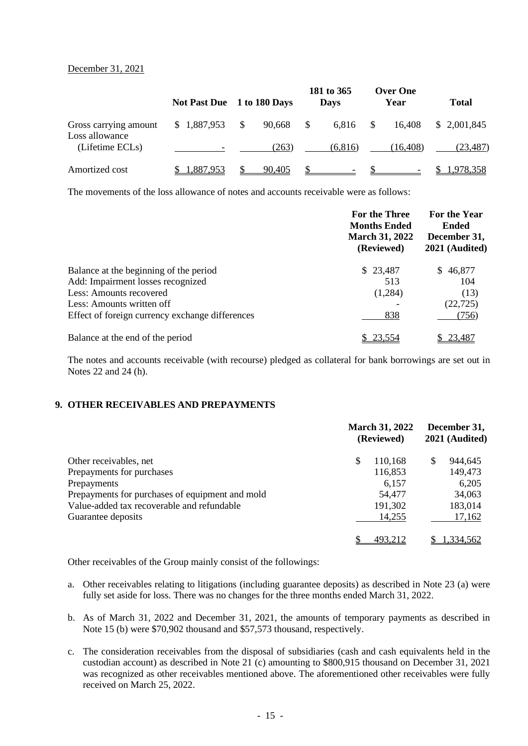#### December 31, 2021

|                                         | <b>Not Past Due</b> |    | 1 to 180 Days |              | 181 to 365<br><b>Days</b> |   | <b>Over One</b><br>Year | <b>Total</b> |
|-----------------------------------------|---------------------|----|---------------|--------------|---------------------------|---|-------------------------|--------------|
| Gross carrying amount<br>Loss allowance | \$1,887,953         | S. | 90,668        | $\mathbb{S}$ | 6,816                     | S | 16,408                  | \$ 2,001,845 |
| (Lifetime ECLs)                         |                     |    | (263)         |              | (6,816)                   |   | (16, 408)               | (23, 487)    |
| Amortized cost                          | 1,887,953           |    | 90,405        |              |                           |   |                         | 1,978,358    |

The movements of the loss allowance of notes and accounts receivable were as follows:

|                                                 | For the Three<br><b>Months Ended</b><br><b>March 31, 2022</b><br>(Reviewed) | For the Year<br><b>Ended</b><br>December 31,<br>2021 (Audited) |  |
|-------------------------------------------------|-----------------------------------------------------------------------------|----------------------------------------------------------------|--|
| Balance at the beginning of the period          | \$23,487                                                                    | 46,877<br>S.                                                   |  |
| Add: Impairment losses recognized               | 513                                                                         | 104                                                            |  |
| Less: Amounts recovered                         | (1,284)                                                                     | (13)                                                           |  |
| Less: Amounts written off                       |                                                                             | (22, 725)                                                      |  |
| Effect of foreign currency exchange differences | 838                                                                         | (756)                                                          |  |
| Balance at the end of the period                | 23,554                                                                      | 23,487                                                         |  |

The notes and accounts receivable (with recourse) pledged as collateral for bank borrowings are set out in Notes 22 and 24 (h).

#### **9. OTHER RECEIVABLES AND PREPAYMENTS**

|                                                 | <b>March 31, 2022</b><br>(Reviewed) | December 31,<br>2021 (Audited) |
|-------------------------------------------------|-------------------------------------|--------------------------------|
| Other receivables, net                          | \$<br>110,168                       | 944,645                        |
| Prepayments for purchases                       | 116,853                             | 149,473                        |
| Prepayments                                     | 6.157                               | 6,205                          |
| Prepayments for purchases of equipment and mold | 54,477                              | 34,063                         |
| Value-added tax recoverable and refundable      | 191,302                             | 183,014                        |
| Guarantee deposits                              | 14,255                              | 17,162                         |
|                                                 | 493,212                             | 1.334.562                      |

Other receivables of the Group mainly consist of the followings:

- a. Other receivables relating to litigations (including guarantee deposits) as described in Note 23 (a) were fully set aside for loss. There was no changes for the three months ended March 31, 2022.
- b. As of March 31, 2022 and December 31, 2021, the amounts of temporary payments as described in Note 15 (b) were \$70,902 thousand and \$57,573 thousand, respectively.
- c. The consideration receivables from the disposal of subsidiaries (cash and cash equivalents held in the custodian account) as described in Note 21 (c) amounting to \$800,915 thousand on December 31, 2021 was recognized as other receivables mentioned above. The aforementioned other receivables were fully received on March 25, 2022.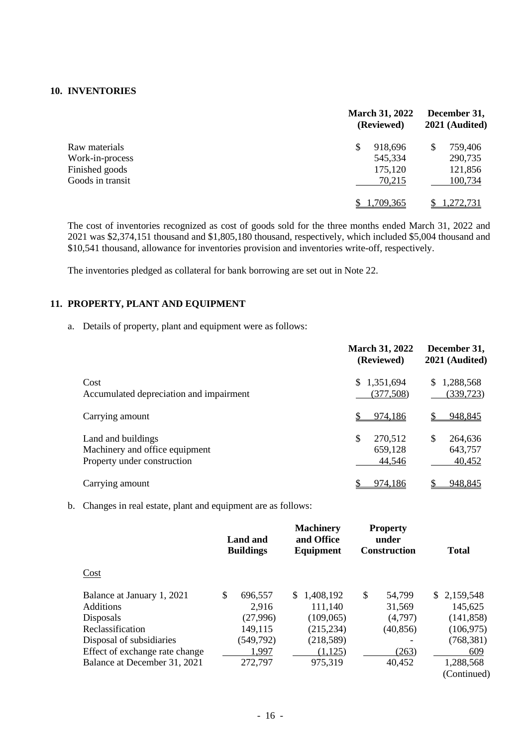#### **10. INVENTORIES**

| Raw materials    | <b>March 31, 2022</b><br>(Reviewed) | December 31,<br>2021 (Audited) |  |  |
|------------------|-------------------------------------|--------------------------------|--|--|
|                  | 918,696<br>\$                       | 759,406                        |  |  |
| Work-in-process  | 545,334                             | 290,735                        |  |  |
| Finished goods   | 175,120                             | 121,856                        |  |  |
| Goods in transit | 70,215                              | 100,734                        |  |  |
|                  | 1,709,365                           | 1,272,731                      |  |  |

The cost of inventories recognized as cost of goods sold for the three months ended March 31, 2022 and 2021 was \$2,374,151 thousand and \$1,805,180 thousand, respectively, which included \$5,004 thousand and \$10,541 thousand, allowance for inventories provision and inventories write-off, respectively.

The inventories pledged as collateral for bank borrowing are set out in Note 22.

#### **11. PROPERTY, PLANT AND EQUIPMENT**

a. Details of property, plant and equipment were as follows:

|                                                                                     | <b>March 31, 2022</b><br>(Reviewed) | December 31,<br>2021 (Audited)    |
|-------------------------------------------------------------------------------------|-------------------------------------|-----------------------------------|
| Cost<br>Accumulated depreciation and impairment                                     | 1,351,694<br>S.<br>(377, 508)       | 1,288,568<br>S.<br>(339, 723)     |
| Carrying amount                                                                     | 974,186                             | 948,845                           |
| Land and buildings<br>Machinery and office equipment<br>Property under construction | 270,512<br>S<br>659,128<br>44,546   | S<br>264,636<br>643,757<br>40,452 |
| Carrying amount                                                                     | 974,186                             | 948,845                           |

b. Changes in real estate, plant and equipment are as follows:

|                                |    | Land and<br><b>Buildings</b> | <b>Machinery</b><br>and Office<br>Equipment | <b>Property</b><br>under<br><b>Construction</b> |           | <b>Total</b> |             |
|--------------------------------|----|------------------------------|---------------------------------------------|-------------------------------------------------|-----------|--------------|-------------|
| Cost                           |    |                              |                                             |                                                 |           |              |             |
| Balance at January 1, 2021     | \$ | 696,557                      | 1,408,192<br>\$.                            | \$                                              | 54,799    |              | \$2,159,548 |
| <b>Additions</b>               |    | 2,916                        | 111,140                                     |                                                 | 31,569    |              | 145,625     |
| Disposals                      |    | (27,996)                     | (109,065)                                   |                                                 | (4,797)   |              | (141, 858)  |
| Reclassification               |    | 149,115                      | (215, 234)                                  |                                                 | (40, 856) |              | (106, 975)  |
| Disposal of subsidiaries       |    | (549, 792)                   | (218,589)                                   |                                                 |           |              | (768, 381)  |
| Effect of exchange rate change |    | 1,997                        | (1, 125)                                    |                                                 | (263)     |              | 609         |
| Balance at December 31, 2021   |    | 272,797                      | 975,319                                     |                                                 | 40,452    |              | 1,288,568   |
|                                |    |                              |                                             |                                                 |           |              | (Continued) |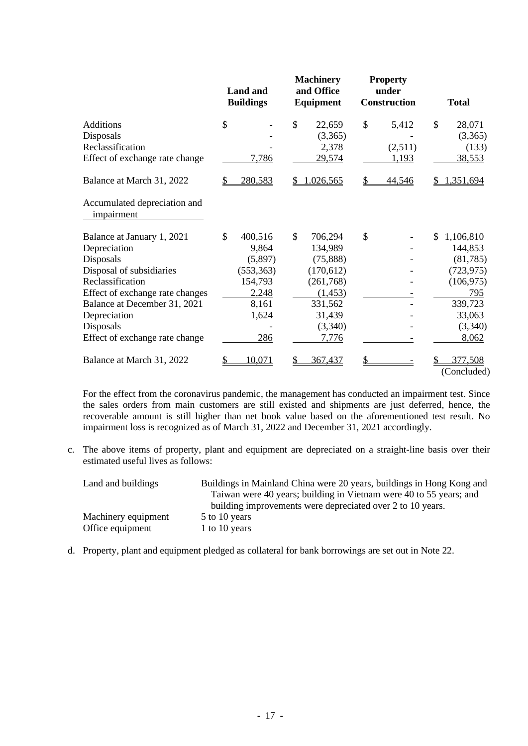|                                            | <b>Land and</b><br><b>Buildings</b> |            | <b>Machinery</b><br>and Office<br>Equipment | <b>Property</b><br>under<br>Construction | <b>Total</b> |                        |  |
|--------------------------------------------|-------------------------------------|------------|---------------------------------------------|------------------------------------------|--------------|------------------------|--|
| <b>Additions</b>                           | \$                                  |            | \$<br>22,659                                | \$<br>5,412                              | \$           | 28,071                 |  |
| Disposals                                  |                                     |            | (3,365)                                     |                                          |              | (3,365)                |  |
| Reclassification                           |                                     |            | 2,378                                       | (2,511)                                  |              | (133)                  |  |
| Effect of exchange rate change             |                                     | 7,786      | 29,574                                      | 1,193                                    |              | 38,553                 |  |
| Balance at March 31, 2022                  | \$                                  | 280,583    | \$<br>1.026,565                             | \$<br>44,546                             |              | ,351,694               |  |
| Accumulated depreciation and<br>impairment |                                     |            |                                             |                                          |              |                        |  |
| Balance at January 1, 2021                 | \$                                  | 400,516    | \$<br>706,294                               | \$                                       | \$           | 1,106,810              |  |
| Depreciation                               |                                     | 9,864      | 134,989                                     |                                          |              | 144,853                |  |
| Disposals                                  |                                     | (5,897)    | (75,888)                                    |                                          |              | (81, 785)              |  |
| Disposal of subsidiaries                   |                                     | (553, 363) | (170,612)                                   |                                          |              | (723, 975)             |  |
| Reclassification                           |                                     | 154,793    | (261, 768)                                  |                                          |              | (106, 975)             |  |
| Effect of exchange rate changes            |                                     | 2,248      | (1, 453)                                    |                                          |              | 795                    |  |
| Balance at December 31, 2021               |                                     | 8,161      | 331,562                                     |                                          |              | 339,723                |  |
| Depreciation                               |                                     | 1,624      | 31,439                                      |                                          |              | 33,063                 |  |
| Disposals                                  |                                     |            | (3,340)                                     |                                          |              | (3,340)                |  |
| Effect of exchange rate change             |                                     | 286        | 7,776                                       |                                          |              | 8,062                  |  |
| Balance at March 31, 2022                  | \$                                  | 10,071     | 367,437                                     | \$                                       |              | 377,508<br>(Concluded) |  |

For the effect from the coronavirus pandemic, the management has conducted an impairment test. Since the sales orders from main customers are still existed and shipments are just deferred, hence, the recoverable amount is still higher than net book value based on the aforementioned test result. No impairment loss is recognized as of March 31, 2022 and December 31, 2021 accordingly.

c. The above items of property, plant and equipment are depreciated on a straight-line basis over their estimated useful lives as follows:

| Land and buildings  | Buildings in Mainland China were 20 years, buildings in Hong Kong and<br>Taiwan were 40 years; building in Vietnam were 40 to 55 years; and |
|---------------------|---------------------------------------------------------------------------------------------------------------------------------------------|
|                     | building improvements were depreciated over 2 to 10 years.                                                                                  |
| Machinery equipment | 5 to 10 years                                                                                                                               |
| Office equipment    | 1 to 10 years                                                                                                                               |

d. Property, plant and equipment pledged as collateral for bank borrowings are set out in Note 22.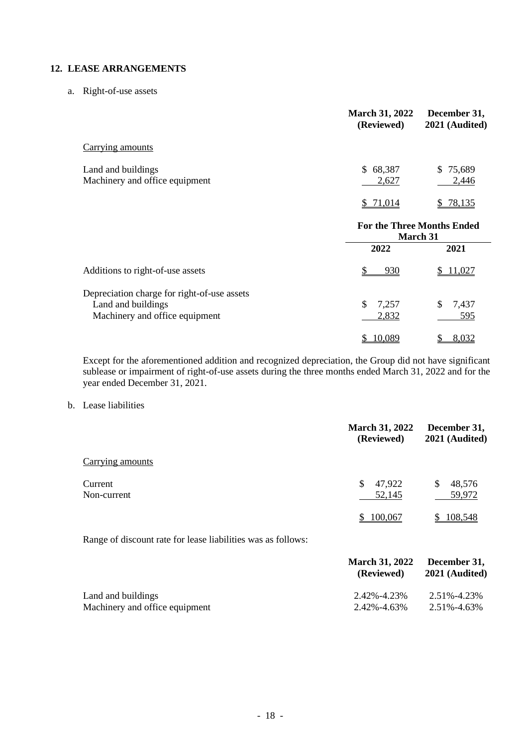#### **12. LEASE ARRANGEMENTS**

a. Right-of-use assets

|                                                                                                     | <b>March 31, 2022</b><br>(Reviewed)    | December 31,<br>2021 (Audited) |
|-----------------------------------------------------------------------------------------------------|----------------------------------------|--------------------------------|
| Carrying amounts                                                                                    |                                        |                                |
| Land and buildings<br>Machinery and office equipment                                                | \$68,387<br>2,627                      | \$75,689<br>2,446              |
|                                                                                                     | 71,014<br>S.                           | 78,135<br>S.                   |
|                                                                                                     | For the Three Months Ended<br>March 31 |                                |
|                                                                                                     | 2022                                   | 2021                           |
| Additions to right-of-use assets                                                                    | 930                                    | 11,027                         |
| Depreciation charge for right-of-use assets<br>Land and buildings<br>Machinery and office equipment | \$<br>7,257<br>2,832                   | \$<br>7,437<br>595             |
|                                                                                                     | 10,089                                 | 8,032<br>\$                    |

Except for the aforementioned addition and recognized depreciation, the Group did not have significant sublease or impairment of right-of-use assets during the three months ended March 31, 2022 and for the year ended December 31, 2021.

b. Lease liabilities

|                                                              | <b>March 31, 2022</b><br>(Reviewed)     | December 31,<br>2021 (Audited)          |
|--------------------------------------------------------------|-----------------------------------------|-----------------------------------------|
| Carrying amounts                                             |                                         |                                         |
| Current<br>Non-current                                       | \$<br>47,922<br>52,145<br>100,067<br>S. | \$<br>48,576<br>59,972<br>108,548<br>S. |
| Range of discount rate for lease liabilities was as follows: |                                         |                                         |
|                                                              | <b>March 31, 2022</b><br>(Reviewed)     | December 31,<br>2021 (Audited)          |

| Land and buildings             | 2.42%-4.23% | 2.51%-4.23% |
|--------------------------------|-------------|-------------|
| Machinery and office equipment | 2.42%-4.63% | 2.51%-4.63% |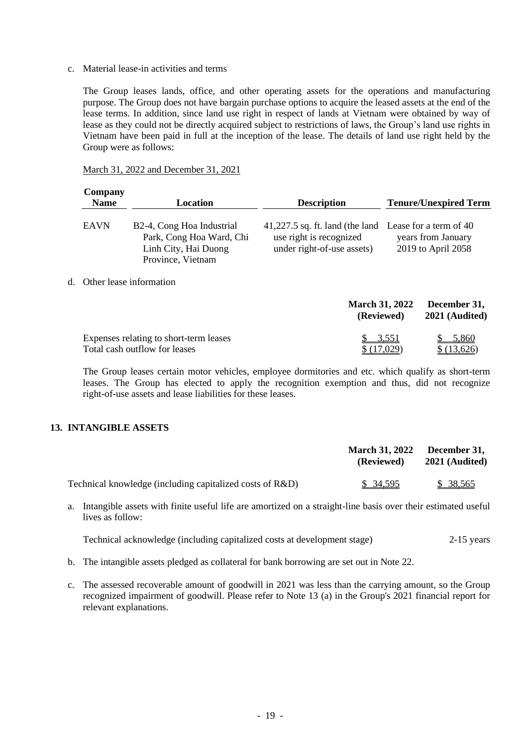c. Material lease-in activities and terms

The Group leases lands, office, and other operating assets for the operations and manufacturing purpose. The Group does not have bargain purchase options to acquire the leased assets at the end of the lease terms. In addition, since land use right in respect of lands at Vietnam were obtained by way of lease as they could not be directly acquired subject to restrictions of laws, the Group's land use rights in Vietnam have been paid in full at the inception of the lease. The details of land use right held by the Group were as follows:

| Company<br><b>Name</b> | Location                                                                                                        | <b>Description</b>                                                                                              | <b>Tenure/Unexpired Term</b>             |
|------------------------|-----------------------------------------------------------------------------------------------------------------|-----------------------------------------------------------------------------------------------------------------|------------------------------------------|
| <b>EAVN</b>            | B <sub>2</sub> -4, Cong Hoa Industrial<br>Park, Cong Hoa Ward, Chi<br>Linh City, Hai Duong<br>Province, Vietnam | 41,227.5 sq. ft. land (the land Lease for a term of 40<br>use right is recognized<br>under right-of-use assets) | years from January<br>2019 to April 2058 |

#### March 31, 2022 and December 31, 2021

d. Other lease information

|                                        | <b>March 31, 2022</b><br>(Reviewed) | December 31,<br>2021 (Audited) |  |
|----------------------------------------|-------------------------------------|--------------------------------|--|
| Expenses relating to short-term leases | \$3,551                             | 5.860<br>$\mathcal{S}$         |  |
| Total cash outflow for leases          | \$(17,029)                          | \$(13,626)                     |  |

The Group leases certain motor vehicles, employee dormitories and etc. which qualify as short-term leases. The Group has elected to apply the recognition exemption and thus, did not recognize right-of-use assets and lease liabilities for these leases.

#### **13. INTANGIBLE ASSETS**

|                                                             | <b>March 31, 2022</b><br>(Reviewed) | December 31,<br>2021 (Audited) |
|-------------------------------------------------------------|-------------------------------------|--------------------------------|
| Technical knowledge (including capitalized costs of $R&D$ ) | \$ 34,595                           | \$38,565                       |

a. Intangible assets with finite useful life are amortized on a straight-line basis over their estimated useful lives as follow:

Technical acknowledge (including capitalized costs at development stage) 2-15 years

- b. The intangible assets pledged as collateral for bank borrowing are set out in Note 22.
- c. The assessed recoverable amount of goodwill in 2021 was less than the carrying amount, so the Group recognized impairment of goodwill. Please refer to Note 13 (a) in the Group's 2021 financial report for relevant explanations.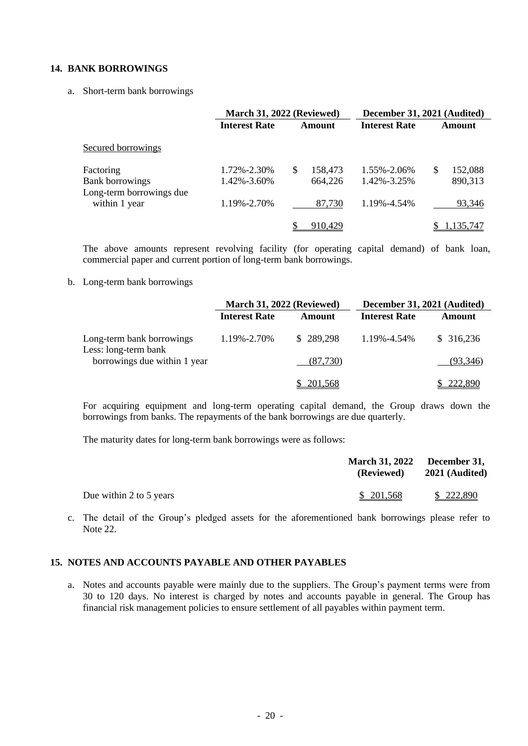#### **14. BANK BORROWINGS**

#### a. Short-term bank borrowings

|                                           |                                  | March 31, 2022 (Reviewed)      | December 31, 2021 (Audited) |                         |  |
|-------------------------------------------|----------------------------------|--------------------------------|-----------------------------|-------------------------|--|
|                                           | <b>Interest Rate</b>             | <b>Interest Rate</b><br>Amount |                             | Amount                  |  |
| Secured borrowings                        |                                  |                                |                             |                         |  |
| Factoring<br><b>Bank borrowings</b>       | 1.72%-2.30%<br>$1.42\% - 3.60\%$ | 158,473<br>S<br>664,226        | 1.55%-2.06%<br>1.42%-3.25%  | 152,088<br>S<br>890,313 |  |
| Long-term borrowings due<br>within 1 year | 1.19%-2.70%                      | 87,730                         | 1.19%-4.54%                 | 93,346                  |  |
|                                           |                                  | 910,429                        |                             | 1,135,747               |  |

The above amounts represent revolving facility (for operating capital demand) of bank loan, commercial paper and current portion of long-term bank borrowings.

#### b. Long-term bank borrowings

|                                                   | <b>March 31, 2022 (Reviewed)</b> |                | December 31, 2021 (Audited) |                |  |
|---------------------------------------------------|----------------------------------|----------------|-----------------------------|----------------|--|
|                                                   | <b>Interest Rate</b>             | Amount         | <b>Interest Rate</b>        | <b>Amount</b>  |  |
| Long-term bank borrowings<br>Less: long-term bank | 1.19%-2.70%                      | \$289,298      | 1.19%-4.54%                 | \$316,236      |  |
| borrowings due within 1 year                      |                                  | (87,730)       |                             | (93, 346)      |  |
|                                                   |                                  | <u>201,568</u> |                             | <u>222,890</u> |  |

For acquiring equipment and long-term operating capital demand, the Group draws down the borrowings from banks. The repayments of the bank borrowings are due quarterly.

The maturity dates for long-term bank borrowings were as follows:

|                         | March 31, 2022 December 31,<br>(Reviewed) | 2021 (Audited) |
|-------------------------|-------------------------------------------|----------------|
| Due within 2 to 5 years | \$201,568                                 | \$222,890      |

c. The detail of the Group's pledged assets for the aforementioned bank borrowings please refer to Note 22.

#### **15. NOTES AND ACCOUNTS PAYABLE AND OTHER PAYABLES**

a. Notes and accounts payable were mainly due to the suppliers. The Group's payment terms were from 30 to 120 days. No interest is charged by notes and accounts payable in general. The Group has financial risk management policies to ensure settlement of all payables within payment term.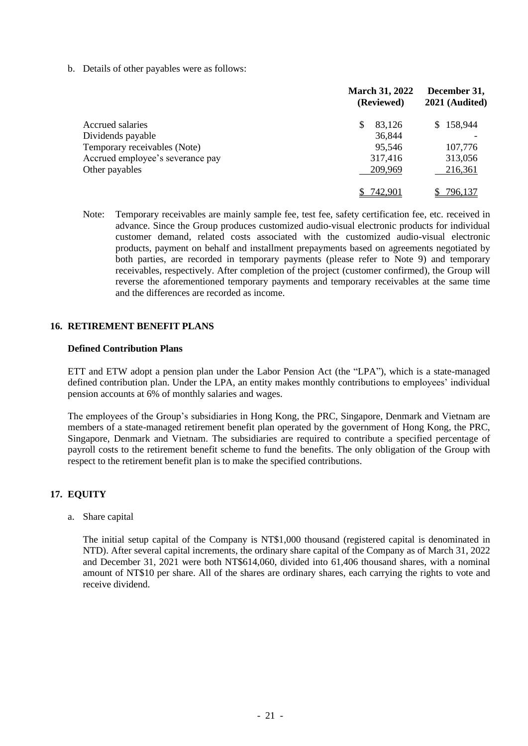b. Details of other payables were as follows:

|                                  | <b>March 31, 2022</b><br>(Reviewed) | December 31,<br>2021 (Audited) |  |
|----------------------------------|-------------------------------------|--------------------------------|--|
| <b>Accrued salaries</b>          | 83,126                              | \$158,944                      |  |
| Dividends payable                | 36,844                              |                                |  |
| Temporary receivables (Note)     | 95,546                              | 107,776                        |  |
| Accrued employee's severance pay | 317,416                             | 313,056                        |  |
| Other payables                   | 209,969                             | 216,361                        |  |
|                                  | 742,901                             | 796,137                        |  |

Note: Temporary receivables are mainly sample fee, test fee, safety certification fee, etc. received in advance. Since the Group produces customized audio-visual electronic products for individual customer demand, related costs associated with the customized audio-visual electronic products, payment on behalf and installment prepayments based on agreements negotiated by both parties, are recorded in temporary payments (please refer to Note 9) and temporary receivables, respectively. After completion of the project (customer confirmed), the Group will reverse the aforementioned temporary payments and temporary receivables at the same time and the differences are recorded as income.

#### **16. RETIREMENT BENEFIT PLANS**

#### **Defined Contribution Plans**

ETT and ETW adopt a pension plan under the Labor Pension Act (the "LPA"), which is a state-managed defined contribution plan. Under the LPA, an entity makes monthly contributions to employees' individual pension accounts at 6% of monthly salaries and wages.

The employees of the Group's subsidiaries in Hong Kong, the PRC, Singapore, Denmark and Vietnam are members of a state-managed retirement benefit plan operated by the government of Hong Kong, the PRC, Singapore, Denmark and Vietnam. The subsidiaries are required to contribute a specified percentage of payroll costs to the retirement benefit scheme to fund the benefits. The only obligation of the Group with respect to the retirement benefit plan is to make the specified contributions.

#### **17. EQUITY**

a. Share capital

The initial setup capital of the Company is NT\$1,000 thousand (registered capital is denominated in NTD). After several capital increments, the ordinary share capital of the Company as of March 31, 2022 and December 31, 2021 were both NT\$614,060, divided into 61,406 thousand shares, with a nominal amount of NT\$10 per share. All of the shares are ordinary shares, each carrying the rights to vote and receive dividend.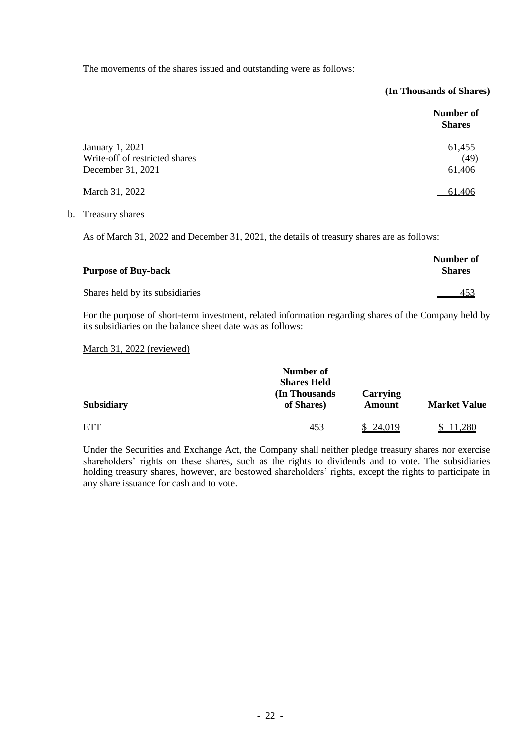The movements of the shares issued and outstanding were as follows:

#### **(In Thousands of Shares)**

|                                                                        | Number of<br><b>Shares</b> |
|------------------------------------------------------------------------|----------------------------|
| January 1, 2021<br>Write-off of restricted shares<br>December 31, 2021 | 61,455<br>(49)<br>61,406   |
| March 31, 2022                                                         | 61,406                     |

b. Treasury shares

As of March 31, 2022 and December 31, 2021, the details of treasury shares are as follows:

| <b>Purpose of Buy-back</b>      | Number of<br><b>Shares</b> |
|---------------------------------|----------------------------|
| Shares held by its subsidiaries | 453                        |

For the purpose of short-term investment, related information regarding shares of the Company held by its subsidiaries on the balance sheet date was as follows:

#### March 31, 2022 (reviewed)

|                   | Number of<br><b>Shares Held</b> |                    |                     |
|-------------------|---------------------------------|--------------------|---------------------|
| <b>Subsidiary</b> | (In Thousands)<br>of Shares)    | Carrying<br>Amount | <b>Market Value</b> |
| <b>ETT</b>        | 453                             | 24.019             | .280                |

Under the Securities and Exchange Act, the Company shall neither pledge treasury shares nor exercise shareholders' rights on these shares, such as the rights to dividends and to vote. The subsidiaries holding treasury shares, however, are bestowed shareholders' rights, except the rights to participate in any share issuance for cash and to vote.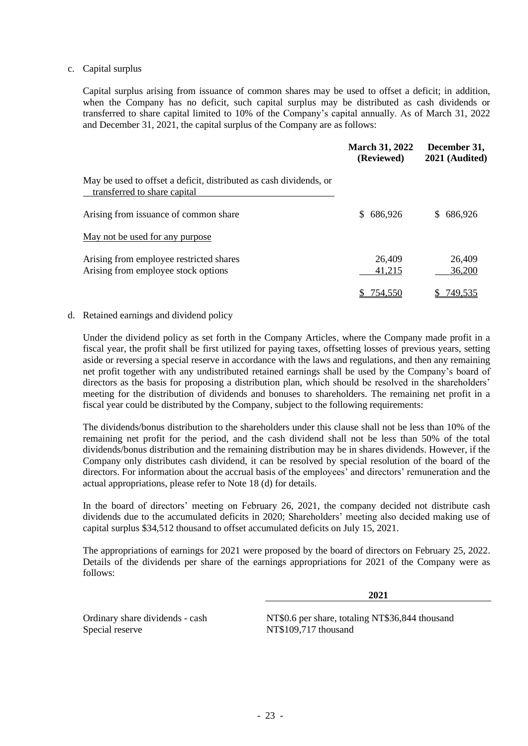#### c. Capital surplus

Capital surplus arising from issuance of common shares may be used to offset a deficit; in addition, when the Company has no deficit, such capital surplus may be distributed as cash dividends or transferred to share capital limited to 10% of the Company's capital annually. As of March 31, 2022 and December 31, 2021, the capital surplus of the Company are as follows:

|                                                                                                    | <b>March 31, 2022</b><br>(Reviewed) | December 31,<br>2021 (Audited) |
|----------------------------------------------------------------------------------------------------|-------------------------------------|--------------------------------|
| May be used to offset a deficit, distributed as cash dividends, or<br>transferred to share capital |                                     |                                |
| Arising from issuance of common share                                                              | \$686,926                           | \$686,926                      |
| May not be used for any purpose                                                                    |                                     |                                |
| Arising from employee restricted shares<br>Arising from employee stock options                     | 26,409<br>41,215                    | 26,409<br>36,200               |
|                                                                                                    | 754,550                             | 749,535                        |

#### d. Retained earnings and dividend policy

Under the dividend policy as set forth in the Company Articles, where the Company made profit in a fiscal year, the profit shall be first utilized for paying taxes, offsetting losses of previous years, setting aside or reversing a special reserve in accordance with the laws and regulations, and then any remaining net profit together with any undistributed retained earnings shall be used by the Company's board of directors as the basis for proposing a distribution plan, which should be resolved in the shareholders' meeting for the distribution of dividends and bonuses to shareholders. The remaining net profit in a fiscal year could be distributed by the Company, subject to the following requirements:

The dividends/bonus distribution to the shareholders under this clause shall not be less than 10% of the remaining net profit for the period, and the cash dividend shall not be less than 50% of the total dividends/bonus distribution and the remaining distribution may be in shares dividends. However, if the Company only distributes cash dividend, it can be resolved by special resolution of the board of the directors. For information about the accrual basis of the employees' and directors' remuneration and the actual appropriations, please refer to Note 18 (d) for details.

In the board of directors' meeting on February 26, 2021, the company decided not distribute cash dividends due to the accumulated deficits in 2020; Shareholders' meeting also decided making use of capital surplus \$34,512 thousand to offset accumulated deficits on July 15, 2021.

The appropriations of earnings for 2021 were proposed by the board of directors on February 25, 2022. Details of the dividends per share of the earnings appropriations for 2021 of the Company were as follows:

**2021**

Special reserve NT\$109,717 thousand

Ordinary share dividends - cash NT\$0.6 per share, totaling NT\$36,844 thousand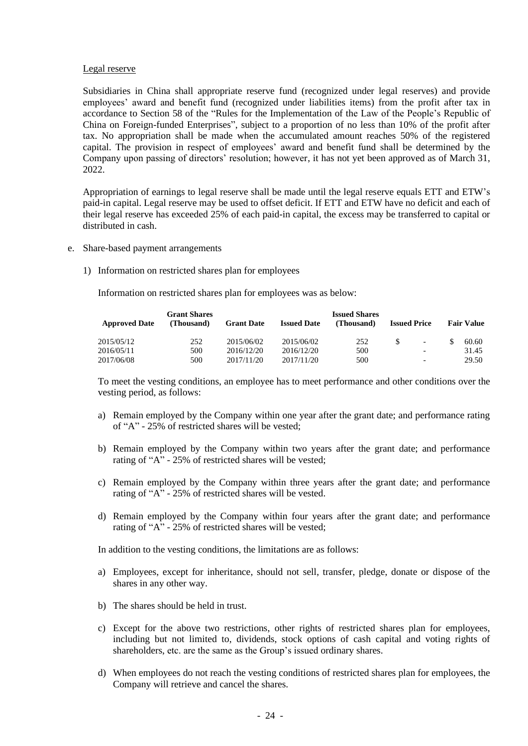#### Legal reserve

Subsidiaries in China shall appropriate reserve fund (recognized under legal reserves) and provide employees' award and benefit fund (recognized under liabilities items) from the profit after tax in accordance to Section 58 of the "Rules for the Implementation of the Law of the People's Republic of China on Foreign-funded Enterprises", subject to a proportion of no less than 10% of the profit after tax. No appropriation shall be made when the accumulated amount reaches 50% of the registered capital. The provision in respect of employees' award and benefit fund shall be determined by the Company upon passing of directors' resolution; however, it has not yet been approved as of March 31, 2022.

Appropriation of earnings to legal reserve shall be made until the legal reserve equals ETT and ETW's paid-in capital. Legal reserve may be used to offset deficit. If ETT and ETW have no deficit and each of their legal reserve has exceeded 25% of each paid-in capital, the excess may be transferred to capital or distributed in cash.

- e. Share-based payment arrangements
	- 1) Information on restricted shares plan for employees

Information on restricted shares plan for employees was as below:

| <b>Approved Date</b> | <b>Grant Shares</b><br>(Thousand) | <b>Grant Date</b> | <b>Issued Date</b> | <b>Issued Shares</b><br>(Thousand) |    | <b>Issued Price</b>      | <b>Fair Value</b> |
|----------------------|-----------------------------------|-------------------|--------------------|------------------------------------|----|--------------------------|-------------------|
| 2015/05/12           | 252                               | 2015/06/02        | 2015/06/02         | 252                                | -S | $\overline{\phantom{a}}$ | 60.60             |
| 2016/05/11           | 500                               | 2016/12/20        | 2016/12/20         | 500                                |    | $\overline{\phantom{0}}$ | 31.45             |
| 2017/06/08           | 500                               | 2017/11/20        | 2017/11/20         | 500                                |    | $\overline{\phantom{0}}$ | 29.50             |

To meet the vesting conditions, an employee has to meet performance and other conditions over the vesting period, as follows:

- a) Remain employed by the Company within one year after the grant date; and performance rating of "A" - 25% of restricted shares will be vested;
- b) Remain employed by the Company within two years after the grant date; and performance rating of "A" - 25% of restricted shares will be vested;
- c) Remain employed by the Company within three years after the grant date; and performance rating of "A" - 25% of restricted shares will be vested.
- d) Remain employed by the Company within four years after the grant date; and performance rating of "A" - 25% of restricted shares will be vested;

In addition to the vesting conditions, the limitations are as follows:

- a) Employees, except for inheritance, should not sell, transfer, pledge, donate or dispose of the shares in any other way.
- b) The shares should be held in trust.
- c) Except for the above two restrictions, other rights of restricted shares plan for employees, including but not limited to, dividends, stock options of cash capital and voting rights of shareholders, etc. are the same as the Group's issued ordinary shares.
- d) When employees do not reach the vesting conditions of restricted shares plan for employees, the Company will retrieve and cancel the shares.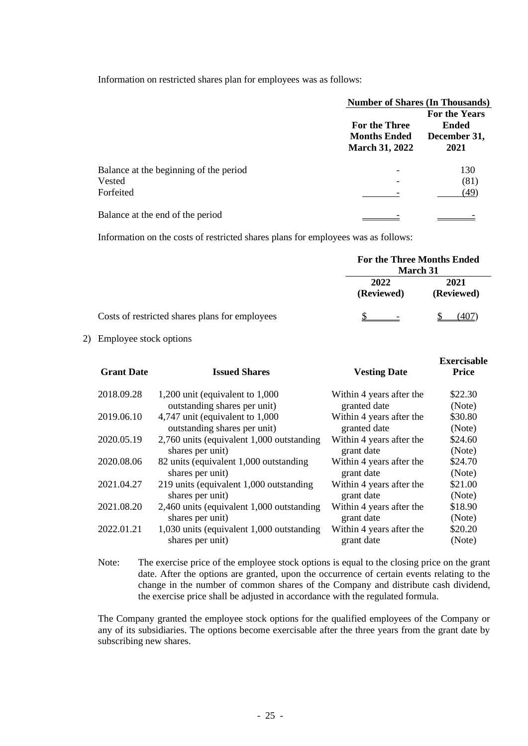Information on restricted shares plan for employees was as follows:

|                                        | <b>Number of Shares (In Thousands)</b>                        |                                                       |  |
|----------------------------------------|---------------------------------------------------------------|-------------------------------------------------------|--|
|                                        | For the Three<br><b>Months Ended</b><br><b>March 31, 2022</b> | For the Years<br><b>Ended</b><br>December 31,<br>2021 |  |
| Balance at the beginning of the period |                                                               | 130                                                   |  |
| Vested                                 |                                                               | (81)                                                  |  |
| Forfeited                              |                                                               | (49)                                                  |  |
| Balance at the end of the period       |                                                               |                                                       |  |

Information on the costs of restricted shares plans for employees was as follows:

|                                                | For the Three Months Ended<br><b>March</b> 31 |                    |  |
|------------------------------------------------|-----------------------------------------------|--------------------|--|
|                                                | 2022<br>(Reviewed)                            | 2021<br>(Reviewed) |  |
| Costs of restricted shares plans for employees |                                               | 407)               |  |

2) Employee stock options

| <b>Grant Date</b> | <b>Issued Shares</b>                                             | <b>Vesting Date</b>                      | <b>Exercisable</b><br><b>Price</b> |
|-------------------|------------------------------------------------------------------|------------------------------------------|------------------------------------|
| 2018.09.28        | 1,200 unit (equivalent to $1,000$                                | Within 4 years after the                 | \$22.30                            |
|                   | outstanding shares per unit)                                     | granted date                             | (Note)                             |
| 2019.06.10        | 4,747 unit (equivalent to 1,000)<br>outstanding shares per unit) | Within 4 years after the<br>granted date | \$30.80<br>(Note)                  |
| 2020.05.19        | 2,760 units (equivalent 1,000 outstanding                        | Within 4 years after the                 | \$24.60                            |
|                   | shares per unit)                                                 | grant date                               | (Note)                             |
| 2020.08.06        | 82 units (equivalent 1,000 outstanding                           | Within 4 years after the                 | \$24.70                            |
|                   | shares per unit)                                                 | grant date                               | (Note)                             |
| 2021.04.27        | 219 units (equivalent 1,000 outstanding                          | Within 4 years after the                 | \$21.00                            |
|                   | shares per unit)                                                 | grant date                               | (Note)                             |
| 2021.08.20        | 2,460 units (equivalent 1,000 outstanding                        | Within 4 years after the                 | \$18.90                            |
|                   | shares per unit)                                                 | grant date                               | (Note)                             |
| 2022.01.21        | 1,030 units (equivalent 1,000 outstanding                        | Within 4 years after the                 | \$20.20                            |
|                   | shares per unit)                                                 | grant date                               | (Note)                             |
|                   |                                                                  |                                          |                                    |

Note: The exercise price of the employee stock options is equal to the closing price on the grant date. After the options are granted, upon the occurrence of certain events relating to the change in the number of common shares of the Company and distribute cash dividend, the exercise price shall be adjusted in accordance with the regulated formula.

The Company granted the employee stock options for the qualified employees of the Company or any of its subsidiaries. The options become exercisable after the three years from the grant date by subscribing new shares.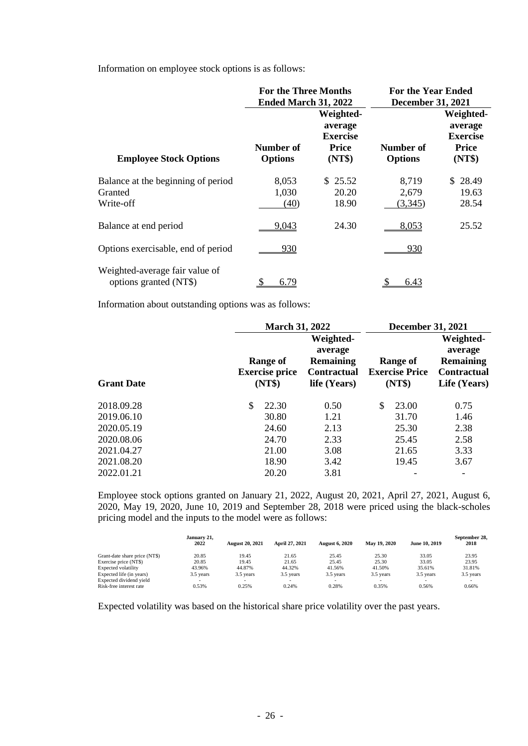Information on employee stock options is as follows:

|                                                            | <b>For the Three Months</b><br>Ended March 31, 2022 |                                                                   |                             | <b>For the Year Ended</b><br><b>December 31, 2021</b>             |  |
|------------------------------------------------------------|-----------------------------------------------------|-------------------------------------------------------------------|-----------------------------|-------------------------------------------------------------------|--|
| <b>Employee Stock Options</b>                              | Number of<br><b>Options</b>                         | Weighted-<br>average<br><b>Exercise</b><br><b>Price</b><br>(NT\$) | Number of<br><b>Options</b> | Weighted-<br>average<br><b>Exercise</b><br><b>Price</b><br>(NT\$) |  |
| Balance at the beginning of period<br>Granted<br>Write-off | 8,053<br>1,030<br>(40)                              | \$25.52<br>20.20<br>18.90                                         | 8,719<br>2,679<br>(3,345)   | \$28.49<br>19.63<br>28.54                                         |  |
| Balance at end period                                      | 9,043                                               | 24.30                                                             | 8,053                       | 25.52                                                             |  |
| Options exercisable, end of period                         | 930                                                 |                                                                   | <u>930</u>                  |                                                                   |  |
| Weighted-average fair value of<br>options granted (NT\$)   | 6.79                                                |                                                                   | 6.43                        |                                                                   |  |

Information about outstanding options was as follows:

|                   | <b>March 31, 2022</b>                              |                                                                                | <b>December 31, 2021</b>                    |                                                                                |
|-------------------|----------------------------------------------------|--------------------------------------------------------------------------------|---------------------------------------------|--------------------------------------------------------------------------------|
| <b>Grant Date</b> | <b>Range of</b><br><b>Exercise price</b><br>(NT\$) | Weighted-<br>average<br><b>Remaining</b><br><b>Contractual</b><br>life (Years) | Range of<br><b>Exercise Price</b><br>(NT\$) | Weighted-<br>average<br><b>Remaining</b><br><b>Contractual</b><br>Life (Years) |
| 2018.09.28        | \$<br>22.30                                        | 0.50                                                                           | \$<br>23.00                                 | 0.75                                                                           |
| 2019.06.10        | 30.80                                              | 1.21                                                                           | 31.70                                       | 1.46                                                                           |
| 2020.05.19        | 24.60                                              | 2.13                                                                           | 25.30                                       | 2.38                                                                           |
| 2020.08.06        | 24.70                                              | 2.33                                                                           | 25.45                                       | 2.58                                                                           |
| 2021.04.27        | 21.00                                              | 3.08                                                                           | 21.65                                       | 3.33                                                                           |
| 2021.08.20        | 18.90                                              | 3.42                                                                           | 19.45                                       | 3.67                                                                           |
| 2022.01.21        | 20.20                                              | 3.81                                                                           |                                             | $\overline{\phantom{a}}$                                                       |

Employee stock options granted on January 21, 2022, August 20, 2021, April 27, 2021, August 6, 2020, May 19, 2020, June 10, 2019 and September 28, 2018 were priced using the black-scholes pricing model and the inputs to the model were as follows:

|                               | January 21.<br>2022 | <b>August 20, 2021</b> | April 27, 2021 | <b>August 6, 2020</b>    | May 19, 2020             | June 10, 2019 | September 28.<br>2018 |
|-------------------------------|---------------------|------------------------|----------------|--------------------------|--------------------------|---------------|-----------------------|
| Grant-date share price (NT\$) | 20.85               | 19.45                  | 21.65          | 25.45                    | 25.30                    | 33.05         | 23.95                 |
| Exercise price (NT\$)         | 20.85               | 19.45                  | 21.65          | 25.45                    | 25.30                    | 33.05         | 23.95                 |
| Expected volatility           | 43.96%              | 44.87%                 | 44.32%         | 41.56%                   | 41.50%                   | 35.61%        | 31.81%                |
| Expected life (in years)      | 3.5 years           | 3.5 years              | 3.5 years      | 3.5 years                | 3.5 years                | 3.5 years     | 3.5 years             |
| Expected dividend yield       |                     | ۰                      | -              | $\overline{\phantom{a}}$ | $\overline{\phantom{a}}$ |               |                       |
| Risk-free interest rate       | 0.53%               | 0.25%                  | 0.24%          | 0.28%                    | 0.35%                    | 0.56%         | 0.66%                 |

Expected volatility was based on the historical share price volatility over the past years.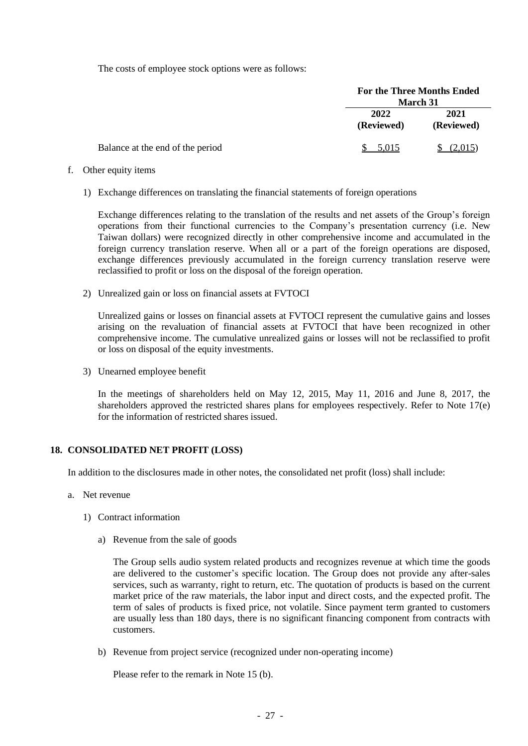The costs of employee stock options were as follows:

|                                  | <b>For the Three Months Ended</b> | <b>March</b> 31    |
|----------------------------------|-----------------------------------|--------------------|
|                                  | 2022<br>(Reviewed)                | 2021<br>(Reviewed) |
| Balance at the end of the period | 5,015                             |                    |

- f. Other equity items
	- 1) Exchange differences on translating the financial statements of foreign operations

Exchange differences relating to the translation of the results and net assets of the Group's foreign operations from their functional currencies to the Company's presentation currency (i.e. New Taiwan dollars) were recognized directly in other comprehensive income and accumulated in the foreign currency translation reserve. When all or a part of the foreign operations are disposed, exchange differences previously accumulated in the foreign currency translation reserve were reclassified to profit or loss on the disposal of the foreign operation.

2) Unrealized gain or loss on financial assets at FVTOCI

Unrealized gains or losses on financial assets at FVTOCI represent the cumulative gains and losses arising on the revaluation of financial assets at FVTOCI that have been recognized in other comprehensive income. The cumulative unrealized gains or losses will not be reclassified to profit or loss on disposal of the equity investments.

3) Unearned employee benefit

In the meetings of shareholders held on May 12, 2015, May 11, 2016 and June 8, 2017, the shareholders approved the restricted shares plans for employees respectively. Refer to Note 17(e) for the information of restricted shares issued.

#### **18. CONSOLIDATED NET PROFIT (LOSS)**

In addition to the disclosures made in other notes, the consolidated net profit (loss) shall include:

- a. Net revenue
	- 1) Contract information
		- a) Revenue from the sale of goods

The Group sells audio system related products and recognizes revenue at which time the goods are delivered to the customer's specific location. The Group does not provide any after-sales services, such as warranty, right to return, etc. The quotation of products is based on the current market price of the raw materials, the labor input and direct costs, and the expected profit. The term of sales of products is fixed price, not volatile. Since payment term granted to customers are usually less than 180 days, there is no significant financing component from contracts with customers.

b) Revenue from project service (recognized under non-operating income)

Please refer to the remark in Note 15 (b).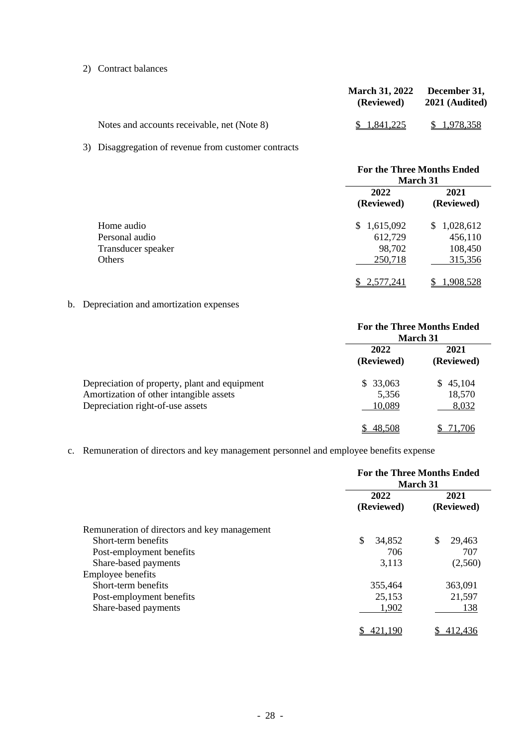#### 2) Contract balances

|                                             | March 31, 2022 December 31,<br>(Reviewed) | 2021 (Audited) |
|---------------------------------------------|-------------------------------------------|----------------|
| Notes and accounts receivable, net (Note 8) | \$ 1.841.225                              | \$1.978.358    |

### 3) Disaggregation of revenue from customer contracts

|                    | <b>For the Three Months Ended</b> |                 |  |
|--------------------|-----------------------------------|-----------------|--|
|                    | March 31<br>2022<br>2021          |                 |  |
|                    | (Reviewed)                        | (Reviewed)      |  |
| Home audio         | \$1,615,092                       | 1,028,612<br>S. |  |
| Personal audio     | 612,729                           | 456,110         |  |
| Transducer speaker | 98,702                            | 108,450         |  |
| Others             | 250,718                           | 315,356         |  |
|                    | 2,577,241                         | 1,908,528       |  |

### b. Depreciation and amortization expenses

|                                                                                                                              | <b>For the Three Months Ended</b><br><b>March 31</b> |                                  |
|------------------------------------------------------------------------------------------------------------------------------|------------------------------------------------------|----------------------------------|
|                                                                                                                              | 2022<br>(Reviewed)                                   | 2021<br>(Reviewed)               |
| Depreciation of property, plant and equipment<br>Amortization of other intangible assets<br>Depreciation right-of-use assets | \$33,063<br>5,356<br>10,089                          | 45,104<br>SS.<br>18,570<br>8,032 |
|                                                                                                                              | 48.508                                               | 71 706                           |

### c. Remuneration of directors and key management personnel and employee benefits expense

|                                              | <b>For the Three Months Ended</b><br>March 31 |                    |  |
|----------------------------------------------|-----------------------------------------------|--------------------|--|
|                                              | 2022<br>(Reviewed)                            | 2021<br>(Reviewed) |  |
| Remuneration of directors and key management |                                               |                    |  |
| Short-term benefits                          | \$<br>34,852                                  | \$<br>29,463       |  |
| Post-employment benefits                     | 706                                           | 707                |  |
| Share-based payments                         | 3,113                                         | (2,560)            |  |
| <b>Employee benefits</b>                     |                                               |                    |  |
| Short-term benefits                          | 355,464                                       | 363,091            |  |
| Post-employment benefits                     | 25,153                                        | 21,597             |  |
| Share-based payments                         | 1,902                                         | 138                |  |
|                                              |                                               | 412.436            |  |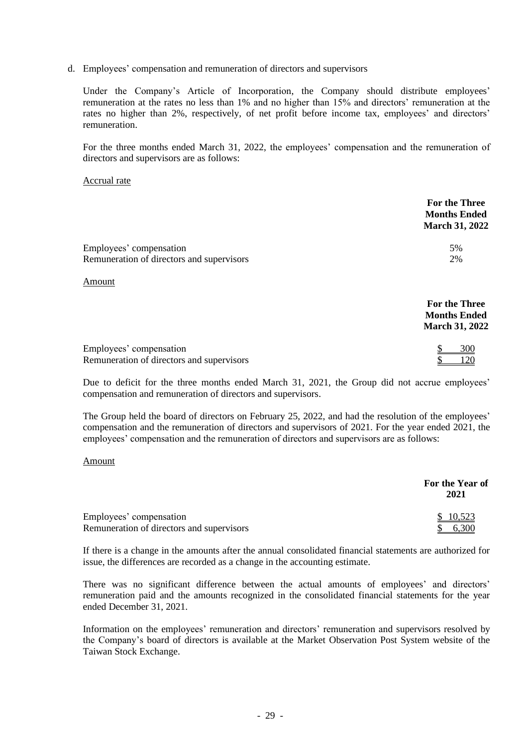d. Employees' compensation and remuneration of directors and supervisors

Under the Company's Article of Incorporation, the Company should distribute employees' remuneration at the rates no less than 1% and no higher than 15% and directors' remuneration at the rates no higher than 2%, respectively, of net profit before income tax, employees' and directors' remuneration.

For the three months ended March 31, 2022, the employees' compensation and the remuneration of directors and supervisors are as follows:

#### Accrual rate

|                                                                      | <b>For the Three</b><br><b>Months Ended</b><br><b>March 31, 2022</b> |
|----------------------------------------------------------------------|----------------------------------------------------------------------|
| Employees' compensation                                              | 5%                                                                   |
| Remuneration of directors and supervisors                            | 2%                                                                   |
| <b>Amount</b>                                                        |                                                                      |
|                                                                      | For the Three<br><b>Months Ended</b><br><b>March 31, 2022</b>        |
| Employees' compensation<br>Remuneration of directors and supervisors | 300                                                                  |

Due to deficit for the three months ended March 31, 2021, the Group did not accrue employees' compensation and remuneration of directors and supervisors.

The Group held the board of directors on February 25, 2022, and had the resolution of the employees' compensation and the remuneration of directors and supervisors of 2021. For the year ended 2021, the employees' compensation and the remuneration of directors and supervisors are as follows:

#### Amount

|                                           | For the Year of<br>2021 |
|-------------------------------------------|-------------------------|
| Employees' compensation                   | \$ 10,523               |
| Remuneration of directors and supervisors |                         |

If there is a change in the amounts after the annual consolidated financial statements are authorized for issue, the differences are recorded as a change in the accounting estimate.

There was no significant difference between the actual amounts of employees' and directors' remuneration paid and the amounts recognized in the consolidated financial statements for the year ended December 31, 2021.

Information on the employees' remuneration and directors' remuneration and supervisors resolved by the Company's board of directors is available at the Market Observation Post System website of the Taiwan Stock Exchange.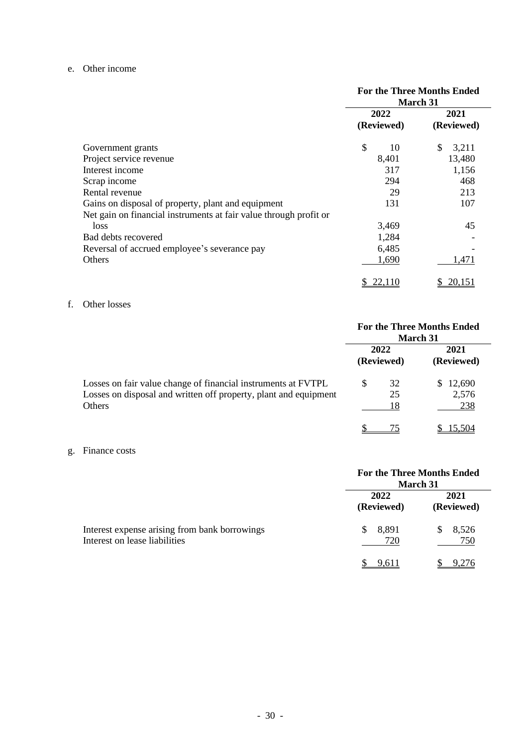#### e. Other income

|                                                                   | <b>For the Three Months Ended</b><br><b>March 31</b> |             |  |
|-------------------------------------------------------------------|------------------------------------------------------|-------------|--|
|                                                                   | 2022                                                 | 2021        |  |
|                                                                   | (Reviewed)                                           | (Reviewed)  |  |
| Government grants                                                 | \$<br>10                                             | \$<br>3,211 |  |
| Project service revenue                                           | 8,401                                                | 13,480      |  |
| Interest income                                                   | 317                                                  | 1,156       |  |
| Scrap income                                                      | 294                                                  | 468         |  |
| Rental revenue                                                    | 29                                                   | 213         |  |
| Gains on disposal of property, plant and equipment                | 131                                                  | 107         |  |
| Net gain on financial instruments at fair value through profit or |                                                      |             |  |
| loss                                                              | 3,469                                                | 45          |  |
| Bad debts recovered                                               | 1,284                                                |             |  |
| Reversal of accrued employee's severance pay                      | 6,485                                                |             |  |
| <b>Others</b>                                                     | 1,690                                                | 1,471       |  |
|                                                                   | 22,110                                               | 20,151      |  |

#### f. Other losses

|                                                                                                                                             | <b>For the Three Months Ended</b><br>March 31 |                    |     |                        |
|---------------------------------------------------------------------------------------------------------------------------------------------|-----------------------------------------------|--------------------|-----|------------------------|
|                                                                                                                                             |                                               | 2022<br>(Reviewed) |     | 2021<br>(Reviewed)     |
| Losses on fair value change of financial instruments at FVTPL<br>Losses on disposal and written off property, plant and equipment<br>Others | S                                             | 32<br>25<br>18     | SS. | 12,690<br>2,576<br>238 |
|                                                                                                                                             |                                               |                    |     | 15.504                 |

#### g. Finance costs

|                                                                                | <b>For the Three Months Ended</b><br><b>March 31</b> |                    |  |
|--------------------------------------------------------------------------------|------------------------------------------------------|--------------------|--|
|                                                                                | 2022<br>(Reviewed)                                   | 2021<br>(Reviewed) |  |
| Interest expense arising from bank borrowings<br>Interest on lease liabilities | 8,891<br>S<br>720                                    | 8,526<br>750       |  |
|                                                                                | .611                                                 |                    |  |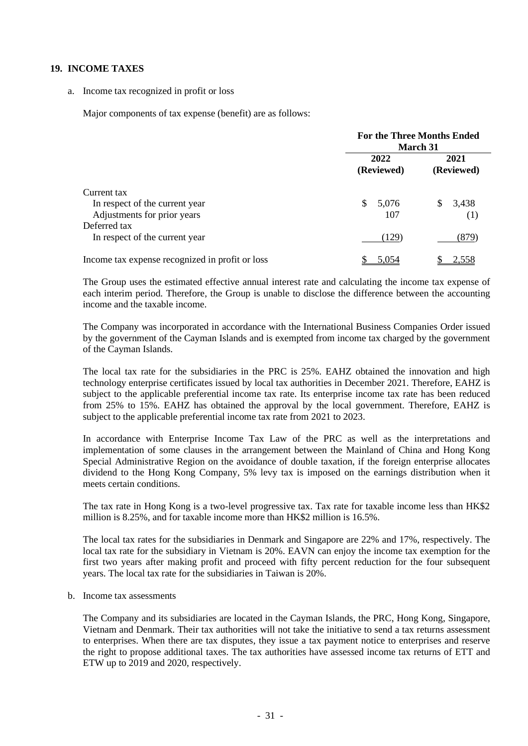#### **19. INCOME TAXES**

a. Income tax recognized in profit or loss

Major components of tax expense (benefit) are as follows:

|                                                                              | <b>For the Three Months Ended</b><br><b>March 31</b> |                    |  |
|------------------------------------------------------------------------------|------------------------------------------------------|--------------------|--|
|                                                                              | 2022<br>(Reviewed)                                   | 2021<br>(Reviewed) |  |
| Current tax<br>In respect of the current year<br>Adjustments for prior years | \$.<br>5,076<br>107                                  | 3,438<br>S<br>(1)  |  |
| Deferred tax<br>In respect of the current year                               | (129)                                                | (879)              |  |
| Income tax expense recognized in profit or loss                              | 5,054                                                | 2,558              |  |

The Group uses the estimated effective annual interest rate and calculating the income tax expense of each interim period. Therefore, the Group is unable to disclose the difference between the accounting income and the taxable income.

The Company was incorporated in accordance with the International Business Companies Order issued by the government of the Cayman Islands and is exempted from income tax charged by the government of the Cayman Islands.

The local tax rate for the subsidiaries in the PRC is 25%. EAHZ obtained the innovation and high technology enterprise certificates issued by local tax authorities in December 2021. Therefore, EAHZ is subject to the applicable preferential income tax rate. Its enterprise income tax rate has been reduced from 25% to 15%. EAHZ has obtained the approval by the local government. Therefore, EAHZ is subject to the applicable preferential income tax rate from 2021 to 2023.

In accordance with Enterprise Income Tax Law of the PRC as well as the interpretations and implementation of some clauses in the arrangement between the Mainland of China and Hong Kong Special Administrative Region on the avoidance of double taxation, if the foreign enterprise allocates dividend to the Hong Kong Company, 5% levy tax is imposed on the earnings distribution when it meets certain conditions.

The tax rate in Hong Kong is a two-level progressive tax. Tax rate for taxable income less than HK\$2 million is 8.25%, and for taxable income more than HK\$2 million is 16.5%.

The local tax rates for the subsidiaries in Denmark and Singapore are 22% and 17%, respectively. The local tax rate for the subsidiary in Vietnam is 20%. EAVN can enjoy the income tax exemption for the first two years after making profit and proceed with fifty percent reduction for the four subsequent years. The local tax rate for the subsidiaries in Taiwan is 20%.

b. Income tax assessments

The Company and its subsidiaries are located in the Cayman Islands, the PRC, Hong Kong, Singapore, Vietnam and Denmark. Their tax authorities will not take the initiative to send a tax returns assessment to enterprises. When there are tax disputes, they issue a tax payment notice to enterprises and reserve the right to propose additional taxes. The tax authorities have assessed income tax returns of ETT and ETW up to 2019 and 2020, respectively.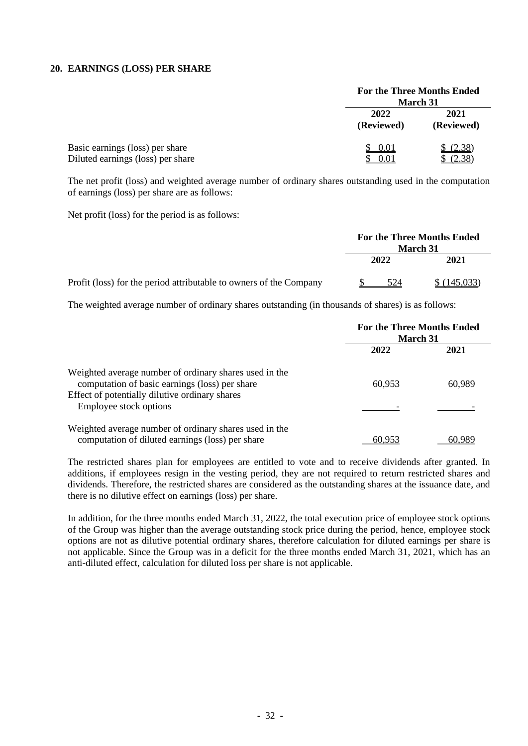#### **20. EARNINGS (LOSS) PER SHARE**

|                                                                      |                    | <b>For the Three Months Ended</b><br><b>March 31</b> |  |
|----------------------------------------------------------------------|--------------------|------------------------------------------------------|--|
|                                                                      | 2022<br>(Reviewed) | 2021<br>(Reviewed)                                   |  |
| Basic earnings (loss) per share<br>Diluted earnings (loss) per share | 0.01<br>-0.01      | (2.38)<br>(2.38)                                     |  |

The net profit (loss) and weighted average number of ordinary shares outstanding used in the computation of earnings (loss) per share are as follows:

Net profit (loss) for the period is as follows:

|                                                                    | <b>For the Three Months Ended</b><br><b>March</b> 31 |      |             |
|--------------------------------------------------------------------|------------------------------------------------------|------|-------------|
|                                                                    |                                                      | 2022 | 2021        |
| Profit (loss) for the period attributable to owners of the Company |                                                      | 524  | \$(145,033) |

The weighted average number of ordinary shares outstanding (in thousands of shares) is as follows:

|                                                                                                            | <b>For the Three Months Ended</b><br><b>March 31</b> |        |  |
|------------------------------------------------------------------------------------------------------------|------------------------------------------------------|--------|--|
|                                                                                                            | 2022                                                 | 2021   |  |
| Weighted average number of ordinary shares used in the<br>computation of basic earnings (loss) per share   | 60,953                                               | 60,989 |  |
| Effect of potentially dilutive ordinary shares<br>Employee stock options                                   |                                                      |        |  |
| Weighted average number of ordinary shares used in the<br>computation of diluted earnings (loss) per share | 60.953                                               |        |  |

The restricted shares plan for employees are entitled to vote and to receive dividends after granted. In additions, if employees resign in the vesting period, they are not required to return restricted shares and dividends. Therefore, the restricted shares are considered as the outstanding shares at the issuance date, and there is no dilutive effect on earnings (loss) per share.

In addition, for the three months ended March 31, 2022, the total execution price of employee stock options of the Group was higher than the average outstanding stock price during the period, hence, employee stock options are not as dilutive potential ordinary shares, therefore calculation for diluted earnings per share is not applicable. Since the Group was in a deficit for the three months ended March 31, 2021, which has an anti-diluted effect, calculation for diluted loss per share is not applicable.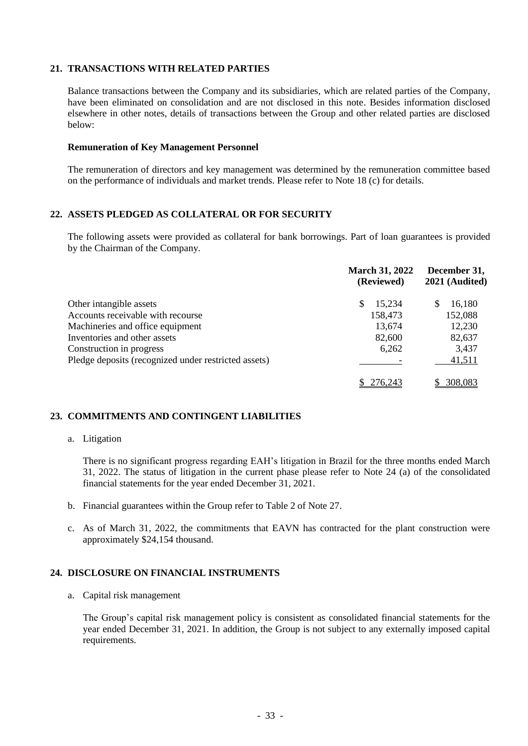#### **21. TRANSACTIONS WITH RELATED PARTIES**

Balance transactions between the Company and its subsidiaries, which are related parties of the Company, have been eliminated on consolidation and are not disclosed in this note. Besides information disclosed elsewhere in other notes, details of transactions between the Group and other related parties are disclosed below:

#### **Remuneration of Key Management Personnel**

The remuneration of directors and key management was determined by the remuneration committee based on the performance of individuals and market trends. Please refer to Note 18 (c) for details.

#### **22. ASSETS PLEDGED AS COLLATERAL OR FOR SECURITY**

The following assets were provided as collateral for bank borrowings. Part of loan guarantees is provided by the Chairman of the Company.

|                                                      | <b>March 31, 2022</b><br>(Reviewed) | December 31,<br>2021 (Audited) |
|------------------------------------------------------|-------------------------------------|--------------------------------|
| Other intangible assets                              | 15,234<br>S                         | 16,180<br>S                    |
| Accounts receivable with recourse                    | 158,473                             | 152,088                        |
| Machineries and office equipment                     | 13,674                              | 12,230                         |
| Inventories and other assets                         | 82,600                              | 82,637                         |
| Construction in progress                             | 6,262                               | 3,437                          |
| Pledge deposits (recognized under restricted assets) |                                     | 41,511                         |
|                                                      | 276.243                             | 308,083                        |

#### **23. COMMITMENTS AND CONTINGENT LIABILITIES**

#### a. Litigation

There is no significant progress regarding EAH's litigation in Brazil for the three months ended March 31, 2022. The status of litigation in the current phase please refer to Note 24 (a) of the consolidated financial statements for the year ended December 31, 2021.

- b. Financial guarantees within the Group refer to Table 2 of Note 27.
- c. As of March 31, 2022, the commitments that EAVN has contracted for the plant construction were approximately \$24,154 thousand.

#### **24. DISCLOSURE ON FINANCIAL INSTRUMENTS**

a. Capital risk management

The Group's capital risk management policy is consistent as consolidated financial statements for the year ended December 31, 2021. In addition, the Group is not subject to any externally imposed capital requirements.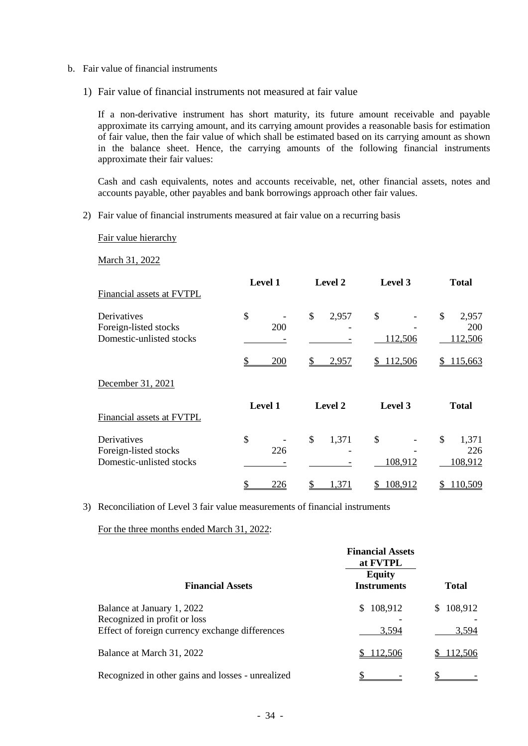- b. Fair value of financial instruments
	- 1) Fair value of financial instruments not measured at fair value

If a non-derivative instrument has short maturity, its future amount receivable and payable approximate its carrying amount, and its carrying amount provides a reasonable basis for estimation of fair value, then the fair value of which shall be estimated based on its carrying amount as shown in the balance sheet. Hence, the carrying amounts of the following financial instruments approximate their fair values:

Cash and cash equivalents, notes and accounts receivable, net, other financial assets, notes and accounts payable, other payables and bank borrowings approach other fair values.

2) Fair value of financial instruments measured at fair value on a recurring basis

Fair value hierarchy

March 31, 2022

| Financial assets at FVTPL                                        | Level 1          | <b>Level 2</b>         | Level 3       | <b>Total</b>                         |
|------------------------------------------------------------------|------------------|------------------------|---------------|--------------------------------------|
| Derivatives<br>Foreign-listed stocks<br>Domestic-unlisted stocks | \$<br><b>200</b> | \$<br>2,957            | \$<br>112,506 | \$<br>2,957<br><b>200</b><br>112,506 |
|                                                                  | 200              | 2,957                  | \$112,506     | 115,663                              |
| December 31, 2021                                                |                  |                        |               |                                      |
| Financial assets at FVTPL                                        | <b>Level 1</b>   | Level 2                | Level 3       | <b>Total</b>                         |
| Derivatives<br>Foreign-listed stocks<br>Domestic-unlisted stocks | \$<br>226        | $\mathcal{S}$<br>1,371 | \$<br>108,912 | \$<br>1,371<br>226<br>108,912        |
|                                                                  | 226              | 371                    | 108,912       | 10,509                               |

3) Reconciliation of Level 3 fair value measurements of financial instruments

For the three months ended March 31, 2022:

|                                                                                                               | <b>Financial Assets</b><br>at FVTPL |                  |
|---------------------------------------------------------------------------------------------------------------|-------------------------------------|------------------|
| <b>Financial Assets</b>                                                                                       | <b>Equity</b><br><b>Instruments</b> | <b>Total</b>     |
| Balance at January 1, 2022<br>Recognized in profit or loss<br>Effect of foreign currency exchange differences | \$108,912<br>3,594                  | 108,912<br>3,594 |
| Balance at March 31, 2022                                                                                     | \$112,506                           | 112,506          |
| Recognized in other gains and losses - unrealized                                                             |                                     |                  |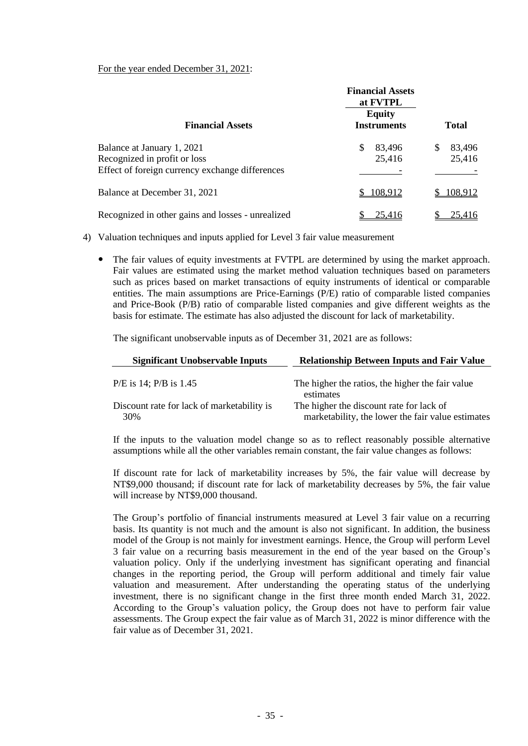For the year ended December 31, 2021:

|                                                   | <b>Financial Assets</b><br>at FVTPL |              |  |
|---------------------------------------------------|-------------------------------------|--------------|--|
| <b>Financial Assets</b>                           | <b>Equity</b><br><b>Instruments</b> | <b>Total</b> |  |
| Balance at January 1, 2021                        | S<br>83,496                         | 83,496<br>\$ |  |
| Recognized in profit or loss                      | 25,416                              | 25,416       |  |
| Effect of foreign currency exchange differences   |                                     |              |  |
| Balance at December 31, 2021                      | 108,912                             | 108,912      |  |
| Recognized in other gains and losses - unrealized | 25,416                              | 25,416       |  |

4) Valuation techniques and inputs applied for Level 3 fair value measurement

 The fair values of equity investments at FVTPL are determined by using the market approach. Fair values are estimated using the market method valuation techniques based on parameters such as prices based on market transactions of equity instruments of identical or comparable entities. The main assumptions are Price-Earnings (P/E) ratio of comparable listed companies and Price-Book (P/B) ratio of comparable listed companies and give different weights as the basis for estimate. The estimate has also adjusted the discount for lack of marketability.

The significant unobservable inputs as of December 31, 2021 are as follows:

| <b>Significant Unobservable Inputs</b>            | <b>Relationship Between Inputs and Fair Value</b>                                             |
|---------------------------------------------------|-----------------------------------------------------------------------------------------------|
| $P/E$ is 14; $P/B$ is 1.45                        | The higher the ratios, the higher the fair value<br>estimates                                 |
| Discount rate for lack of marketability is<br>30% | The higher the discount rate for lack of<br>marketability, the lower the fair value estimates |

If the inputs to the valuation model change so as to reflect reasonably possible alternative assumptions while all the other variables remain constant, the fair value changes as follows:

If discount rate for lack of marketability increases by 5%, the fair value will decrease by NT\$9,000 thousand; if discount rate for lack of marketability decreases by 5%, the fair value will increase by NT\$9,000 thousand.

The Group's portfolio of financial instruments measured at Level 3 fair value on a recurring basis. Its quantity is not much and the amount is also not significant. In addition, the business model of the Group is not mainly for investment earnings. Hence, the Group will perform Level 3 fair value on a recurring basis measurement in the end of the year based on the Group's valuation policy. Only if the underlying investment has significant operating and financial changes in the reporting period, the Group will perform additional and timely fair value valuation and measurement. After understanding the operating status of the underlying investment, there is no significant change in the first three month ended March 31, 2022. According to the Group's valuation policy, the Group does not have to perform fair value assessments. The Group expect the fair value as of March 31, 2022 is minor difference with the fair value as of December 31, 2021.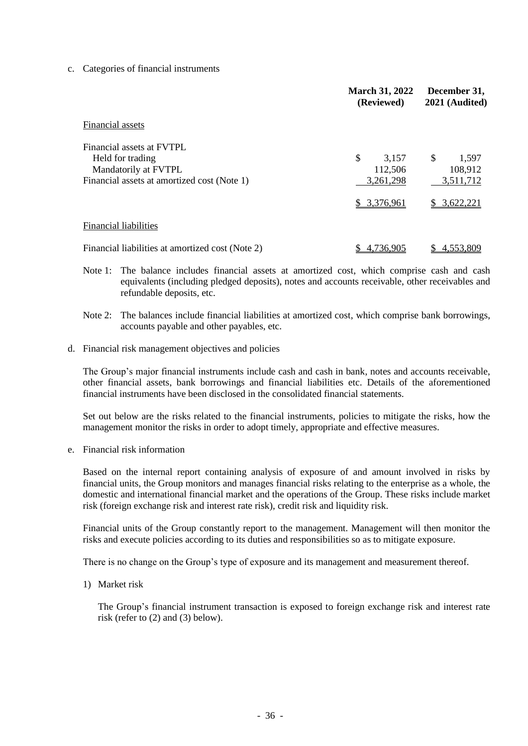c. Categories of financial instruments

|                                                  | <b>March 31, 2022</b><br>(Reviewed) | December 31,<br>2021 (Audited) |
|--------------------------------------------------|-------------------------------------|--------------------------------|
| Financial assets                                 |                                     |                                |
| Financial assets at FVTPL                        |                                     |                                |
| Held for trading                                 | \$<br>3,157                         | \$<br>1,597                    |
| Mandatorily at FVTPL                             | 112,506                             | 108,912                        |
| Financial assets at amortized cost (Note 1)      | 3,261,298                           | 3,511,712                      |
|                                                  | \$3,376,961                         | 3,622,221                      |
| <b>Financial liabilities</b>                     |                                     |                                |
| Financial liabilities at amortized cost (Note 2) | 4,736,905                           | 4,553,809                      |

- Note 1: The balance includes financial assets at amortized cost, which comprise cash and cash equivalents (including pledged deposits), notes and accounts receivable, other receivables and refundable deposits, etc.
- Note 2: The balances include financial liabilities at amortized cost, which comprise bank borrowings, accounts payable and other payables, etc.
- d. Financial risk management objectives and policies

The Group's major financial instruments include cash and cash in bank, notes and accounts receivable, other financial assets, bank borrowings and financial liabilities etc. Details of the aforementioned financial instruments have been disclosed in the consolidated financial statements.

Set out below are the risks related to the financial instruments, policies to mitigate the risks, how the management monitor the risks in order to adopt timely, appropriate and effective measures.

e. Financial risk information

Based on the internal report containing analysis of exposure of and amount involved in risks by financial units, the Group monitors and manages financial risks relating to the enterprise as a whole, the domestic and international financial market and the operations of the Group. These risks include market risk (foreign exchange risk and interest rate risk), credit risk and liquidity risk.

Financial units of the Group constantly report to the management. Management will then monitor the risks and execute policies according to its duties and responsibilities so as to mitigate exposure.

There is no change on the Group's type of exposure and its management and measurement thereof.

1) Market risk

The Group's financial instrument transaction is exposed to foreign exchange risk and interest rate risk (refer to (2) and (3) below).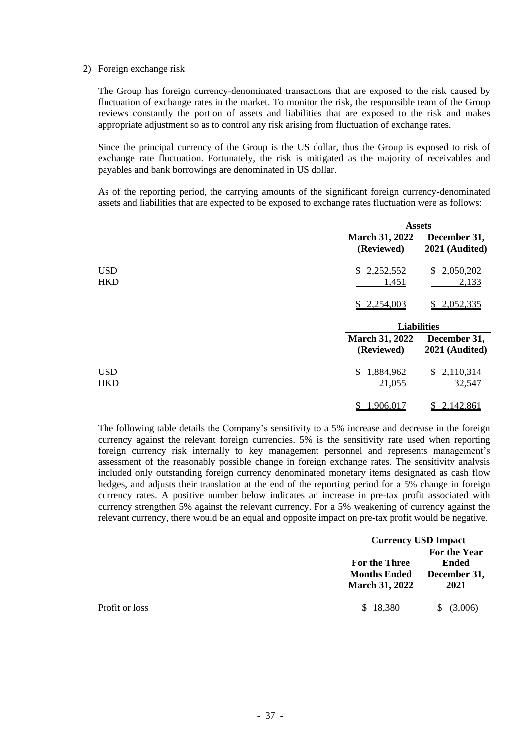#### 2) Foreign exchange risk

The Group has foreign currency-denominated transactions that are exposed to the risk caused by fluctuation of exchange rates in the market. To monitor the risk, the responsible team of the Group reviews constantly the portion of assets and liabilities that are exposed to the risk and makes appropriate adjustment so as to control any risk arising from fluctuation of exchange rates.

Since the principal currency of the Group is the US dollar, thus the Group is exposed to risk of exchange rate fluctuation. Fortunately, the risk is mitigated as the majority of receivables and payables and bank borrowings are denominated in US dollar.

As of the reporting period, the carrying amounts of the significant foreign currency-denominated assets and liabilities that are expected to be exposed to exchange rates fluctuation were as follows:

|                          |                                     | <b>Assets</b>                  |  |  |
|--------------------------|-------------------------------------|--------------------------------|--|--|
|                          | <b>March 31, 2022</b><br>(Reviewed) | December 31,<br>2021 (Audited) |  |  |
| <b>USD</b><br><b>HKD</b> | \$2,252,552<br>1,451                | \$2,050,202<br>2,133           |  |  |
|                          | \$2,254,003                         | 2,052,335<br>\$                |  |  |
|                          | <b>Liabilities</b>                  |                                |  |  |
|                          | <b>March 31, 2022</b><br>(Reviewed) | December 31,<br>2021 (Audited) |  |  |
| <b>USD</b><br><b>HKD</b> | 1,884,962<br>\$<br>21,055           | \$2,110,314<br>32,547          |  |  |
|                          | 1,906,017                           | 2,142,861                      |  |  |

The following table details the Company's sensitivity to a 5% increase and decrease in the foreign currency against the relevant foreign currencies. 5% is the sensitivity rate used when reporting foreign currency risk internally to key management personnel and represents management's assessment of the reasonably possible change in foreign exchange rates. The sensitivity analysis included only outstanding foreign currency denominated monetary items designated as cash flow hedges, and adjusts their translation at the end of the reporting period for a 5% change in foreign currency rates. A positive number below indicates an increase in pre-tax profit associated with currency strengthen 5% against the relevant currency. For a 5% weakening of currency against the relevant currency, there would be an equal and opposite impact on pre-tax profit would be negative.

|                | <b>Currency USD Impact</b>                                           |                                                      |  |
|----------------|----------------------------------------------------------------------|------------------------------------------------------|--|
|                | <b>For the Three</b><br><b>Months Ended</b><br><b>March 31, 2022</b> | For the Year<br><b>Ended</b><br>December 31,<br>2021 |  |
| Profit or loss | \$18,380                                                             | \$ (3,006)                                           |  |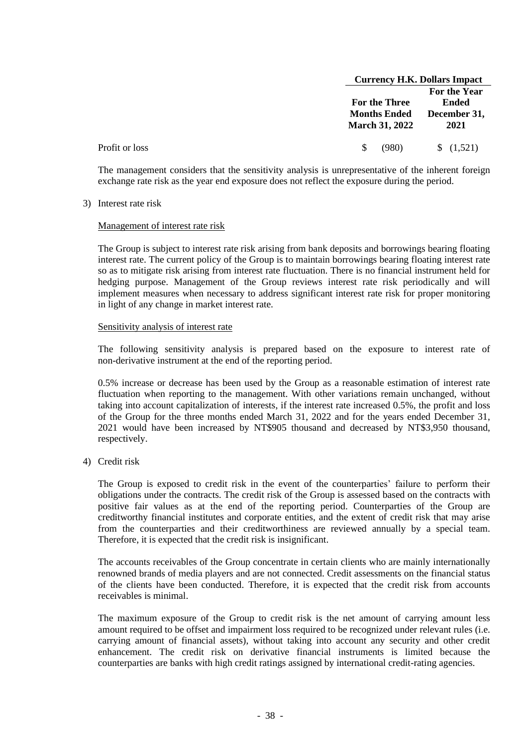|                | <b>Currency H.K. Dollars Impact</b> |              |
|----------------|-------------------------------------|--------------|
|                |                                     | For the Year |
|                | <b>For the Three</b>                | <b>Ended</b> |
|                | <b>Months Ended</b>                 | December 31, |
|                | <b>March 31, 2022</b>               | 2021         |
| Profit or loss | (980)<br>\$.                        | (1,521)      |

The management considers that the sensitivity analysis is unrepresentative of the inherent foreign exchange rate risk as the year end exposure does not reflect the exposure during the period.

3) Interest rate risk

#### Management of interest rate risk

The Group is subject to interest rate risk arising from bank deposits and borrowings bearing floating interest rate. The current policy of the Group is to maintain borrowings bearing floating interest rate so as to mitigate risk arising from interest rate fluctuation. There is no financial instrument held for hedging purpose. Management of the Group reviews interest rate risk periodically and will implement measures when necessary to address significant interest rate risk for proper monitoring in light of any change in market interest rate.

#### Sensitivity analysis of interest rate

The following sensitivity analysis is prepared based on the exposure to interest rate of non-derivative instrument at the end of the reporting period.

0.5% increase or decrease has been used by the Group as a reasonable estimation of interest rate fluctuation when reporting to the management. With other variations remain unchanged, without taking into account capitalization of interests, if the interest rate increased 0.5%, the profit and loss of the Group for the three months ended March 31, 2022 and for the years ended December 31, 2021 would have been increased by NT\$905 thousand and decreased by NT\$3,950 thousand, respectively.

4) Credit risk

The Group is exposed to credit risk in the event of the counterparties' failure to perform their obligations under the contracts. The credit risk of the Group is assessed based on the contracts with positive fair values as at the end of the reporting period. Counterparties of the Group are creditworthy financial institutes and corporate entities, and the extent of credit risk that may arise from the counterparties and their creditworthiness are reviewed annually by a special team. Therefore, it is expected that the credit risk is insignificant.

The accounts receivables of the Group concentrate in certain clients who are mainly internationally renowned brands of media players and are not connected. Credit assessments on the financial status of the clients have been conducted. Therefore, it is expected that the credit risk from accounts receivables is minimal.

The maximum exposure of the Group to credit risk is the net amount of carrying amount less amount required to be offset and impairment loss required to be recognized under relevant rules (i.e. carrying amount of financial assets), without taking into account any security and other credit enhancement. The credit risk on derivative financial instruments is limited because the counterparties are banks with high credit ratings assigned by international credit-rating agencies.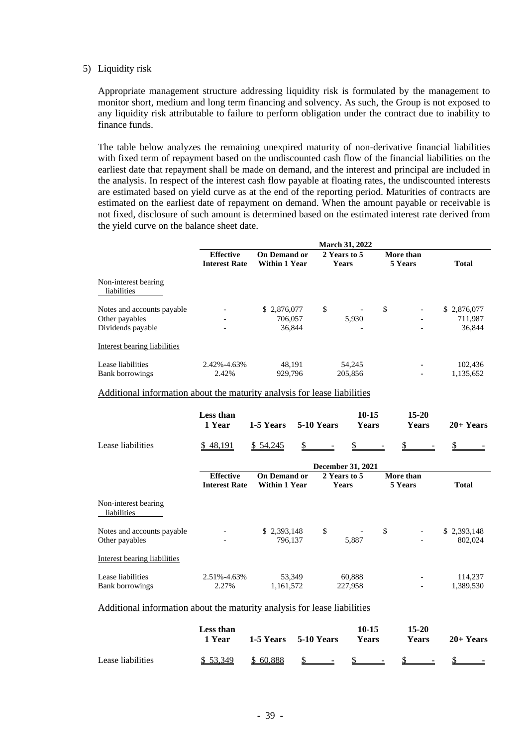#### 5) Liquidity risk

Appropriate management structure addressing liquidity risk is formulated by the management to monitor short, medium and long term financing and solvency. As such, the Group is not exposed to any liquidity risk attributable to failure to perform obligation under the contract due to inability to finance funds.

The table below analyzes the remaining unexpired maturity of non-derivative financial liabilities with fixed term of repayment based on the undiscounted cash flow of the financial liabilities on the earliest date that repayment shall be made on demand, and the interest and principal are included in the analysis. In respect of the interest cash flow payable at floating rates, the undiscounted interests are estimated based on yield curve as at the end of the reporting period. Maturities of contracts are estimated on the earliest date of repayment on demand. When the amount payable or receivable is not fixed, disclosure of such amount is determined based on the estimated interest rate derived from the yield curve on the balance sheet date.

|                                     | <b>March 31, 2022</b> |                      |                                |           |  |              |
|-------------------------------------|-----------------------|----------------------|--------------------------------|-----------|--|--------------|
|                                     | <b>Effective</b>      | <b>On Demand or</b>  | 2 Years to 5                   | More than |  |              |
|                                     | <b>Interest Rate</b>  | <b>Within 1 Year</b> | <b>Years</b>                   | 5 Years   |  | <b>Total</b> |
| Non-interest bearing<br>liabilities |                       |                      |                                |           |  |              |
| Notes and accounts payable          |                       | \$2,876,077          | \$<br>$\overline{\phantom{a}}$ | \$        |  | \$2,876,077  |
| Other payables                      | -                     | 706,057              | 5,930                          |           |  | 711,987      |
| Dividends payable                   | -                     | 36,844               | -                              |           |  | 36,844       |
| Interest bearing liabilities        |                       |                      |                                |           |  |              |
| Lease liabilities                   | 2.42%-4.63%           | 48.191               | 54,245                         |           |  | 102.436      |
| <b>Bank borrowings</b>              | 2.42%                 | 929.796              | 205,856                        |           |  | 1,135,652    |

#### Additional information about the maturity analysis for lease liabilities

|                                              | Less than<br>1 Year                      | 1-5 Years                                   | 5-10 Years   | 10-15<br><b>Years</b>        |                      | $15 - 20$<br><b>Years</b> | $20+Years$             |
|----------------------------------------------|------------------------------------------|---------------------------------------------|--------------|------------------------------|----------------------|---------------------------|------------------------|
| Lease liabilities                            | \$48,191                                 | \$ 54,245                                   | $\mathbb{S}$ |                              |                      |                           |                        |
|                                              | December 31, 2021                        |                                             |              |                              |                      |                           |                        |
|                                              | <b>Effective</b><br><b>Interest Rate</b> | <b>On Demand or</b><br><b>Within 1 Year</b> |              | 2 Years to 5<br><b>Years</b> | More than<br>5 Years |                           | <b>Total</b>           |
| Non-interest bearing<br>liabilities          |                                          |                                             |              |                              |                      |                           |                        |
| Notes and accounts payable<br>Other payables |                                          | \$2,393,148<br>796,137                      | \$           | 5,887                        | \$                   |                           | \$2,393,148<br>802,024 |
| Interest bearing liabilities                 |                                          |                                             |              |                              |                      |                           |                        |
| Lease liabilities<br><b>Bank borrowings</b>  | 2.51%-4.63%<br>2.27%                     | 53,349<br>1,161,572                         |              | 60,888<br>227,958            |                      |                           | 114,237<br>1,389,530   |

#### Additional information about the maturity analysis for lease liabilities

|                   | Less than<br>1 Year | 1-5 Years 5-10 Years  | 10-15<br>Years | 15-20<br><b>Years</b> | $20+Years$ |
|-------------------|---------------------|-----------------------|----------------|-----------------------|------------|
| Lease liabilities | \$ 53.349           | $$60,888$ \$ \$ \$ \$ |                |                       | $S -$      |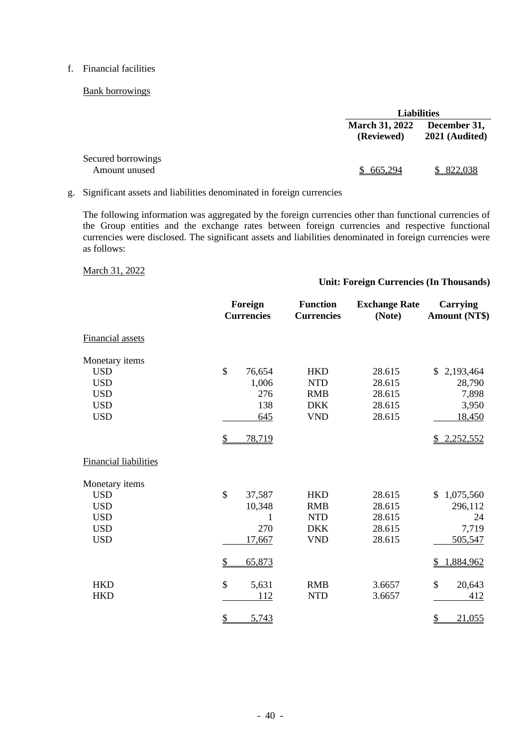#### f. Financial facilities

#### Bank borrowings

|                                     |                                     | <b>Liabilities</b>               |  |  |
|-------------------------------------|-------------------------------------|----------------------------------|--|--|
|                                     | <b>March 31, 2022</b><br>(Reviewed) | December 31,<br>$2021$ (Audited) |  |  |
| Secured borrowings<br>Amount unused | \$665,294                           | \$822,038                        |  |  |

g. Significant assets and liabilities denominated in foreign currencies

The following information was aggregated by the foreign currencies other than functional currencies of the Group entities and the exchange rates between foreign currencies and respective functional currencies were disclosed. The significant assets and liabilities denominated in foreign currencies were as follows:

#### March 31, 2022

#### **Unit: Foreign Currencies (In Thousands)**

|                                                                                      | Foreign<br><b>Currencies</b>                                                                  | <b>Function</b><br><b>Currencies</b>                               | <b>Exchange Rate</b><br>(Note)                 | Carrying<br><b>Amount (NT\$)</b>                                                    |
|--------------------------------------------------------------------------------------|-----------------------------------------------------------------------------------------------|--------------------------------------------------------------------|------------------------------------------------|-------------------------------------------------------------------------------------|
| <b>Financial assets</b>                                                              |                                                                                               |                                                                    |                                                |                                                                                     |
| Monetary items<br><b>USD</b><br><b>USD</b><br><b>USD</b><br><b>USD</b><br><b>USD</b> | \$<br>76,654<br>1,006<br>276<br>138<br>645<br>\$<br>78,719                                    | <b>HKD</b><br><b>NTD</b><br><b>RMB</b><br><b>DKK</b><br><b>VND</b> | 28.615<br>28.615<br>28.615<br>28.615<br>28.615 | 2,193,464<br>$\mathbb{S}$<br>28,790<br>7,898<br>3,950<br><u>18,450</u><br>2,252,552 |
| <b>Financial liabilities</b>                                                         |                                                                                               |                                                                    |                                                |                                                                                     |
| Monetary items<br><b>USD</b><br><b>USD</b><br><b>USD</b><br><b>USD</b><br><b>USD</b> | $\mathsf{\$}$<br>37,587<br>10,348<br>1<br>270<br>17,667                                       | <b>HKD</b><br><b>RMB</b><br><b>NTD</b><br><b>DKK</b><br><b>VND</b> | 28.615<br>28.615<br>28.615<br>28.615<br>28.615 | 1,075,560<br>\$<br>296,112<br>24<br>7,719<br>505,547                                |
| <b>HKD</b><br><b>HKD</b>                                                             | $\overline{\mathcal{L}}$<br>65,873<br>\$<br>5,631<br>112<br>$\overline{\mathcal{L}}$<br>5,743 | <b>RMB</b><br><b>NTD</b>                                           | 3.6657<br>3.6657                               | 1,884,962<br>\$<br>\$<br>20,643<br>412<br>$\mathcal{P}$<br>21,055                   |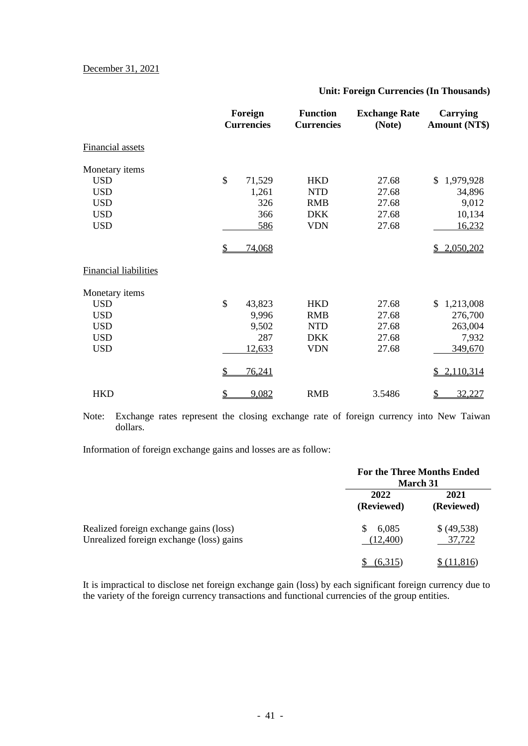#### **Unit: Foreign Currencies (In Thousands)**

|                              | Foreign<br><b>Currencies</b> | <b>Function</b><br><b>Currencies</b> | <b>Exchange Rate</b><br>(Note) | Carrying<br><b>Amount (NT\$)</b> |
|------------------------------|------------------------------|--------------------------------------|--------------------------------|----------------------------------|
| <b>Financial assets</b>      |                              |                                      |                                |                                  |
| Monetary items               |                              |                                      |                                |                                  |
| <b>USD</b>                   | \$<br>71,529                 | <b>HKD</b>                           | 27.68                          | 1,979,928<br>\$                  |
| <b>USD</b>                   | 1,261                        | <b>NTD</b>                           | 27.68                          | 34,896                           |
| <b>USD</b>                   | 326                          | <b>RMB</b>                           | 27.68                          | 9,012                            |
| <b>USD</b>                   | 366                          | <b>DKK</b>                           | 27.68                          | 10,134                           |
| <b>USD</b>                   | 586                          | <b>VDN</b>                           | 27.68                          | 16,232                           |
|                              | \$<br>74,068                 |                                      |                                | 2,050,202                        |
| <b>Financial liabilities</b> |                              |                                      |                                |                                  |
| Monetary items               |                              |                                      |                                |                                  |
| <b>USD</b>                   | \$<br>43,823                 | <b>HKD</b>                           | 27.68                          | 1,213,008<br>\$                  |
| <b>USD</b>                   | 9,996                        | <b>RMB</b>                           | 27.68                          | 276,700                          |
| <b>USD</b>                   | 9,502                        | <b>NTD</b>                           | 27.68                          | 263,004                          |
| <b>USD</b>                   | 287                          | <b>DKK</b>                           | 27.68                          | 7,932                            |
| <b>USD</b>                   | 12,633                       | <b>VDN</b>                           | 27.68                          | 349,670                          |
|                              | \$<br>76,241                 |                                      |                                | 2,110,314                        |
| <b>HKD</b>                   | \$<br>9,082                  | <b>RMB</b>                           | 3.5486                         | 32,227<br>S                      |

Note: Exchange rates represent the closing exchange rate of foreign currency into New Taiwan dollars.

Information of foreign exchange gains and losses are as follow:

|                                                                                    | <b>For the Three Months Ended</b><br><b>March 31</b> |                      |  |
|------------------------------------------------------------------------------------|------------------------------------------------------|----------------------|--|
|                                                                                    | 2022<br>(Reviewed)                                   | 2021<br>(Reviewed)   |  |
| Realized foreign exchange gains (loss)<br>Unrealized foreign exchange (loss) gains | 6,085<br>S<br>(12,400)                               | \$(49,538)<br>37,722 |  |
|                                                                                    | (6.315)                                              | \$(11,816)           |  |

It is impractical to disclose net foreign exchange gain (loss) by each significant foreign currency due to the variety of the foreign currency transactions and functional currencies of the group entities.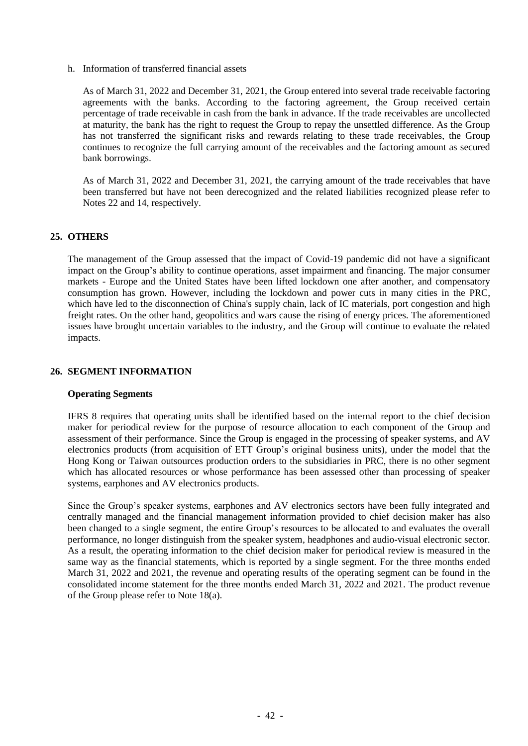h. Information of transferred financial assets

As of March 31, 2022 and December 31, 2021, the Group entered into several trade receivable factoring agreements with the banks. According to the factoring agreement, the Group received certain percentage of trade receivable in cash from the bank in advance. If the trade receivables are uncollected at maturity, the bank has the right to request the Group to repay the unsettled difference. As the Group has not transferred the significant risks and rewards relating to these trade receivables, the Group continues to recognize the full carrying amount of the receivables and the factoring amount as secured bank borrowings.

As of March 31, 2022 and December 31, 2021, the carrying amount of the trade receivables that have been transferred but have not been derecognized and the related liabilities recognized please refer to Notes 22 and 14, respectively.

#### **25. OTHERS**

The management of the Group assessed that the impact of Covid-19 pandemic did not have a significant impact on the Group's ability to continue operations, asset impairment and financing. The major consumer markets - Europe and the United States have been lifted lockdown one after another, and compensatory consumption has grown. However, including the lockdown and power cuts in many cities in the PRC, which have led to the disconnection of China's supply chain, lack of IC materials, port congestion and high freight rates. On the other hand, geopolitics and wars cause the rising of energy prices. The aforementioned issues have brought uncertain variables to the industry, and the Group will continue to evaluate the related impacts.

#### **26. SEGMENT INFORMATION**

#### **Operating Segments**

IFRS 8 requires that operating units shall be identified based on the internal report to the chief decision maker for periodical review for the purpose of resource allocation to each component of the Group and assessment of their performance. Since the Group is engaged in the processing of speaker systems, and AV electronics products (from acquisition of ETT Group's original business units), under the model that the Hong Kong or Taiwan outsources production orders to the subsidiaries in PRC, there is no other segment which has allocated resources or whose performance has been assessed other than processing of speaker systems, earphones and AV electronics products.

Since the Group's speaker systems, earphones and AV electronics sectors have been fully integrated and centrally managed and the financial management information provided to chief decision maker has also been changed to a single segment, the entire Group's resources to be allocated to and evaluates the overall performance, no longer distinguish from the speaker system, headphones and audio-visual electronic sector. As a result, the operating information to the chief decision maker for periodical review is measured in the same way as the financial statements, which is reported by a single segment. For the three months ended March 31, 2022 and 2021, the revenue and operating results of the operating segment can be found in the consolidated income statement for the three months ended March 31, 2022 and 2021. The product revenue of the Group please refer to Note 18(a).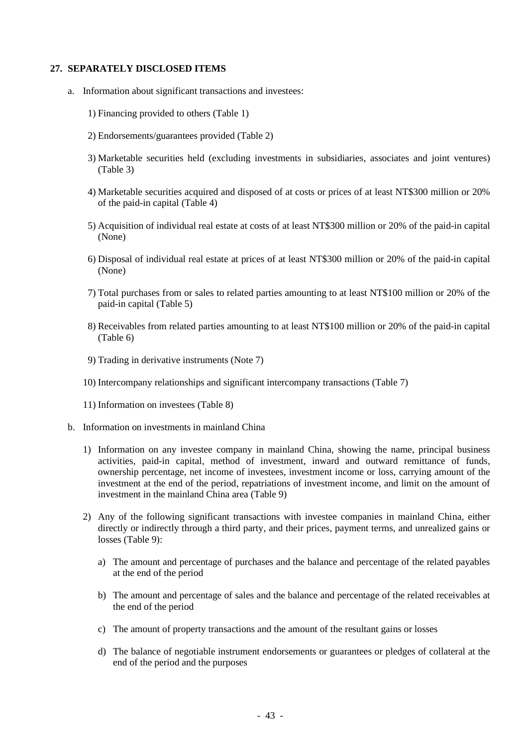#### **27. SEPARATELY DISCLOSED ITEMS**

- a. Information about significant transactions and investees:
	- 1) Financing provided to others (Table 1)
	- 2) Endorsements/guarantees provided (Table 2)
	- 3) Marketable securities held (excluding investments in subsidiaries, associates and joint ventures) (Table 3)
	- 4) Marketable securities acquired and disposed of at costs or prices of at least NT\$300 million or 20% of the paid-in capital (Table 4)
	- 5) Acquisition of individual real estate at costs of at least NT\$300 million or 20% of the paid-in capital (None)
	- 6) Disposal of individual real estate at prices of at least NT\$300 million or 20% of the paid-in capital (None)
	- 7) Total purchases from or sales to related parties amounting to at least NT\$100 million or 20% of the paid-in capital (Table 5)
	- 8) Receivables from related parties amounting to at least NT\$100 million or 20% of the paid-in capital (Table 6)
	- 9) Trading in derivative instruments (Note 7)
	- 10) Intercompany relationships and significant intercompany transactions (Table 7)
	- 11) Information on investees (Table 8)
- b. Information on investments in mainland China
	- 1) Information on any investee company in mainland China, showing the name, principal business activities, paid-in capital, method of investment, inward and outward remittance of funds, ownership percentage, net income of investees, investment income or loss, carrying amount of the investment at the end of the period, repatriations of investment income, and limit on the amount of investment in the mainland China area (Table 9)
	- 2) Any of the following significant transactions with investee companies in mainland China, either directly or indirectly through a third party, and their prices, payment terms, and unrealized gains or losses (Table 9):
		- a) The amount and percentage of purchases and the balance and percentage of the related payables at the end of the period
		- b) The amount and percentage of sales and the balance and percentage of the related receivables at the end of the period
		- c) The amount of property transactions and the amount of the resultant gains or losses
		- d) The balance of negotiable instrument endorsements or guarantees or pledges of collateral at the end of the period and the purposes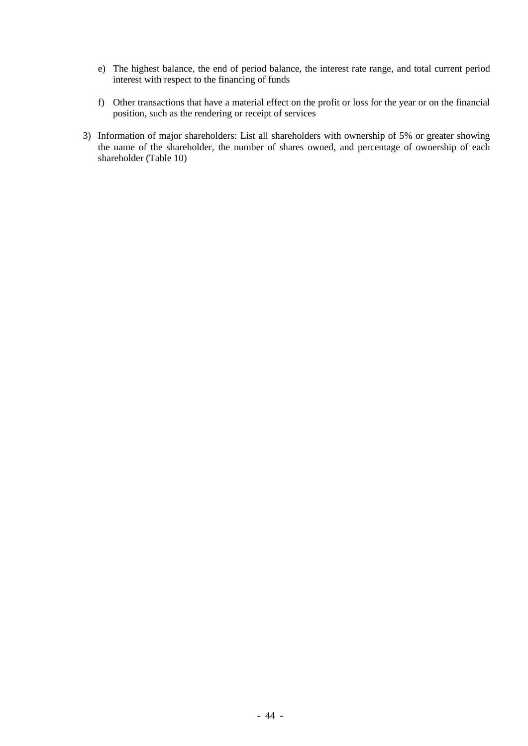- e) The highest balance, the end of period balance, the interest rate range, and total current period interest with respect to the financing of funds
- f) Other transactions that have a material effect on the profit or loss for the year or on the financial position, such as the rendering or receipt of services
- 3) Information of major shareholders: List all shareholders with ownership of 5% or greater showing the name of the shareholder, the number of shares owned, and percentage of ownership of each shareholder (Table 10)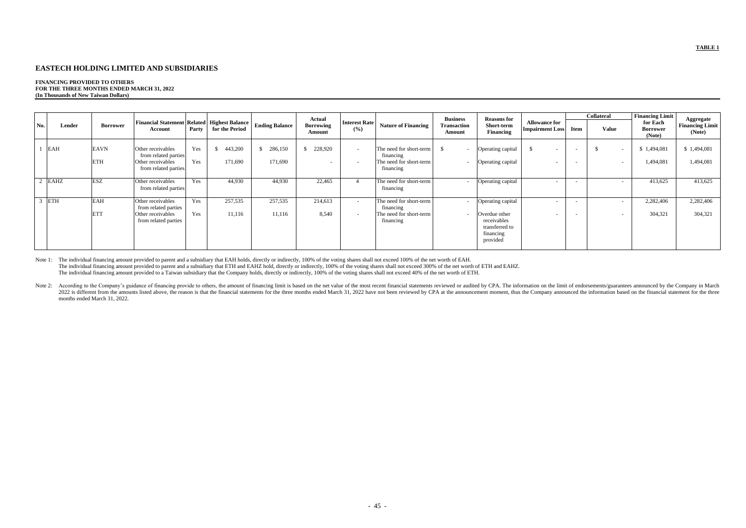#### **EASTECH HOLDING LIMITED AND SUBSIDIARIES**

#### **FINANCING PROVIDED TO OTHERS FOR THE THREE MONTHS ENDED MARCH 31, 2022 (In Thousands of New Taiwan Dollars)**

| No. | Lender     | <b>Borrower</b>           | <b>Financial Statement Related   Highest Balance  </b><br>Account                      | Party      | for the Period                      | <b>Ending Balance</b> | Actual<br><b>Borrowing</b><br>Amount | <b>Interest Rate</b><br>(%) | <b>Nature of Financing</b>                                                   | <b>Business</b><br>Fransaction<br>Amount | <b>Reasons for</b><br>Short-term<br><b>Financing</b>                                         | <b>Allowance for</b><br><b>Impairment Loss</b> | <b>Item</b> | <b>Collateral</b><br><b>Value</b> |                                    | <b>Financing Limit</b><br>for Each<br>Borrower<br>(Note) | Aggregate<br><b>Financing Limit</b><br>(Note) |
|-----|------------|---------------------------|----------------------------------------------------------------------------------------|------------|-------------------------------------|-----------------------|--------------------------------------|-----------------------------|------------------------------------------------------------------------------|------------------------------------------|----------------------------------------------------------------------------------------------|------------------------------------------------|-------------|-----------------------------------|------------------------------------|----------------------------------------------------------|-----------------------------------------------|
|     | <b>EAH</b> | <b>EAVN</b><br><b>ETH</b> | Other receivables<br>from related parties<br>Other receivables<br>from related parties | Yes<br>Yes | 443,200<br><sup>\$</sup><br>171,690 | 286,150<br>171,690    | 228,920<br>$\overline{\phantom{0}}$  | $\sim$<br>$\sim$            | The need for short-term<br>financing<br>The need for short-term<br>financing | - \$                                     | Operating capital<br>Operating capital                                                       |                                                |             |                                   |                                    | \$1,494,081<br>1,494,081                                 | \$1,494,081<br>1,494,081                      |
|     | 2 EAHZ     | <b>ESZ</b>                | Other receivables<br>from related parties                                              | Yes        | 44,930                              | 44,930                | 22,465                               | 4                           | The need for short-term<br>financing                                         |                                          | Operating capital                                                                            |                                                |             |                                   | $\overline{\phantom{0}}$           | 413,625                                                  | 413,625                                       |
|     | <b>ETH</b> | <b>EAH</b><br><b>ETT</b>  | Other receivables<br>from related parties<br>Other receivables<br>from related parties | Yes<br>Yes | 257,535<br>11,116                   | 257,535<br>11,116     | 214,613<br>8,540                     | $\sim$<br>$\sim$            | The need for short-term<br>financing<br>The need for short-term<br>financing | $\sim$                                   | Operating capital<br>Overdue other<br>receivables<br>transferred to<br>financing<br>provided | $\overline{\phantom{0}}$                       |             |                                   | $\sim$<br>$\overline{\phantom{0}}$ | 2,282,406<br>304,321                                     | 2,282,406<br>304,321                          |

Note 1: The individual financing amount provided to parent and a subsidiary that EAH holds, directly or indirectly, 100% of the voting shares shall not exceed 100% of the net worth of EAH. The individual financing amount provided to parent and a subsidiary that ETH and EAHZ hold, directly or indirectly, 100% of the voting shares shall not exceed 300% of the net worth of ETH and EAHZ. The individual financing amount provided to a Taiwan subsidiary that the Company holds, directly or indirectly, 100% of the voting shares shall not exceed 40% of the net worth of ETH.

Note 2: According to the Company's guidance of financing provide to others, the amount of financing limit is based on the net value of the most recent financial statements reviewed or audited by CPA. The information on the 2022 is different from the amounts listed above, the reason is that the financial statements for the three months ended March 31, 2022 have not been reviewed by CPA at the announcement moment, thus the Company announced th months ended March 31, 2022.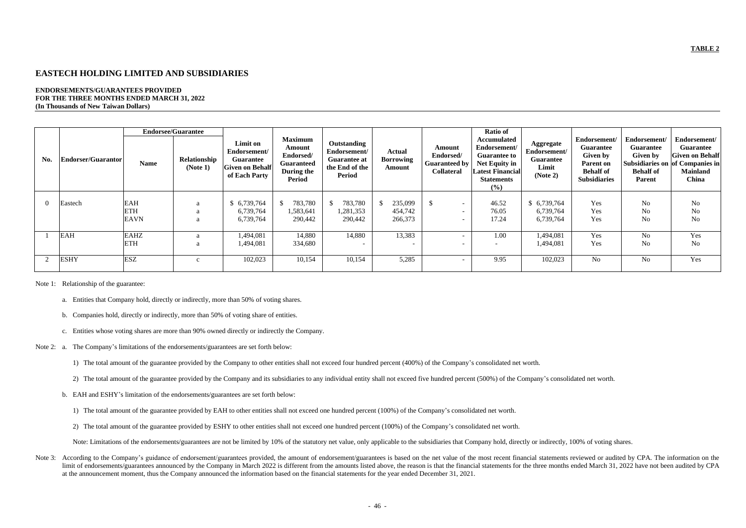### **EASTECH HOLDING LIMITED AND SUBSIDIARIES**

#### **ENDORSEMENTS/GUARANTEES PROVIDED FOR THE THREE MONTHS ENDED MARCH 31, 2022 (In Thousands of New Taiwan Dollars)**

|     |                           |             | <b>Endorsee/Guarantee</b> |                                                                                         |                                                                                           |                                                                                       |                                      |                                                                  | <b>Ratio of</b>                                                                                                                   |                                                                    |                                                                                                             |                                                                                          |                                                                                                                           |
|-----|---------------------------|-------------|---------------------------|-----------------------------------------------------------------------------------------|-------------------------------------------------------------------------------------------|---------------------------------------------------------------------------------------|--------------------------------------|------------------------------------------------------------------|-----------------------------------------------------------------------------------------------------------------------------------|--------------------------------------------------------------------|-------------------------------------------------------------------------------------------------------------|------------------------------------------------------------------------------------------|---------------------------------------------------------------------------------------------------------------------------|
| No. | <b>Endorser/Guarantor</b> | <b>Name</b> | Relationship<br>(Note 1)  | Limit on<br>Endorsement/<br><b>Guarantee</b><br><b>Given on Behalf</b><br>of Each Party | <b>Maximum</b><br>Amount<br>Endorsed/<br><b>Guaranteed</b><br>During the<br><b>Period</b> | Outstanding<br>Endorsement/<br><b>Guarantee at</b><br>the End of the<br><b>Period</b> | Actual<br><b>Borrowing</b><br>Amount | Amount<br>Endorsed/<br><b>Guaranteed by</b><br><b>Collateral</b> | <b>Accumulated</b><br>Endorsement/<br><b>Guarantee to</b><br>Net Equity in<br><b>Latest Financial</b><br><b>Statements</b><br>(%) | Aggregate<br>Endorsement/<br><b>Guarantee</b><br>Limit<br>(Note 2) | Endorsement/<br><b>Guarantee</b><br>Given by<br><b>Parent on</b><br><b>Behalf</b> of<br><b>Subsidiaries</b> | Endorsement/<br><b>Guarantee</b><br><b>Given by</b><br><b>Behalf</b> of<br><b>Parent</b> | Endorsement/<br><b>Guarantee</b><br><b>Given on Behalf</b><br>Subsidiaries on of Companies in<br><b>Mainland</b><br>China |
|     | Eastech                   | <b>EAH</b>  |                           | \$6,739,764                                                                             | 783,780                                                                                   | 783,780                                                                               | 235,099                              | $\mathbb{S}$                                                     | 46.52                                                                                                                             | \$6,739,764                                                        | Yes                                                                                                         | N <sub>o</sub>                                                                           | $\rm No$                                                                                                                  |
|     |                           | <b>ETH</b>  |                           | 6,739,764                                                                               | 1,583,641                                                                                 | 1,281,353                                                                             | 454,742                              | $\sim$                                                           | 76.05                                                                                                                             | 6,739,764                                                          | Yes                                                                                                         | No                                                                                       | $\rm No$                                                                                                                  |
|     |                           |             | a                         |                                                                                         |                                                                                           |                                                                                       |                                      | $\overline{\phantom{0}}$                                         |                                                                                                                                   |                                                                    |                                                                                                             |                                                                                          |                                                                                                                           |
|     |                           | <b>EAVN</b> | a                         | 6,739,764                                                                               | 290,442                                                                                   | 290,442                                                                               | 266,373                              | $\overline{\phantom{a}}$                                         | 17.24                                                                                                                             | 6,739,764                                                          | Yes                                                                                                         | No                                                                                       | No                                                                                                                        |
|     | <b>EAH</b>                | <b>EAHZ</b> | a                         | 1,494,081                                                                               | 14,880                                                                                    | 14,880                                                                                | 13,383                               | $\overline{\phantom{0}}$                                         | 1.00                                                                                                                              | 1,494,081                                                          | Yes                                                                                                         | N <sub>o</sub>                                                                           | Yes                                                                                                                       |
|     |                           | <b>ETH</b>  | a                         | 1,494,081                                                                               | 334,680                                                                                   | $\overline{\phantom{0}}$                                                              |                                      | $\overline{\phantom{0}}$                                         |                                                                                                                                   | 1,494,081                                                          | Yes                                                                                                         | No                                                                                       | <b>No</b>                                                                                                                 |
|     |                           |             |                           |                                                                                         |                                                                                           |                                                                                       |                                      |                                                                  |                                                                                                                                   |                                                                    |                                                                                                             |                                                                                          |                                                                                                                           |
|     | <b>ESHY</b>               | <b>ESZ</b>  | $\mathbf{C}$              | 102,023                                                                                 | 10,154                                                                                    | 10,154                                                                                | 5,285                                | $\overline{a}$                                                   | 9.95                                                                                                                              | 102,023                                                            | No                                                                                                          | N <sub>o</sub>                                                                           | Yes                                                                                                                       |

Note 1: Relationship of the guarantee:

Note 3: According to the Company's guidance of endorsement/guarantees provided, the amount of endorsement/guarantees is based on the net value of the most recent financial statements reviewed or audited by CPA. The informa limit of endorsements/guarantees announced by the Company in March 2022 is different from the amounts listed above, the reason is that the financial statements for the three months ended March 31, 2022 have not been audite at the announcement moment, thus the Company announced the information based on the financial statements for the year ended December 31, 2021.

- a. Entities that Company hold, directly or indirectly, more than 50% of voting shares.
- b. Companies hold, directly or indirectly, more than 50% of voting share of entities.
- c. Entities whose voting shares are more than 90% owned directly or indirectly the Company.
- Note 2: a. The Company's limitations of the endorsements/guarantees are set forth below:
	- 1) The total amount of the guarantee provided by the Company to other entities shall not exceed four hundred percent (400%) of the Company's consolidated net worth.
	- 2) The total amount of the guarantee provided by the Company and its subsidiaries to any individual entity shall not exceed five hundred percent (500%) of the Company's consolidated net worth.
	- b. EAH and ESHY's limitation of the endorsements/guarantees are set forth below:
		- 1) The total amount of the guarantee provided by EAH to other entities shall not exceed one hundred percent (100%) of the Company's consolidated net worth.
		- 2) The total amount of the guarantee provided by ESHY to other entities shall not exceed one hundred percent (100%) of the Company's consolidated net worth.

Note: Limitations of the endorsements/guarantees are not be limited by 10% of the statutory net value, only applicable to the subsidiaries that Company hold, directly or indirectly, 100% of voting shares.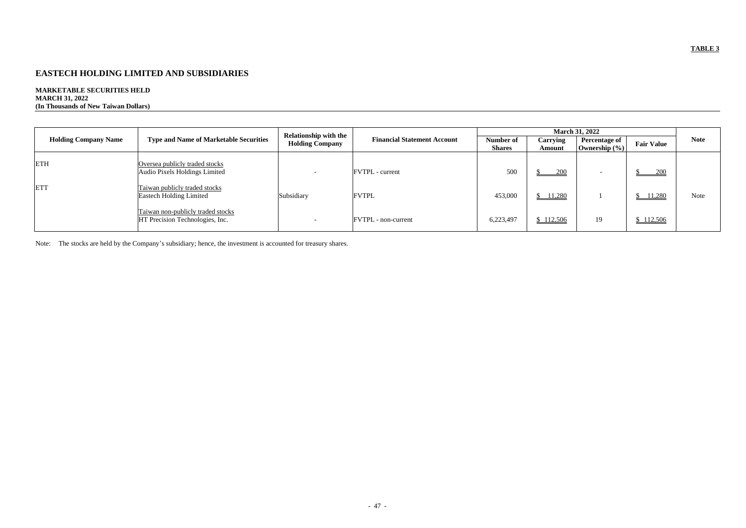# **EASTECH HOLDING LIMITED AND SUBSIDIARIES**

# **MARKETABLE SECURITIES HELD MARCH 31, 2022**

**(In Thousands of New Taiwan Dollars)**

|                             |                                                                      | <b>Relationship with the</b> |                                    |                            |                    | <b>March 31, 2022</b>                     |                   |             |
|-----------------------------|----------------------------------------------------------------------|------------------------------|------------------------------------|----------------------------|--------------------|-------------------------------------------|-------------------|-------------|
| <b>Holding Company Name</b> | <b>Type and Name of Marketable Securities</b>                        | <b>Holding Company</b>       | <b>Financial Statement Account</b> | Number of<br><b>Shares</b> | Carrying<br>Amount | <b>Percentage of</b><br>Ownership $(\% )$ | <b>Fair Value</b> | <b>Note</b> |
| <b>ETH</b>                  | Oversea publicly traded stocks<br>Audio Pixels Holdings Limited      |                              | <b>FVTPL</b> - current             | 500                        | 200                | $\overline{\phantom{a}}$                  | 200               |             |
| <b>ETT</b>                  | Taiwan publicly traded stocks<br><b>Eastech Holding Limited</b>      | Subsidiary                   | <b>FVTPL</b>                       | 453,000                    | \$11,280           |                                           | 11,280            | Note        |
|                             | Taiwan non-publicly traded stocks<br>HT Precision Technologies, Inc. | $\overline{\phantom{a}}$     | <b>FVTPL</b> - non-current         | 6,223,497                  | \$112,506          | 19                                        | \$112,506         |             |

Note: The stocks are held by the Company's subsidiary; hence, the investment is accounted for treasury shares.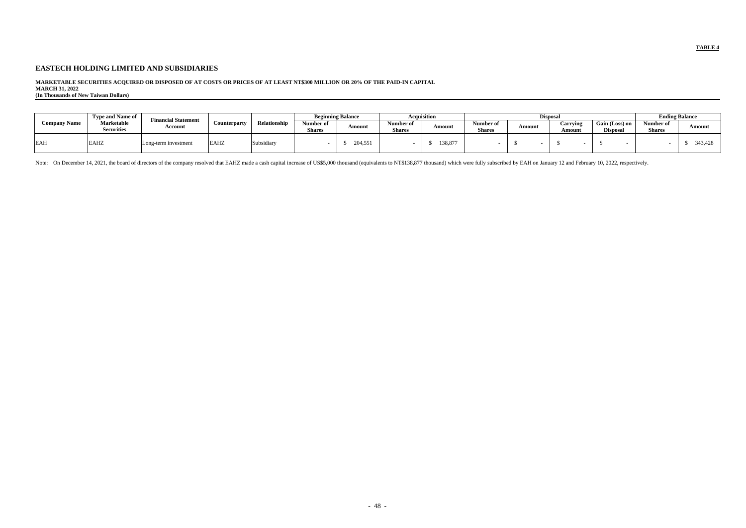### **EASTECH HOLDING LIMITED AND SUBSIDIARIES**

#### **MARKETABLE SECURITIES ACQUIRED OR DISPOSED OF AT COSTS OR PRICES OF AT LEAST NT\$300 MILLION OR 20% OF THE PAID-IN CAPITAL MARCH 31, 2022**

**(In Thousands of New Taiwan Dollars)**

|                     | <b>Type and Name of</b>         | <b>Financial Statement</b> |              |              | <b>Beginning Balance</b>   |         | Acquisition                |         | <b>Disposa</b>             |        |                                  |                                   | <b>Ending Balance</b>      |         |
|---------------------|---------------------------------|----------------------------|--------------|--------------|----------------------------|---------|----------------------------|---------|----------------------------|--------|----------------------------------|-----------------------------------|----------------------------|---------|
| <b>Company Name</b> | Marketable<br><b>Securities</b> | Account                    | Counterparty | Relationship | Number of<br><b>Shares</b> | Amount  | Number 01<br><b>Shares</b> | Amount  | Number of<br><b>Shares</b> | Amount | <b><i>Carrying</i></b><br>Amount | Gain (Loss) on<br><b>Disposal</b> | Number of<br><b>Shares</b> | Amoun   |
| <b>EAH</b>          | EAHZ                            | Long-term investment       | <b>EAHZ</b>  | Subsidiary   |                            | 204,551 |                            | 138,877 |                            |        |                                  |                                   |                            | 343,428 |

Note: On December 14, 2021, the board of directors of the company resolved that EAHZ made a cash capital increase of US\$5,000 thousand (equivalents to NT\$138,877 thousand) which were fully subscribed by EAH on January 12 a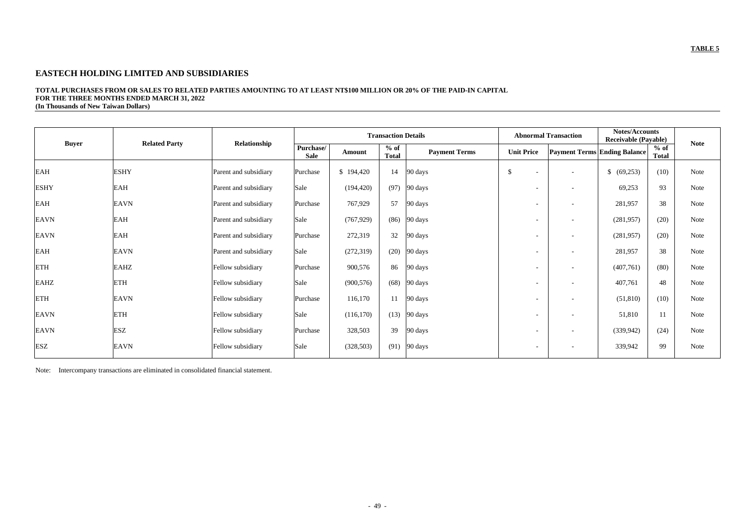### **EASTECH HOLDING LIMITED AND SUBSIDIARIES**

**Buyer Related Party Relationship Transaction Details Abnormal Trans Purchase/ Sale Amount of Sale Amount of Total Payment Terms Ending Balance Paym** EAH  $ESHY$  ESHY Parent and subsidiary Purchase | \$ 194,420 | 14 |90 days | \$ - | - | \$ (69,253) | (10) | Note ESHY BAH Rarent and subsidiary Sale (194,420) (97) 90 days 1993 - 1996 - 199,253 93 Note EAH EAVN BAVN Parent and subsidiary Purchase 767,929 57 90 days 190 days 281,957 38 Note EAVN [EAH Parent and subsidiary Sale (767,929) (86) 90 days - - (281,957) (20) Note EAVN [EAH Parent and subsidiary Purchase | 272,319 | 32 | 90 days | - | - | (281,957) | (20) | Note EAH EAVN EAVN Parent and subsidiary Sale (272,319) (20) 90 days - - 281,957 38 Note ETH Fellow subsidiary Purchase 900,576 86 90 days - - (407,761) (80) Note EAHZ FETH Fellow subsidiary Sale (900,576) (68) 90 days - - 407,761 48 Note ETH [EAVN Fellow subsidiary Purchase 116,170 | 11 |90 days | - | - | (51,810) | (10) Note EAVN ETH Fellow subsidiary Sale (116,170) (13) 90 days - - 51,810 11 Note EAVN [ESZ Fellow subsidiary Purchase 328,503 | 39 |90 days | - | - | (339,942) | (24) | Note ESZ [EAVN Fellow subsidiary Sale | (328,503) | (91) |90 days | - | - | 339,942 | 99 | Note

#### **TOTAL PURCHASES FROM OR SALES TO RELATED PARTIES AMOUNTING TO AT LEAST NT\$100 MILLION OR 20% OF THE PAID-IN CAPITAL FOR THE THREE MONTHS ENDED MARCH 31, 2022 (In Thousands of New Taiwan Dollars)**

| action | <b>Notes/Accounts</b><br><b>Receivable (Payable)</b> |                        |             |
|--------|------------------------------------------------------|------------------------|-------------|
|        | nent Terms Ending Balance                            | $%$ of<br><b>Total</b> | <b>Note</b> |
|        | \$<br>(69, 253)                                      | (10)                   | <b>Note</b> |
|        | 69,253                                               | 93                     | Note        |
|        | 281,957                                              | 38                     | <b>Note</b> |
|        | (281, 957)                                           | (20)                   | <b>Note</b> |
|        | (281, 957)                                           | (20)                   | <b>Note</b> |
|        | 281,957                                              | 38                     | Note        |
|        | (407,761)                                            | (80)                   | <b>Note</b> |
|        | 407,761                                              | 48                     | <b>Note</b> |
|        | (51, 810)                                            | (10)                   | <b>Note</b> |
|        | 51,810                                               | 11                     | <b>Note</b> |
|        | (339, 942)                                           | (24)                   | <b>Note</b> |
|        | 339,942                                              | 99                     | <b>Note</b> |
|        |                                                      |                        |             |

Note: Intercompany transactions are eliminated in consolidated financial statement.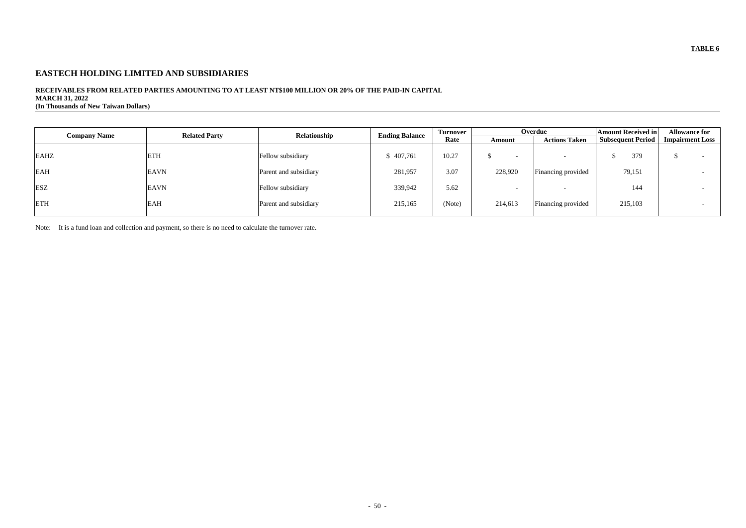# **EASTECH HOLDING LIMITED AND SUBSIDIARIES**

### **RECEIVABLES FROM RELATED PARTIES AMOUNTING TO AT LEAST NT\$100 MILLION OR 20% OF THE PAID-IN CAPITAL MARCH 31, 2022**

**(In Thousands of New Taiwan Dollars)**

| <b>Company Name</b> | <b>Related Party</b> | Relationship          | <b>Ending Balance</b> | <b>Turnover</b> |                          | Overdue              | <b>Amount Received in</b> | <b>Allowance for</b>   |  |
|---------------------|----------------------|-----------------------|-----------------------|-----------------|--------------------------|----------------------|---------------------------|------------------------|--|
|                     |                      |                       |                       | Rate            | Amount                   | <b>Actions Taken</b> | <b>Subsequent Period</b>  | <b>Impairment Loss</b> |  |
| <b>EAHZ</b>         | <b>ETH</b>           | Fellow subsidiary     | 6407,761              | 10.27           | $\overline{\phantom{a}}$ |                      | 379                       |                        |  |
| <b>EAH</b>          | <b>EAVN</b>          | Parent and subsidiary | 281,957               | 3.07            | 228,920                  | Financing provided   | 79,151                    |                        |  |
| <b>ESZ</b>          | <b>EAVN</b>          | Fellow subsidiary     | 339,942               | 5.62            |                          |                      | 144                       |                        |  |
| <b>ETH</b>          | <b>EAH</b>           | Parent and subsidiary | 215,165               | (Note)          | 214,613                  | Financing provided   | 215,103                   |                        |  |

Note: It is a fund loan and collection and payment, so there is no need to calculate the turnover rate.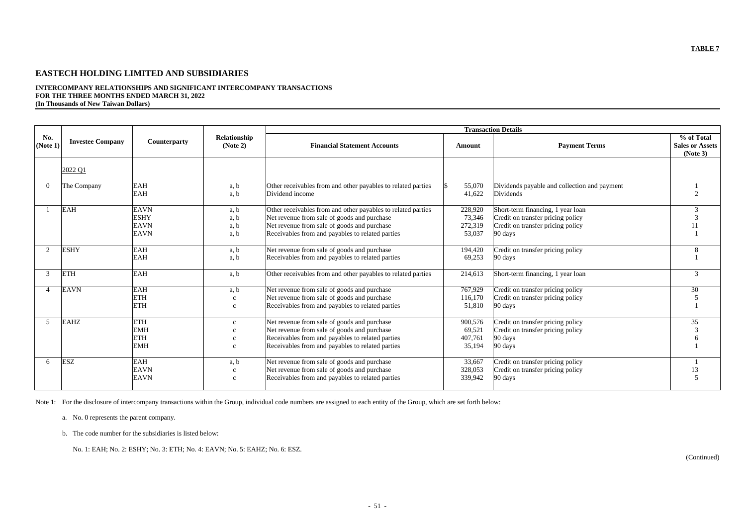# **EASTECH HOLDING LIMITED AND SUBSIDIARIES**

# **INTERCOMPANY RELATIONSHIPS AND SIGNIFICANT INTERCOMPANY TRANSACTIONS FOR THE THREE MONTHS ENDED MARCH 31, 2022**

**(In Thousands of New Taiwan Dollars)**

| <b>Transaction Details</b>  |                         |                     |              |                                                              |         |                                              |                                    |  |  |  |
|-----------------------------|-------------------------|---------------------|--------------|--------------------------------------------------------------|---------|----------------------------------------------|------------------------------------|--|--|--|
| No.<br>(Note 1)             | <b>Investee Company</b> | <b>Counterparty</b> | Relationship | <b>Financial Statement Accounts</b>                          |         |                                              | % of Total                         |  |  |  |
|                             |                         |                     | (Note 2)     |                                                              | Amount  | <b>Payment Terms</b>                         | <b>Sales or Assets</b><br>(Note 3) |  |  |  |
|                             | 2022 Q1                 |                     |              |                                                              |         |                                              |                                    |  |  |  |
|                             |                         |                     |              |                                                              |         |                                              |                                    |  |  |  |
| $\Omega$                    | The Company             | <b>EAH</b>          | a, b         | Other receivables from and other payables to related parties | 55,070  | Dividends payable and collection and payment |                                    |  |  |  |
|                             |                         | <b>EAH</b>          | a, b         | Dividend income                                              | 41,622  | Dividends                                    | $\mathcal{D}$                      |  |  |  |
|                             | <b>EAH</b>              | <b>EAVN</b>         | a, b         | Other receivables from and other payables to related parties | 228,920 | Short-term financing, 1 year loan            | 3                                  |  |  |  |
|                             |                         | <b>ESHY</b>         | a, b         | Net revenue from sale of goods and purchase                  | 73,346  | Credit on transfer pricing policy            | 3                                  |  |  |  |
|                             |                         | <b>EAVN</b>         | a, b         | Net revenue from sale of goods and purchase                  | 272,319 | Credit on transfer pricing policy            |                                    |  |  |  |
|                             |                         | <b>EAVN</b>         | a, b         | Receivables from and payables to related parties             | 53,037  | 90 days                                      |                                    |  |  |  |
| $\mathcal{D}_{\mathcal{L}}$ | <b>ESHY</b>             | <b>EAH</b>          | a, b         | Net revenue from sale of goods and purchase                  | 194,420 | Credit on transfer pricing policy            | 8                                  |  |  |  |
|                             |                         | <b>EAH</b>          | a, b         | Receivables from and payables to related parties             | 69,253  | 90 days                                      |                                    |  |  |  |
| $\mathcal{R}$               | <b>ETH</b>              | <b>EAH</b>          | a, b         | Other receivables from and other payables to related parties | 214,613 | Short-term financing, 1 year loan            | $\mathfrak{Z}$                     |  |  |  |
|                             | <b>EAVN</b>             | <b>EAH</b>          | a, b         | Net revenue from sale of goods and purchase                  | 767,929 | Credit on transfer pricing policy            | 30                                 |  |  |  |
|                             |                         | <b>ETH</b>          | $\mathbf{c}$ | Net revenue from sale of goods and purchase                  | 116,170 | Credit on transfer pricing policy            | 5                                  |  |  |  |
|                             |                         | <b>ETH</b>          | $\mathbf{c}$ | Receivables from and payables to related parties             | 51,810  | 90 days                                      |                                    |  |  |  |
| $\overline{5}$              | <b>EAHZ</b>             | <b>ETH</b>          | $\mathbf{c}$ | Net revenue from sale of goods and purchase                  | 900,576 | Credit on transfer pricing policy            | 35                                 |  |  |  |
|                             |                         | <b>EMH</b>          | $\mathbf{c}$ | Net revenue from sale of goods and purchase                  | 69,521  | Credit on transfer pricing policy            | 3                                  |  |  |  |
|                             |                         | <b>ETH</b>          | $\mathbf{c}$ | Receivables from and payables to related parties             | 407,761 | 90 days                                      |                                    |  |  |  |
|                             |                         | <b>EMH</b>          | $\mathbf{c}$ | Receivables from and payables to related parties             | 35,194  | 90 days                                      |                                    |  |  |  |
| 6                           | <b>ESZ</b>              | <b>EAH</b>          | a, b         | Net revenue from sale of goods and purchase                  | 33,667  | Credit on transfer pricing policy            |                                    |  |  |  |
|                             |                         | <b>EAVN</b>         | $\mathbf{c}$ | Net revenue from sale of goods and purchase                  | 328,053 | Credit on transfer pricing policy            | 13                                 |  |  |  |
|                             |                         | <b>EAVN</b>         | $\mathbf{c}$ | Receivables from and payables to related parties             | 339,942 | 90 days                                      |                                    |  |  |  |

Note 1: For the disclosure of intercompany transactions within the Group, individual code numbers are assigned to each entity of the Group, which are set forth below:

- a. No. 0 represents the parent company.
- b. The code number for the subsidiaries is listed below:

No. 1: EAH; No. 2: ESHY; No. 3: ETH; No. 4: EAVN; No. 5: EAHZ; No. 6: ESZ.

(Continued)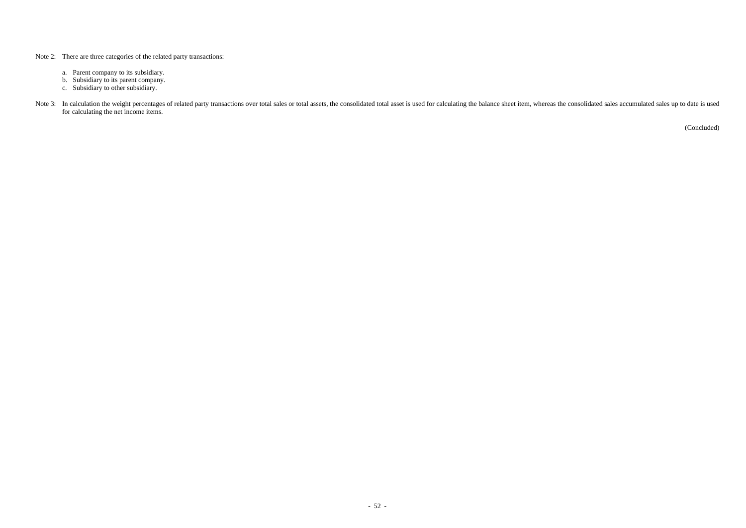- Note 2: There are three categories of the related party transactions:
	- a. Parent company to its subsidiary.
	- b. Subsidiary to its parent company.
	- c. Subsidiary to other subsidiary.
- Note 3: In calculation the weight percentages of related party transactions over total sales or total assets, the consolidated total asset is used for calculating the balance sheet item, whereas the consolidated sales accu for calculating the net income items.

(Concluded)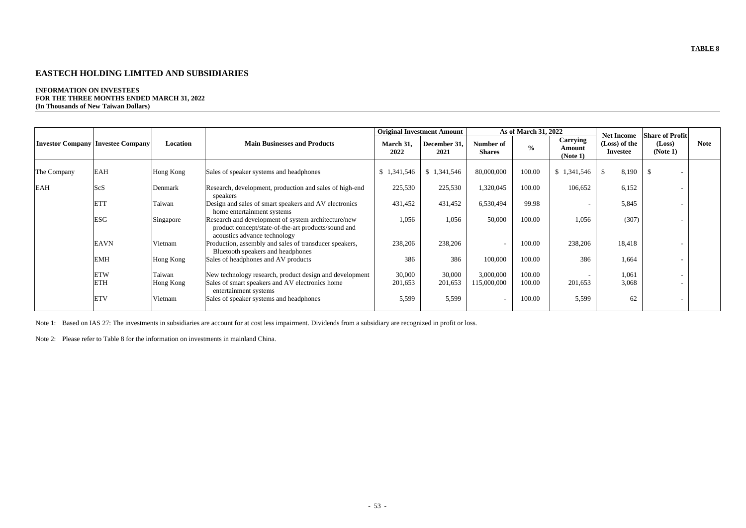# **EASTECH HOLDING LIMITED AND SUBSIDIARIES**

#### **INFORMATION ON INVESTEES FOR THE THREE MONTHS ENDED MARCH 31, 2022 (In Thousands of New Taiwan Dollars)**

|                         |                                          |                                                                          |                                                                                                                                            |                   | <b>Original Investment Amount</b> |                            | As of March 31, 2022 |                                       |                                                       |                                              |             |
|-------------------------|------------------------------------------|--------------------------------------------------------------------------|--------------------------------------------------------------------------------------------------------------------------------------------|-------------------|-----------------------------------|----------------------------|----------------------|---------------------------------------|-------------------------------------------------------|----------------------------------------------|-------------|
|                         | <b>Investor Company Investee Company</b> | Location                                                                 | <b>Main Businesses and Products</b>                                                                                                        | March 31,<br>2022 | December 31,<br>2021              | Number of<br><b>Shares</b> | $\frac{0}{0}$        | <b>Carrying</b><br>Amount<br>(Note 1) | <b>Net Income</b><br>(Loss) of the<br><b>Investee</b> | <b>Share of Profit</b><br>(Loss)<br>(Note 1) | <b>Note</b> |
| The Company             | <b>EAH</b>                               | Hong Kong                                                                | Sales of speaker systems and headphones                                                                                                    | \$1,341,546       | \$1,341,546                       | 80,000,000                 | 100.00               | \$1,341,546                           | 8,190                                                 |                                              |             |
| <b>EAH</b>              | <b>ScS</b>                               | Denmark                                                                  | Research, development, production and sales of high-end<br>speakers                                                                        | 225,530           | 225,530                           | 1,320,045                  | 100.00               | 106,652                               | 6,152                                                 |                                              |             |
|                         | <b>ETT</b>                               | Taiwan                                                                   | Design and sales of smart speakers and AV electronics<br>home entertainment systems                                                        | 431,452           | 431,452                           | 6,530,494                  | 99.98                | $\overline{\phantom{a}}$              | 5,845                                                 |                                              |             |
|                         | <b>ESG</b>                               | Singapore                                                                | Research and development of system architecture/new<br>product concept/state-of-the-art products/sound and<br>acoustics advance technology | 1,056             | 1,056                             | 50,000                     | 100.00               | 1,056                                 | (307)                                                 |                                              |             |
|                         | <b>EAVN</b>                              | Vietnam                                                                  | Production, assembly and sales of transducer speakers,<br>Bluetooth speakers and headphones                                                | 238,206           | 238,206                           | $\overline{\phantom{a}}$   | 100.00               | 238,206                               | 18,418                                                |                                              |             |
|                         | <b>EMH</b>                               | Hong Kong                                                                | Sales of headphones and AV products                                                                                                        | 386               | 386                               | 100,000                    | 100.00               | 386                                   | 1,664                                                 |                                              |             |
|                         | <b>ETW</b>                               | Taiwan                                                                   | New technology research, product design and development                                                                                    | 30,000            | 30,000                            | 3,000,000                  | 100.00               |                                       | 1,061                                                 | $\overline{\phantom{0}}$                     |             |
| <b>ETH</b><br>Hong Kong |                                          | Sales of smart speakers and AV electronics home<br>entertainment systems | 201,653                                                                                                                                    | 201,653           | 115,000,000                       | 100.00                     | 201,653              | 3,068                                 |                                                       |                                              |             |
|                         | <b>ETV</b>                               | Vietnam                                                                  | Sales of speaker systems and headphones                                                                                                    | 5,599             | 5,599                             | $\overline{\phantom{a}}$   | 100.00               | 5,599                                 | 62                                                    |                                              |             |

Note 1: Based on IAS 27: The investments in subsidiaries are account for at cost less impairment. Dividends from a subsidiary are recognized in profit or loss.

Note 2: Please refer to Table 8 for the information on investments in mainland China.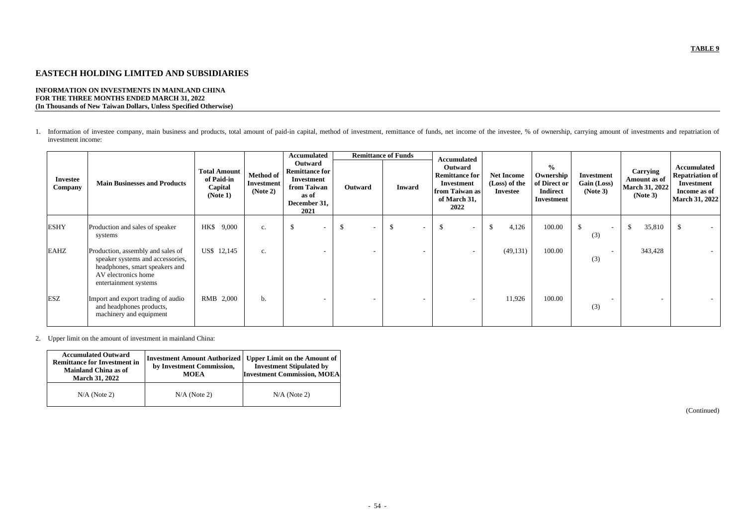# **EASTECH HOLDING LIMITED AND SUBSIDIARIES**

### **INFORMATION ON INVESTMENTS IN MAINLAND CHINA FOR THE THREE MONTHS ENDED MARCH 31, 2022 (In Thousands of New Taiwan Dollars, Unless Specified Otherwise)**

1. Information of investee company, main business and products, total amount of paid-in capital, method of investment, remittance of funds, net income of the investee, % of ownership, carrying amount of investments and rep investment income:

| <b>Investee</b><br>Company | <b>Main Businesses and Products</b>                                                                                                                     | <b>Total Amount</b><br>of Paid-in<br>Capital<br>(Note 1) | <b>Method of</b><br><b>Investment</b><br>(Note 2) | <b>Accumulated</b><br>Outward<br><b>Remittance for</b><br>Investment<br>from Taiwan<br>as of<br>December 31,<br>2021 | Outward                         | <b>Remittance of Funds</b><br><b>Inward</b> | <b>Accumulated</b><br>Outward<br><b>Remittance for</b><br>Investment<br>from Taiwan as<br>of March 31,<br>2022 | <b>Net Income</b><br>(Loss) of the<br><b>Investee</b> | $\frac{0}{0}$<br>Ownership<br>of Direct or<br><b>Indirect</b><br><b>Investment</b> | Investment<br>Gain (Loss)<br>(Note 3) | Carrying<br>Amount as of<br><b>March 31, 2022</b><br>(Note 3) | Accumulated<br><b>Repatriation of</b><br>Investment<br>Income as of<br><b>March 31, 2022</b> |
|----------------------------|---------------------------------------------------------------------------------------------------------------------------------------------------------|----------------------------------------------------------|---------------------------------------------------|----------------------------------------------------------------------------------------------------------------------|---------------------------------|---------------------------------------------|----------------------------------------------------------------------------------------------------------------|-------------------------------------------------------|------------------------------------------------------------------------------------|---------------------------------------|---------------------------------------------------------------|----------------------------------------------------------------------------------------------|
| <b>ESHY</b>                | Production and sales of speaker<br>systems                                                                                                              | HK\$ 9,000                                               | c.                                                | $\mathcal{S}$                                                                                                        | -\$<br>$\overline{\phantom{a}}$ | $\mathcal{S}$                               | $\mathcal{S}$<br>$\overline{\phantom{a}}$                                                                      | 4,126<br>$\boldsymbol{\mathsf{S}}$                    | 100.00                                                                             | S.<br>(3)                             | 35,810<br>$\mathcal{S}$                                       | $\mathbb{S}$<br>$\sim$                                                                       |
| <b>EAHZ</b>                | Production, assembly and sales of<br>speaker systems and accessories,<br>headphones, smart speakers and<br>AV electronics home<br>entertainment systems | US\$ 12,145                                              | c.                                                |                                                                                                                      | $\overline{\phantom{0}}$        |                                             |                                                                                                                | (49, 131)                                             | 100.00                                                                             | (3)                                   | 343,428                                                       |                                                                                              |
| <b>ESZ</b>                 | Import and export trading of audio<br>and headphones products,<br>machinery and equipment                                                               | RMB 2,000                                                | b.                                                |                                                                                                                      | $\overline{\phantom{a}}$        | $\overline{\phantom{a}}$                    | $\overline{\phantom{0}}$                                                                                       | 11,926                                                | 100.00                                                                             | (3)                                   | $\overline{a}$                                                | $-$                                                                                          |

2. Upper limit on the amount of investment in mainland China:

| <b>Accumulated Outward</b><br><b>Remittance for Investment in</b><br><b>Mainland China as of</b><br><b>March 31, 2022</b> | <b>Investment Amount Authorized</b><br>by Investment Commission,<br><b>MOEA</b> | <b>Upper Limit on the Amount of</b><br><b>Investment Stipulated by</b><br><b>Investment Commission, MOEA</b> |  |  |
|---------------------------------------------------------------------------------------------------------------------------|---------------------------------------------------------------------------------|--------------------------------------------------------------------------------------------------------------|--|--|
| $N/A$ (Note 2)                                                                                                            | $N/A$ (Note 2)                                                                  | $N/A$ (Note 2)                                                                                               |  |  |

(Continued)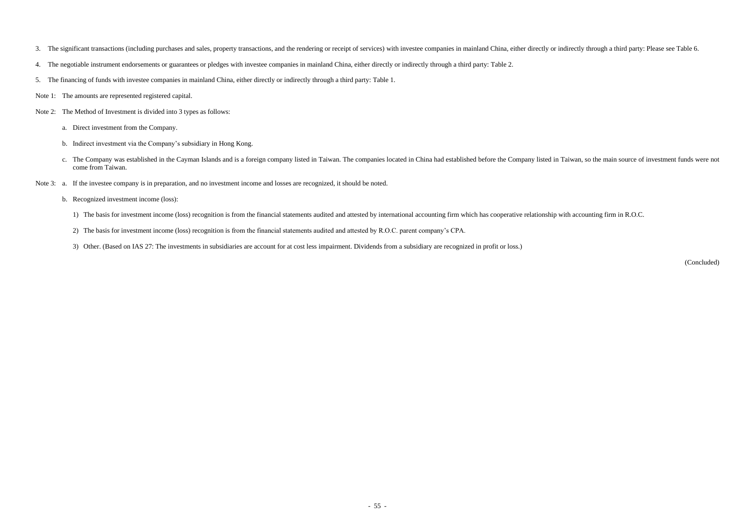- 3. The significant transactions (including purchases and sales, property transactions, and the rendering or receipt of services) with investee companies in mainland China, either directly or indirectly through a third part
- 4. The negotiable instrument endorsements or guarantees or pledges with investee companies in mainland China, either directly or indirectly through a third party: Table 2.
- 5. The financing of funds with investee companies in mainland China, either directly or indirectly through a third party: Table 1.
- Note 1: The amounts are represented registered capital.
- Note 2: The Method of Investment is divided into 3 types as follows:
	- a. Direct investment from the Company.
	- b. Indirect investment via the Company's subsidiary in Hong Kong.
	- c. The Company was established in the Cayman Islands and is a foreign company listed in Taiwan. The companies located in China had established before the Company listed in Taiwan, so the main source of investment funds wer come from Taiwan.
- Note 3: a. If the investee company is in preparation, and no investment income and losses are recognized, it should be noted.
	- b. Recognized investment income (loss):
		- 1) The basis for investment income (loss) recognition is from the financial statements audited and attested by international accounting firm which has cooperative relationship with accounting firm in R.O.C.
		- 2) The basis for investment income (loss) recognition is from the financial statements audited and attested by R.O.C. parent company's CPA.
		- 3) Other. (Based on IAS 27: The investments in subsidiaries are account for at cost less impairment. Dividends from a subsidiary are recognized in profit or loss.)

(Concluded)